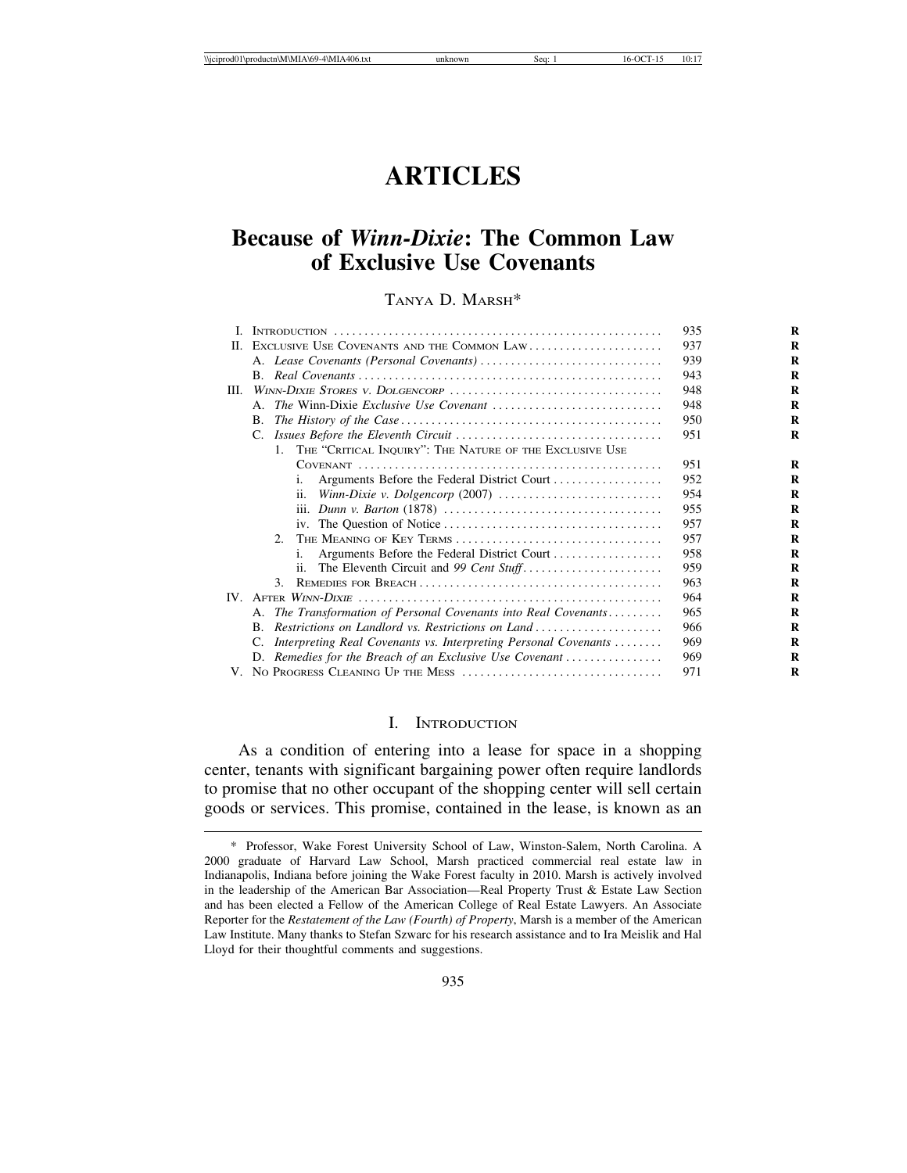# **ARTICLES**

## **Because of** *Winn-Dixie***: The Common Law of Exclusive Use Covenants**

## TANYA D. MARSH\*

| L        |                                                                                     | 935 |
|----------|-------------------------------------------------------------------------------------|-----|
| Н.       | EXCLUSIVE USE COVENANTS AND THE COMMON LAW                                          | 937 |
|          |                                                                                     | 939 |
|          |                                                                                     | 943 |
| III.     |                                                                                     | 948 |
|          | A.                                                                                  | 948 |
|          | В.                                                                                  | 950 |
|          | C.                                                                                  | 951 |
|          | THE "CRITICAL INQUIRY": THE NATURE OF THE EXCLUSIVE USE<br>$1_{-}$                  |     |
|          |                                                                                     | 951 |
|          | Arguments Before the Federal District Court<br>i.                                   | 952 |
|          | ii.                                                                                 | 954 |
|          |                                                                                     | 955 |
|          |                                                                                     | 957 |
|          | THE MEANING OF KEY TERMS<br>$2^{\circ}$                                             | 957 |
|          | Arguments Before the Federal District Court<br>i.                                   | 958 |
|          | ii.                                                                                 | 959 |
|          | 3.                                                                                  | 963 |
| $IV_{-}$ |                                                                                     | 964 |
|          | A. The Transformation of Personal Covenants into Real Covenants                     | 965 |
|          | Restrictions on Landlord vs. Restrictions on Land<br>B.                             | 966 |
|          | C.<br>Interpreting Real Covenants vs. Interpreting Personal Covenants               | 969 |
|          | D. Remedies for the Breach of an Exclusive Use Covenant $\dots\dots\dots\dots\dots$ | 969 |
|          |                                                                                     | 971 |
|          |                                                                                     |     |

#### I. INTRODUCTION

As a condition of entering into a lease for space in a shopping center, tenants with significant bargaining power often require landlords to promise that no other occupant of the shopping center will sell certain goods or services. This promise, contained in the lease, is known as an

<sup>\*</sup> Professor, Wake Forest University School of Law, Winston-Salem, North Carolina. A 2000 graduate of Harvard Law School, Marsh practiced commercial real estate law in Indianapolis, Indiana before joining the Wake Forest faculty in 2010. Marsh is actively involved in the leadership of the American Bar Association—Real Property Trust & Estate Law Section and has been elected a Fellow of the American College of Real Estate Lawyers. An Associate Reporter for the *Restatement of the Law (Fourth) of Property*, Marsh is a member of the American Law Institute. Many thanks to Stefan Szwarc for his research assistance and to Ira Meislik and Hal Lloyd for their thoughtful comments and suggestions.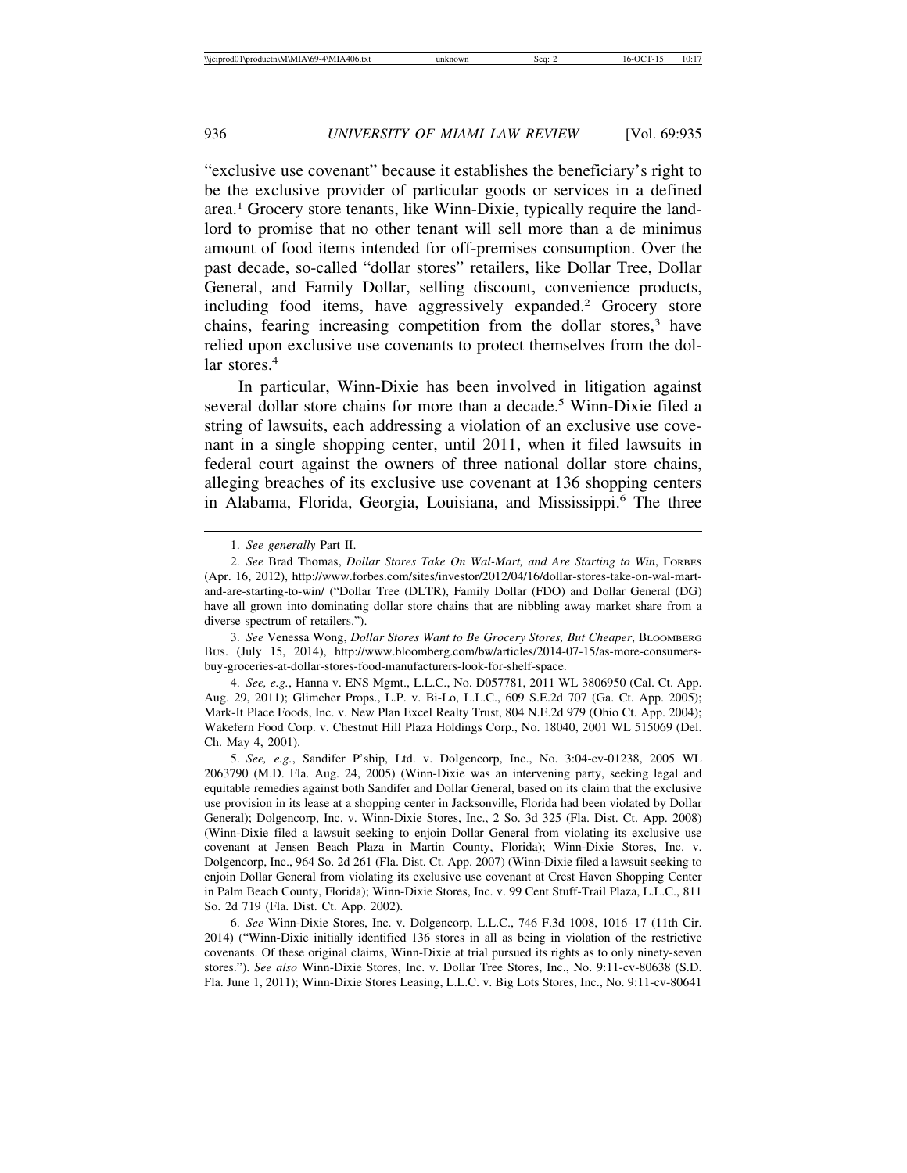"exclusive use covenant" because it establishes the beneficiary's right to be the exclusive provider of particular goods or services in a defined area.<sup>1</sup> Grocery store tenants, like Winn-Dixie, typically require the landlord to promise that no other tenant will sell more than a de minimus amount of food items intended for off-premises consumption. Over the past decade, so-called "dollar stores" retailers, like Dollar Tree, Dollar General, and Family Dollar, selling discount, convenience products, including food items, have aggressively expanded.<sup>2</sup> Grocery store chains, fearing increasing competition from the dollar stores,<sup>3</sup> have relied upon exclusive use covenants to protect themselves from the dollar stores.<sup>4</sup>

In particular, Winn-Dixie has been involved in litigation against several dollar store chains for more than a decade.<sup>5</sup> Winn-Dixie filed a string of lawsuits, each addressing a violation of an exclusive use covenant in a single shopping center, until 2011, when it filed lawsuits in federal court against the owners of three national dollar store chains, alleging breaches of its exclusive use covenant at 136 shopping centers in Alabama, Florida, Georgia, Louisiana, and Mississippi.<sup>6</sup> The three

5. *See, e.g.*, Sandifer P'ship, Ltd. v. Dolgencorp, Inc., No. 3:04-cv-01238, 2005 WL 2063790 (M.D. Fla. Aug. 24, 2005) (Winn-Dixie was an intervening party, seeking legal and equitable remedies against both Sandifer and Dollar General, based on its claim that the exclusive use provision in its lease at a shopping center in Jacksonville, Florida had been violated by Dollar General); Dolgencorp, Inc. v. Winn-Dixie Stores, Inc., 2 So. 3d 325 (Fla. Dist. Ct. App. 2008) (Winn-Dixie filed a lawsuit seeking to enjoin Dollar General from violating its exclusive use covenant at Jensen Beach Plaza in Martin County, Florida); Winn-Dixie Stores, Inc. v. Dolgencorp, Inc., 964 So. 2d 261 (Fla. Dist. Ct. App. 2007) (Winn-Dixie filed a lawsuit seeking to enjoin Dollar General from violating its exclusive use covenant at Crest Haven Shopping Center in Palm Beach County, Florida); Winn-Dixie Stores, Inc. v. 99 Cent Stuff-Trail Plaza, L.L.C., 811 So. 2d 719 (Fla. Dist. Ct. App. 2002).

6. *See* Winn-Dixie Stores, Inc. v. Dolgencorp, L.L.C., 746 F.3d 1008, 1016–17 (11th Cir. 2014) ("Winn-Dixie initially identified 136 stores in all as being in violation of the restrictive covenants. Of these original claims, Winn-Dixie at trial pursued its rights as to only ninety-seven stores."). *See also* Winn-Dixie Stores, Inc. v. Dollar Tree Stores, Inc., No. 9:11-cv-80638 (S.D. Fla. June 1, 2011); Winn-Dixie Stores Leasing, L.L.C. v. Big Lots Stores, Inc., No. 9:11-cv-80641

<sup>1.</sup> *See generally* Part II.

<sup>2.</sup> *See* Brad Thomas, *Dollar Stores Take On Wal-Mart, and Are Starting to Win*, FORBES (Apr. 16, 2012), http://www.forbes.com/sites/investor/2012/04/16/dollar-stores-take-on-wal-martand-are-starting-to-win/ ("Dollar Tree (DLTR), Family Dollar (FDO) and Dollar General (DG) have all grown into dominating dollar store chains that are nibbling away market share from a diverse spectrum of retailers.").

<sup>3.</sup> *See* Venessa Wong, *Dollar Stores Want to Be Grocery Stores, But Cheaper*, BLOOMBERG BUS. (July 15, 2014), http://www.bloomberg.com/bw/articles/2014-07-15/as-more-consumersbuy-groceries-at-dollar-stores-food-manufacturers-look-for-shelf-space.

<sup>4.</sup> *See, e.g.*, Hanna v. ENS Mgmt., L.L.C., No. D057781, 2011 WL 3806950 (Cal. Ct. App. Aug. 29, 2011); Glimcher Props., L.P. v. Bi-Lo, L.L.C., 609 S.E.2d 707 (Ga. Ct. App. 2005); Mark-It Place Foods, Inc. v. New Plan Excel Realty Trust, 804 N.E.2d 979 (Ohio Ct. App. 2004); Wakefern Food Corp. v. Chestnut Hill Plaza Holdings Corp., No. 18040, 2001 WL 515069 (Del. Ch. May 4, 2001).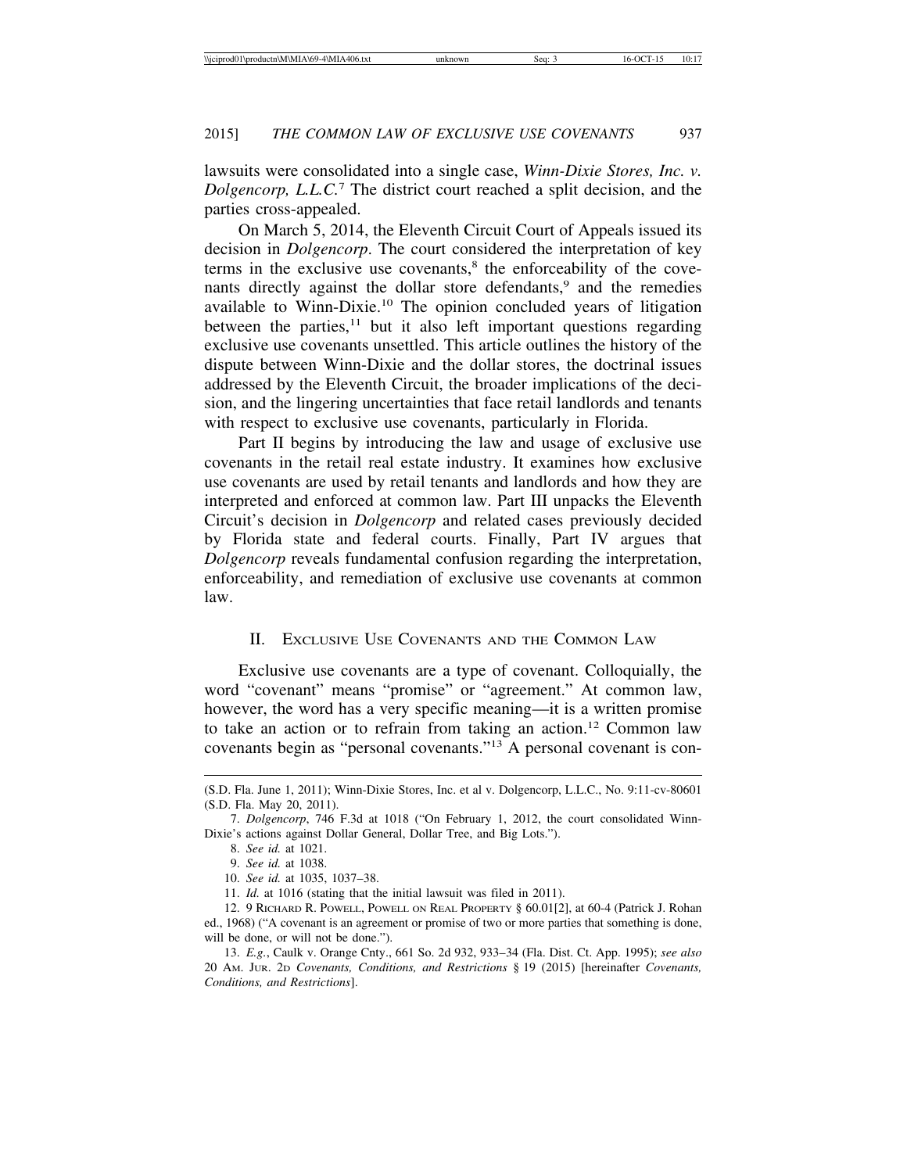lawsuits were consolidated into a single case, *Winn-Dixie Stores, Inc. v. Dolgencorp, L.L.C.*<sup>7</sup> The district court reached a split decision, and the parties cross-appealed.

On March 5, 2014, the Eleventh Circuit Court of Appeals issued its decision in *Dolgencorp*. The court considered the interpretation of key terms in the exclusive use covenants,<sup>8</sup> the enforceability of the covenants directly against the dollar store defendants,<sup>9</sup> and the remedies available to Winn-Dixie.10 The opinion concluded years of litigation between the parties,<sup>11</sup> but it also left important questions regarding exclusive use covenants unsettled. This article outlines the history of the dispute between Winn-Dixie and the dollar stores, the doctrinal issues addressed by the Eleventh Circuit, the broader implications of the decision, and the lingering uncertainties that face retail landlords and tenants with respect to exclusive use covenants, particularly in Florida.

Part II begins by introducing the law and usage of exclusive use covenants in the retail real estate industry. It examines how exclusive use covenants are used by retail tenants and landlords and how they are interpreted and enforced at common law. Part III unpacks the Eleventh Circuit's decision in *Dolgencorp* and related cases previously decided by Florida state and federal courts. Finally, Part IV argues that *Dolgencorp* reveals fundamental confusion regarding the interpretation, enforceability, and remediation of exclusive use covenants at common law.

#### II. EXCLUSIVE USE COVENANTS AND THE COMMON LAW

Exclusive use covenants are a type of covenant. Colloquially, the word "covenant" means "promise" or "agreement." At common law, however, the word has a very specific meaning—it is a written promise to take an action or to refrain from taking an action.12 Common law covenants begin as "personal covenants."13 A personal covenant is con-

<sup>(</sup>S.D. Fla. June 1, 2011); Winn-Dixie Stores, Inc. et al v. Dolgencorp, L.L.C., No. 9:11-cv-80601 (S.D. Fla. May 20, 2011).

<sup>7.</sup> *Dolgencorp*, 746 F.3d at 1018 ("On February 1, 2012, the court consolidated Winn-Dixie's actions against Dollar General, Dollar Tree, and Big Lots.").

<sup>8.</sup> *See id.* at 1021.

<sup>9.</sup> *See id.* at 1038.

<sup>10.</sup> *See id.* at 1035, 1037–38.

<sup>11.</sup> *Id.* at 1016 (stating that the initial lawsuit was filed in 2011).

<sup>12. 9</sup> RICHARD R. POWELL, POWELL ON REAL PROPERTY § 60.01[2], at 60-4 (Patrick J. Rohan ed., 1968) ("A covenant is an agreement or promise of two or more parties that something is done, will be done, or will not be done.").

<sup>13.</sup> *E.g.*, Caulk v. Orange Cnty., 661 So. 2d 932, 933–34 (Fla. Dist. Ct. App. 1995); *see also* 20 AM. JUR. 2D *Covenants, Conditions, and Restrictions* § 19 (2015) [hereinafter *Covenants, Conditions, and Restrictions*].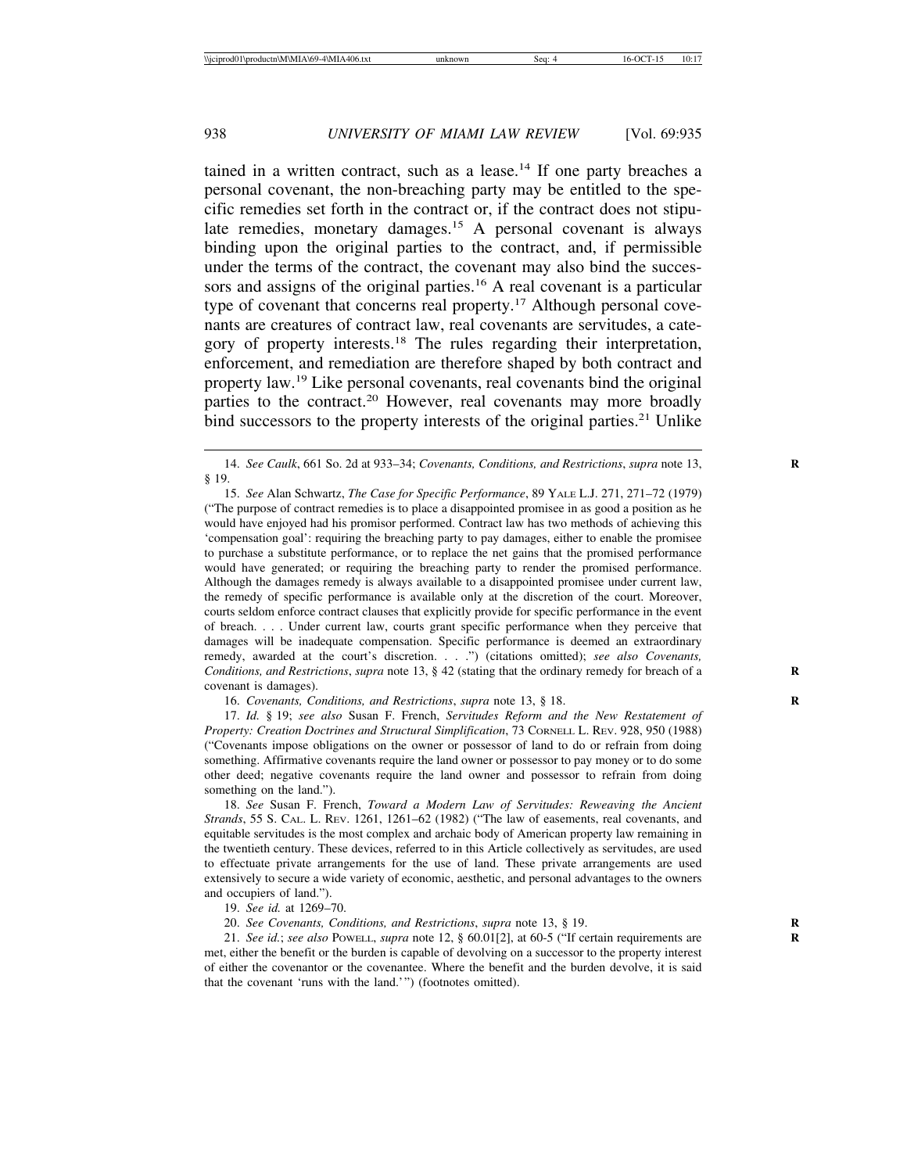tained in a written contract, such as a lease.<sup>14</sup> If one party breaches a personal covenant, the non-breaching party may be entitled to the specific remedies set forth in the contract or, if the contract does not stipulate remedies, monetary damages.15 A personal covenant is always binding upon the original parties to the contract, and, if permissible under the terms of the contract, the covenant may also bind the successors and assigns of the original parties.<sup>16</sup> A real covenant is a particular type of covenant that concerns real property.<sup>17</sup> Although personal covenants are creatures of contract law, real covenants are servitudes, a category of property interests.18 The rules regarding their interpretation, enforcement, and remediation are therefore shaped by both contract and property law.19 Like personal covenants, real covenants bind the original parties to the contract.<sup>20</sup> However, real covenants may more broadly bind successors to the property interests of the original parties.<sup>21</sup> Unlike

15. *See* Alan Schwartz, *The Case for Specific Performance*, 89 YALE L.J. 271, 271–72 (1979) ("The purpose of contract remedies is to place a disappointed promisee in as good a position as he would have enjoyed had his promisor performed. Contract law has two methods of achieving this 'compensation goal': requiring the breaching party to pay damages, either to enable the promisee to purchase a substitute performance, or to replace the net gains that the promised performance would have generated; or requiring the breaching party to render the promised performance. Although the damages remedy is always available to a disappointed promisee under current law, the remedy of specific performance is available only at the discretion of the court. Moreover, courts seldom enforce contract clauses that explicitly provide for specific performance in the event of breach. . . . Under current law, courts grant specific performance when they perceive that damages will be inadequate compensation. Specific performance is deemed an extraordinary remedy, awarded at the court's discretion. . . .") (citations omitted); *see also Covenants, Conditions, and Restrictions, supra* note 13, § 42 (stating that the ordinary remedy for breach of a covenant is damages).

16. *Covenants, Conditions, and Restrictions, supra* note 13, § 18.

17. *Id.* § 19; *see also* Susan F. French, *Servitudes Reform and the New Restatement of Property: Creation Doctrines and Structural Simplification*, 73 CORNELL L. REV. 928, 950 (1988) ("Covenants impose obligations on the owner or possessor of land to do or refrain from doing something. Affirmative covenants require the land owner or possessor to pay money or to do some other deed; negative covenants require the land owner and possessor to refrain from doing something on the land.").

18. *See* Susan F. French, *Toward a Modern Law of Servitudes: Reweaving the Ancient Strands*, 55 S. CAL. L. REV. 1261, 1261–62 (1982) ("The law of easements, real covenants, and equitable servitudes is the most complex and archaic body of American property law remaining in the twentieth century. These devices, referred to in this Article collectively as servitudes, are used to effectuate private arrangements for the use of land. These private arrangements are used extensively to secure a wide variety of economic, aesthetic, and personal advantages to the owners and occupiers of land.").

19. *See id.* at 1269–70.

20. *See Covenants, Conditions, and Restrictions*, *supra* note 13, § 19. **R**

21. *See id.*; *see also* POWELL, *supra* note 12, § 60.01[2], at 60-5 ("If certain requirements are **R** met, either the benefit or the burden is capable of devolving on a successor to the property interest of either the covenantor or the covenantee. Where the benefit and the burden devolve, it is said that the covenant 'runs with the land.'") (footnotes omitted).

<sup>14.</sup> *See Caulk*, 661 So. 2d at 933–34; *Covenants, Conditions, and Restrictions*, *supra* note 13, **R** § 19.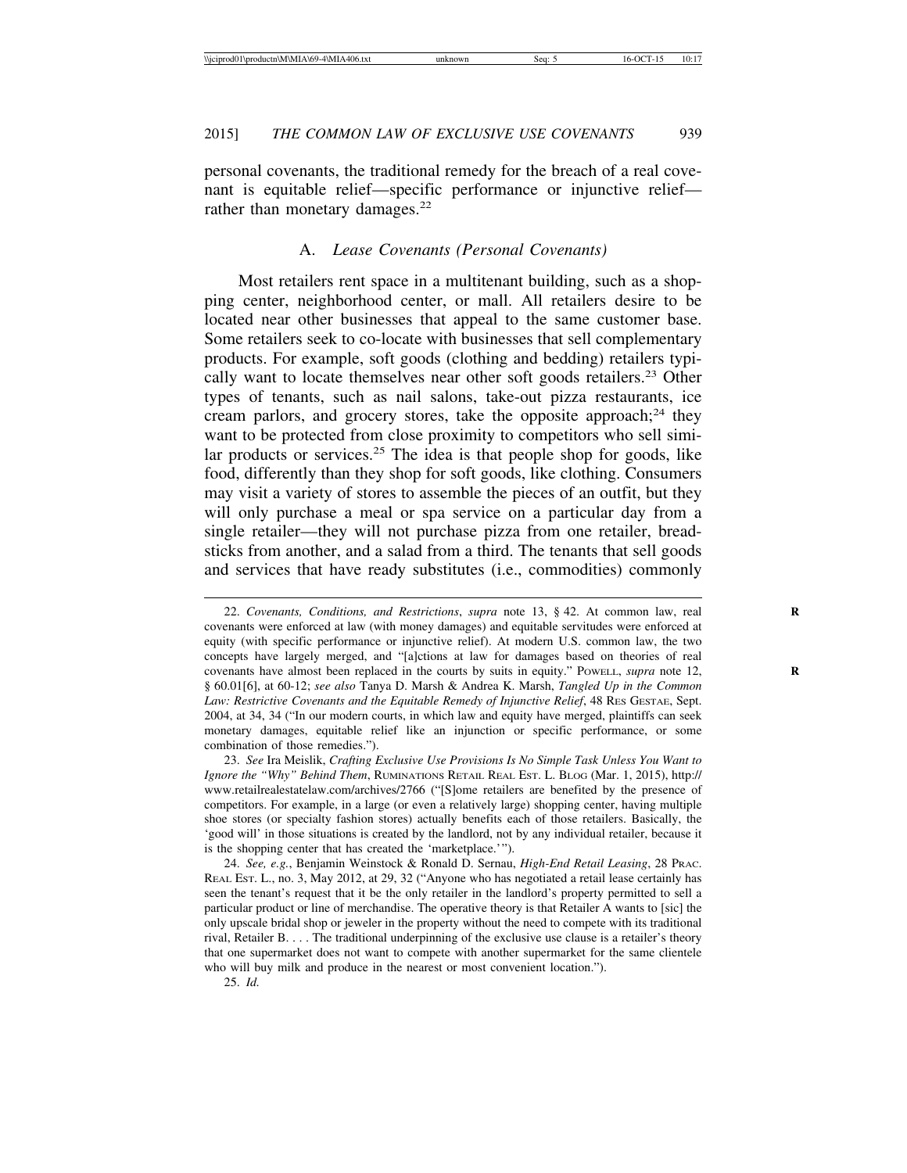personal covenants, the traditional remedy for the breach of a real covenant is equitable relief—specific performance or injunctive relief rather than monetary damages.<sup>22</sup>

#### A. *Lease Covenants (Personal Covenants)*

Most retailers rent space in a multitenant building, such as a shopping center, neighborhood center, or mall. All retailers desire to be located near other businesses that appeal to the same customer base. Some retailers seek to co-locate with businesses that sell complementary products. For example, soft goods (clothing and bedding) retailers typically want to locate themselves near other soft goods retailers.<sup>23</sup> Other types of tenants, such as nail salons, take-out pizza restaurants, ice cream parlors, and grocery stores, take the opposite approach; $^{24}$  they want to be protected from close proximity to competitors who sell similar products or services.<sup>25</sup> The idea is that people shop for goods, like food, differently than they shop for soft goods, like clothing. Consumers may visit a variety of stores to assemble the pieces of an outfit, but they will only purchase a meal or spa service on a particular day from a single retailer—they will not purchase pizza from one retailer, breadsticks from another, and a salad from a third. The tenants that sell goods and services that have ready substitutes (i.e., commodities) commonly

23. *See* Ira Meislik, *Crafting Exclusive Use Provisions Is No Simple Task Unless You Want to Ignore the "Why" Behind Them*, RUMINATIONS RETAIL REAL EST. L. BLOG (Mar. 1, 2015), http:// www.retailrealestatelaw.com/archives/2766 ("[S]ome retailers are benefited by the presence of competitors. For example, in a large (or even a relatively large) shopping center, having multiple shoe stores (or specialty fashion stores) actually benefits each of those retailers. Basically, the 'good will' in those situations is created by the landlord, not by any individual retailer, because it is the shopping center that has created the 'marketplace.'").

24. *See, e.g.*, Benjamin Weinstock & Ronald D. Sernau, *High-End Retail Leasing*, 28 PRAC. REAL EST. L., no. 3, May 2012, at 29, 32 ("Anyone who has negotiated a retail lease certainly has seen the tenant's request that it be the only retailer in the landlord's property permitted to sell a particular product or line of merchandise. The operative theory is that Retailer A wants to [sic] the only upscale bridal shop or jeweler in the property without the need to compete with its traditional rival, Retailer B. . . . The traditional underpinning of the exclusive use clause is a retailer's theory that one supermarket does not want to compete with another supermarket for the same clientele who will buy milk and produce in the nearest or most convenient location.").

25. *Id.*

<sup>22.</sup> *Covenants, Conditions, and Restrictions*, *supra* note 13, § 42. At common law, real **R** covenants were enforced at law (with money damages) and equitable servitudes were enforced at equity (with specific performance or injunctive relief). At modern U.S. common law, the two concepts have largely merged, and "[a]ctions at law for damages based on theories of real covenants have almost been replaced in the courts by suits in equity." Powell, *supra* note 12, § 60.01[6], at 60-12; *see also* Tanya D. Marsh & Andrea K. Marsh, *Tangled Up in the Common Law: Restrictive Covenants and the Equitable Remedy of Injunctive Relief*, 48 RES GESTAE, Sept. 2004, at 34, 34 ("In our modern courts, in which law and equity have merged, plaintiffs can seek monetary damages, equitable relief like an injunction or specific performance, or some combination of those remedies.").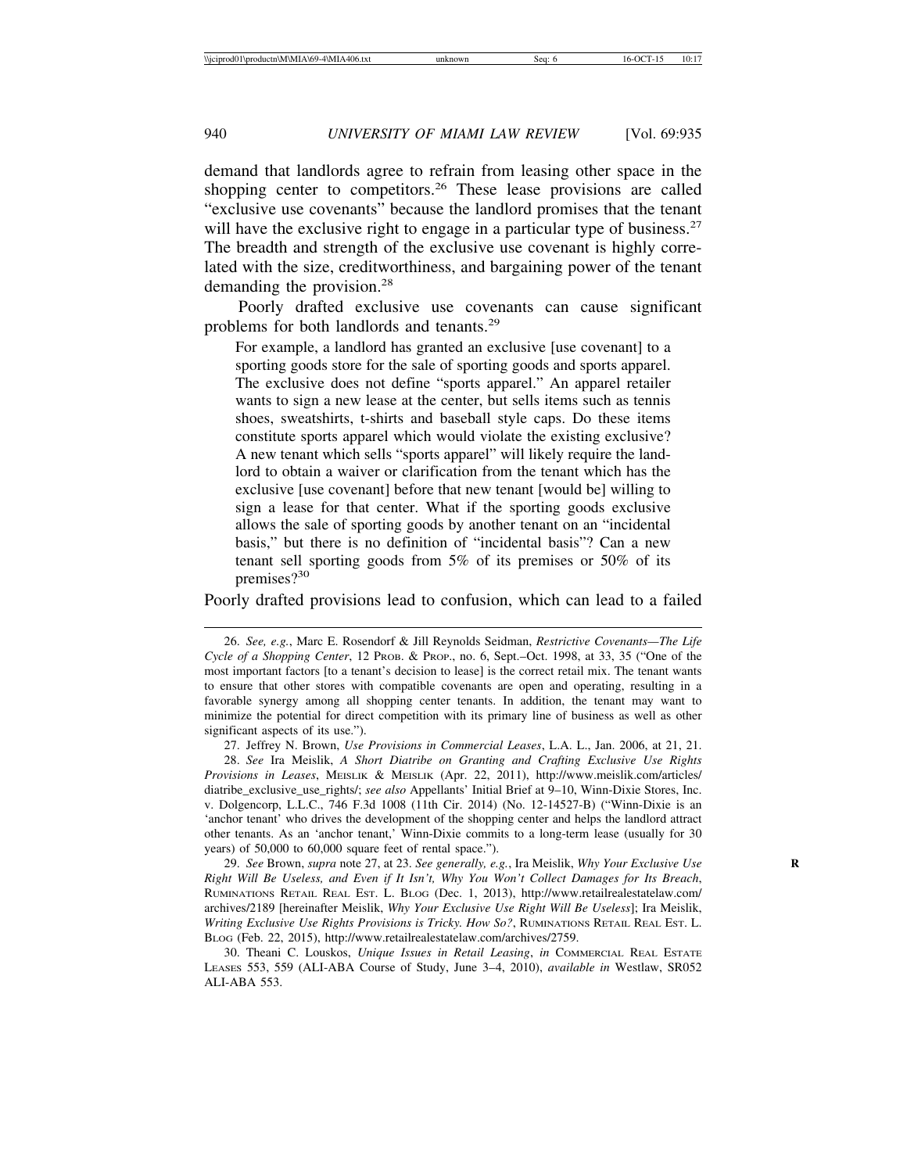demand that landlords agree to refrain from leasing other space in the shopping center to competitors.<sup>26</sup> These lease provisions are called "exclusive use covenants" because the landlord promises that the tenant will have the exclusive right to engage in a particular type of business.<sup>27</sup> The breadth and strength of the exclusive use covenant is highly correlated with the size, creditworthiness, and bargaining power of the tenant demanding the provision.28

Poorly drafted exclusive use covenants can cause significant problems for both landlords and tenants.29

For example, a landlord has granted an exclusive [use covenant] to a sporting goods store for the sale of sporting goods and sports apparel. The exclusive does not define "sports apparel." An apparel retailer wants to sign a new lease at the center, but sells items such as tennis shoes, sweatshirts, t-shirts and baseball style caps. Do these items constitute sports apparel which would violate the existing exclusive? A new tenant which sells "sports apparel" will likely require the landlord to obtain a waiver or clarification from the tenant which has the exclusive [use covenant] before that new tenant [would be] willing to sign a lease for that center. What if the sporting goods exclusive allows the sale of sporting goods by another tenant on an "incidental basis," but there is no definition of "incidental basis"? Can a new tenant sell sporting goods from 5% of its premises or 50% of its premises?<sup>30</sup>

Poorly drafted provisions lead to confusion, which can lead to a failed

27. Jeffrey N. Brown, *Use Provisions in Commercial Leases*, L.A. L., Jan. 2006, at 21, 21.

28. *See* Ira Meislik, *A Short Diatribe on Granting and Crafting Exclusive Use Rights Provisions in Leases*, MEISLIK & MEISLIK (Apr. 22, 2011), http://www.meislik.com/articles/ diatribe\_exclusive\_use\_rights/; *see also* Appellants' Initial Brief at 9–10, Winn-Dixie Stores, Inc. v. Dolgencorp, L.L.C., 746 F.3d 1008 (11th Cir. 2014) (No. 12-14527-B) ("Winn-Dixie is an 'anchor tenant' who drives the development of the shopping center and helps the landlord attract other tenants. As an 'anchor tenant,' Winn-Dixie commits to a long-term lease (usually for 30 years) of 50,000 to 60,000 square feet of rental space.").

29. *See* Brown, *supra* note 27, at 23. *See generally, e.g.*, Ira Meislik, *Why Your Exclusive Use* **R** *Right Will Be Useless, and Even if It Isn't, Why You Won't Collect Damages for Its Breach*, RUMINATIONS RETAIL REAL EST. L. BLOG (Dec. 1, 2013), http://www.retailrealestatelaw.com/ archives/2189 [hereinafter Meislik, *Why Your Exclusive Use Right Will Be Useless*]; Ira Meislik, *Writing Exclusive Use Rights Provisions is Tricky. How So?*, RUMINATIONS RETAIL REAL EST. L. BLOG (Feb. 22, 2015), http://www.retailrealestatelaw.com/archives/2759.

30. Theani C. Louskos, *Unique Issues in Retail Leasing*, *in* COMMERCIAL REAL ESTATE LEASES 553, 559 (ALI-ABA Course of Study, June 3–4, 2010), *available in* Westlaw, SR052 ALI-ABA 553.

<sup>26.</sup> *See, e.g.*, Marc E. Rosendorf & Jill Reynolds Seidman, *Restrictive Covenants—The Life Cycle of a Shopping Center*, 12 PROB. & PROP., no. 6, Sept.–Oct. 1998, at 33, 35 ("One of the most important factors [to a tenant's decision to lease] is the correct retail mix. The tenant wants to ensure that other stores with compatible covenants are open and operating, resulting in a favorable synergy among all shopping center tenants. In addition, the tenant may want to minimize the potential for direct competition with its primary line of business as well as other significant aspects of its use.").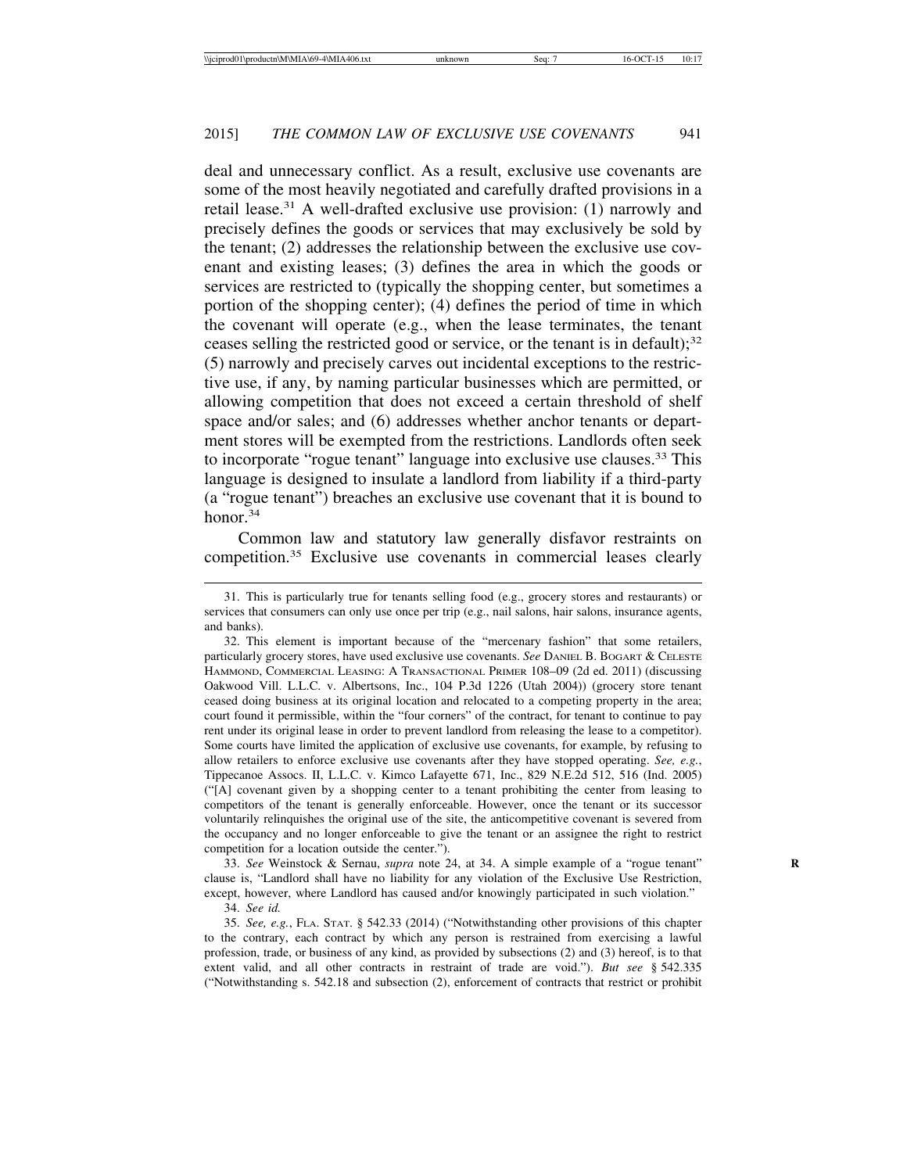deal and unnecessary conflict. As a result, exclusive use covenants are some of the most heavily negotiated and carefully drafted provisions in a retail lease.<sup>31</sup> A well-drafted exclusive use provision:  $(1)$  narrowly and precisely defines the goods or services that may exclusively be sold by the tenant; (2) addresses the relationship between the exclusive use covenant and existing leases; (3) defines the area in which the goods or services are restricted to (typically the shopping center, but sometimes a portion of the shopping center); (4) defines the period of time in which the covenant will operate (e.g., when the lease terminates, the tenant ceases selling the restricted good or service, or the tenant is in default); $32$ (5) narrowly and precisely carves out incidental exceptions to the restrictive use, if any, by naming particular businesses which are permitted, or allowing competition that does not exceed a certain threshold of shelf space and/or sales; and (6) addresses whether anchor tenants or department stores will be exempted from the restrictions. Landlords often seek to incorporate "rogue tenant" language into exclusive use clauses.33 This language is designed to insulate a landlord from liability if a third-party (a "rogue tenant") breaches an exclusive use covenant that it is bound to honor.<sup>34</sup>

Common law and statutory law generally disfavor restraints on competition.35 Exclusive use covenants in commercial leases clearly

33. *See* Weinstock & Sernau, *supra* note 24, at 34. A simple example of a "rogue tenant" **R** clause is, "Landlord shall have no liability for any violation of the Exclusive Use Restriction, except, however, where Landlord has caused and/or knowingly participated in such violation."

34. *See id.*

35. *See, e.g.*, FLA. STAT. § 542.33 (2014) ("Notwithstanding other provisions of this chapter to the contrary, each contract by which any person is restrained from exercising a lawful profession, trade, or business of any kind, as provided by subsections (2) and (3) hereof, is to that extent valid, and all other contracts in restraint of trade are void."). *But see* § 542.335 ("Notwithstanding s. 542.18 and subsection (2), enforcement of contracts that restrict or prohibit

<sup>31.</sup> This is particularly true for tenants selling food (e.g., grocery stores and restaurants) or services that consumers can only use once per trip (e.g., nail salons, hair salons, insurance agents, and banks).

<sup>32.</sup> This element is important because of the "mercenary fashion" that some retailers, particularly grocery stores, have used exclusive use covenants. *See* DANIEL B. BOGART & CELESTE HAMMOND, COMMERCIAL LEASING: A TRANSACTIONAL PRIMER 108–09 (2d ed. 2011) (discussing Oakwood Vill. L.L.C. v. Albertsons, Inc., 104 P.3d 1226 (Utah 2004)) (grocery store tenant ceased doing business at its original location and relocated to a competing property in the area; court found it permissible, within the "four corners" of the contract, for tenant to continue to pay rent under its original lease in order to prevent landlord from releasing the lease to a competitor). Some courts have limited the application of exclusive use covenants, for example, by refusing to allow retailers to enforce exclusive use covenants after they have stopped operating. *See, e.g.*, Tippecanoe Assocs. II, L.L.C. v. Kimco Lafayette 671, Inc., 829 N.E.2d 512, 516 (Ind. 2005) ("[A] covenant given by a shopping center to a tenant prohibiting the center from leasing to competitors of the tenant is generally enforceable. However, once the tenant or its successor voluntarily relinquishes the original use of the site, the anticompetitive covenant is severed from the occupancy and no longer enforceable to give the tenant or an assignee the right to restrict competition for a location outside the center.").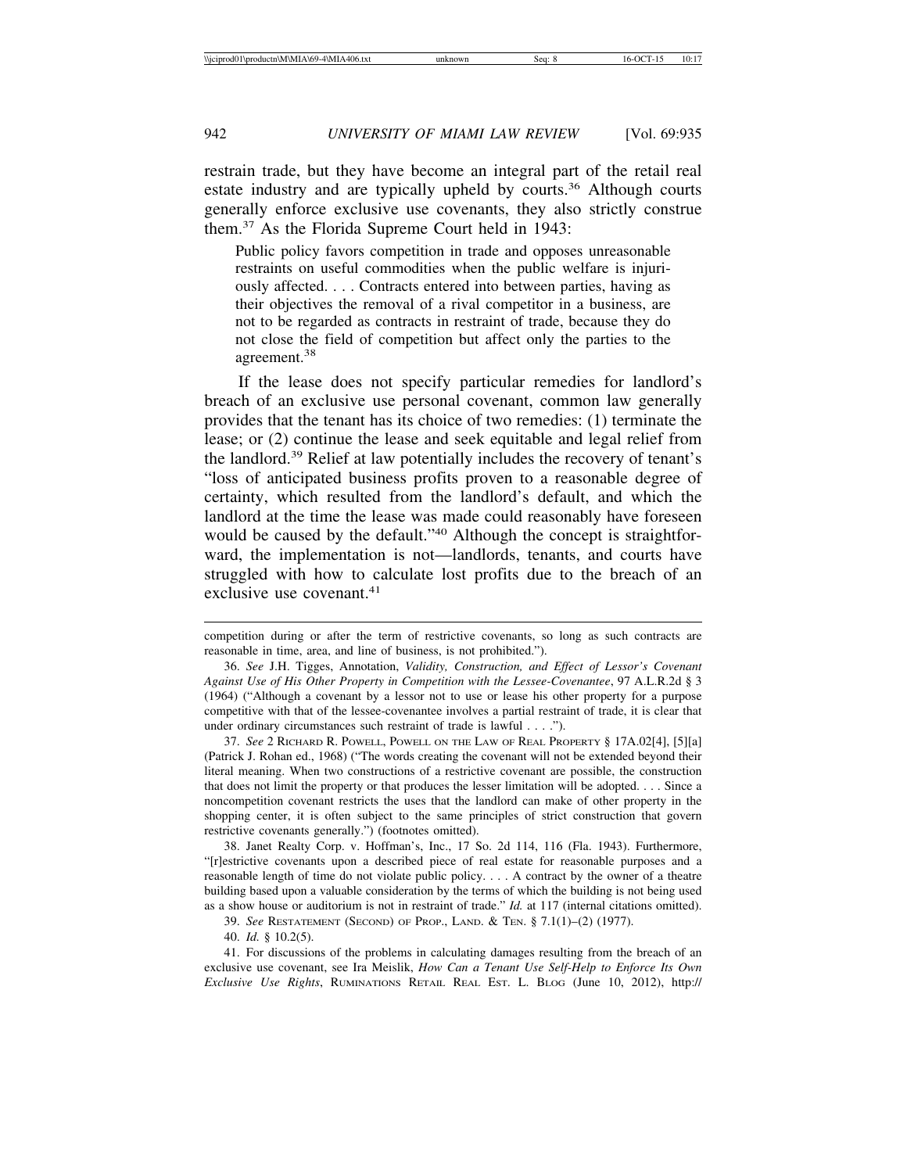restrain trade, but they have become an integral part of the retail real estate industry and are typically upheld by courts.<sup>36</sup> Although courts generally enforce exclusive use covenants, they also strictly construe them.37 As the Florida Supreme Court held in 1943:

Public policy favors competition in trade and opposes unreasonable restraints on useful commodities when the public welfare is injuriously affected. . . . Contracts entered into between parties, having as their objectives the removal of a rival competitor in a business, are not to be regarded as contracts in restraint of trade, because they do not close the field of competition but affect only the parties to the agreement.<sup>38</sup>

If the lease does not specify particular remedies for landlord's breach of an exclusive use personal covenant, common law generally provides that the tenant has its choice of two remedies: (1) terminate the lease; or (2) continue the lease and seek equitable and legal relief from the landlord.39 Relief at law potentially includes the recovery of tenant's "loss of anticipated business profits proven to a reasonable degree of certainty, which resulted from the landlord's default, and which the landlord at the time the lease was made could reasonably have foreseen would be caused by the default."40 Although the concept is straightforward, the implementation is not—landlords, tenants, and courts have struggled with how to calculate lost profits due to the breach of an exclusive use covenant.<sup>41</sup>

37. *See* 2 RICHARD R. POWELL, POWELL ON THE LAW OF REAL PROPERTY § 17A.02[4], [5][a] (Patrick J. Rohan ed., 1968) ("The words creating the covenant will not be extended beyond their literal meaning. When two constructions of a restrictive covenant are possible, the construction that does not limit the property or that produces the lesser limitation will be adopted. . . . Since a noncompetition covenant restricts the uses that the landlord can make of other property in the shopping center, it is often subject to the same principles of strict construction that govern restrictive covenants generally.") (footnotes omitted).

38. Janet Realty Corp. v. Hoffman's, Inc., 17 So. 2d 114, 116 (Fla. 1943). Furthermore, "[r]estrictive covenants upon a described piece of real estate for reasonable purposes and a reasonable length of time do not violate public policy. . . . A contract by the owner of a theatre building based upon a valuable consideration by the terms of which the building is not being used as a show house or auditorium is not in restraint of trade." *Id.* at 117 (internal citations omitted).

39. *See* RESTATEMENT (SECOND) OF PROP., LAND. & TEN. § 7.1(1)–(2) (1977).

40. *Id.* § 10.2(5).

41. For discussions of the problems in calculating damages resulting from the breach of an exclusive use covenant, see Ira Meislik, *How Can a Tenant Use Self-Help to Enforce Its Own Exclusive Use Rights*, RUMINATIONS RETAIL REAL EST. L. BLOG (June 10, 2012), http://

competition during or after the term of restrictive covenants, so long as such contracts are reasonable in time, area, and line of business, is not prohibited.").

<sup>36.</sup> *See* J.H. Tigges, Annotation, *Validity, Construction, and Effect of Lessor's Covenant Against Use of His Other Property in Competition with the Lessee-Covenantee*, 97 A.L.R.2d § 3 (1964) ("Although a covenant by a lessor not to use or lease his other property for a purpose competitive with that of the lessee-covenantee involves a partial restraint of trade, it is clear that under ordinary circumstances such restraint of trade is lawful . . . .").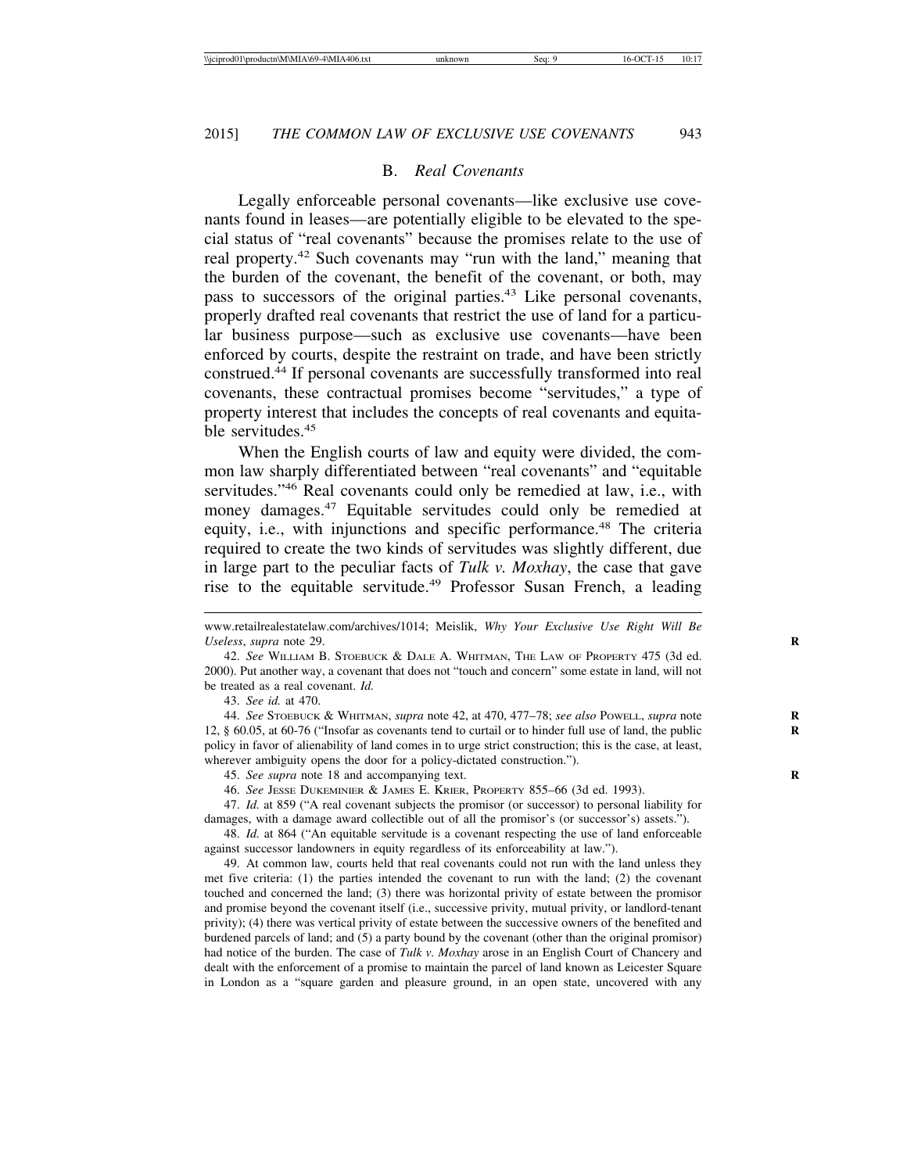#### B. *Real Covenants*

Legally enforceable personal covenants—like exclusive use covenants found in leases—are potentially eligible to be elevated to the special status of "real covenants" because the promises relate to the use of real property.42 Such covenants may "run with the land," meaning that the burden of the covenant, the benefit of the covenant, or both, may pass to successors of the original parties.<sup>43</sup> Like personal covenants, properly drafted real covenants that restrict the use of land for a particular business purpose—such as exclusive use covenants—have been enforced by courts, despite the restraint on trade, and have been strictly construed.44 If personal covenants are successfully transformed into real covenants, these contractual promises become "servitudes," a type of property interest that includes the concepts of real covenants and equitable servitudes.<sup>45</sup>

When the English courts of law and equity were divided, the common law sharply differentiated between "real covenants" and "equitable servitudes."<sup>46</sup> Real covenants could only be remedied at law, i.e., with money damages.<sup>47</sup> Equitable servitudes could only be remedied at equity, i.e., with injunctions and specific performance.<sup>48</sup> The criteria required to create the two kinds of servitudes was slightly different, due in large part to the peculiar facts of *Tulk v. Moxhay*, the case that gave rise to the equitable servitude.<sup>49</sup> Professor Susan French, a leading

43. *See id.* at 470.

44. *See* STOEBUCK & WHITMAN, *supra* note 42, at 470, 477–78; *see also* POWELL, *supra* note **R** 12, § 60.05, at 60-76 ("Insofar as covenants tend to curtail or to hinder full use of land, the public **R** policy in favor of alienability of land comes in to urge strict construction; this is the case, at least, wherever ambiguity opens the door for a policy-dictated construction.").

45. *See supra* note 18 and accompanying text. **R**

46. *See* JESSE DUKEMINIER & JAMES E. KRIER, PROPERTY 855–66 (3d ed. 1993).

47. *Id.* at 859 ("A real covenant subjects the promisor (or successor) to personal liability for damages, with a damage award collectible out of all the promisor's (or successor's) assets.").

48. *Id.* at 864 ("An equitable servitude is a covenant respecting the use of land enforceable against successor landowners in equity regardless of its enforceability at law.").

49. At common law, courts held that real covenants could not run with the land unless they met five criteria: (1) the parties intended the covenant to run with the land; (2) the covenant touched and concerned the land; (3) there was horizontal privity of estate between the promisor and promise beyond the covenant itself (i.e., successive privity, mutual privity, or landlord-tenant privity); (4) there was vertical privity of estate between the successive owners of the benefited and burdened parcels of land; and (5) a party bound by the covenant (other than the original promisor) had notice of the burden. The case of *Tulk v. Moxhay* arose in an English Court of Chancery and dealt with the enforcement of a promise to maintain the parcel of land known as Leicester Square in London as a "square garden and pleasure ground, in an open state, uncovered with any

www.retailrealestatelaw.com/archives/1014; Meislik, *Why Your Exclusive Use Right Will Be Useless*, *supra* note 29. **R**

<sup>42.</sup> *See* WILLIAM B. STOEBUCK & DALE A. WHITMAN, THE LAW OF PROPERTY 475 (3d ed. 2000). Put another way, a covenant that does not "touch and concern" some estate in land, will not be treated as a real covenant. *Id.*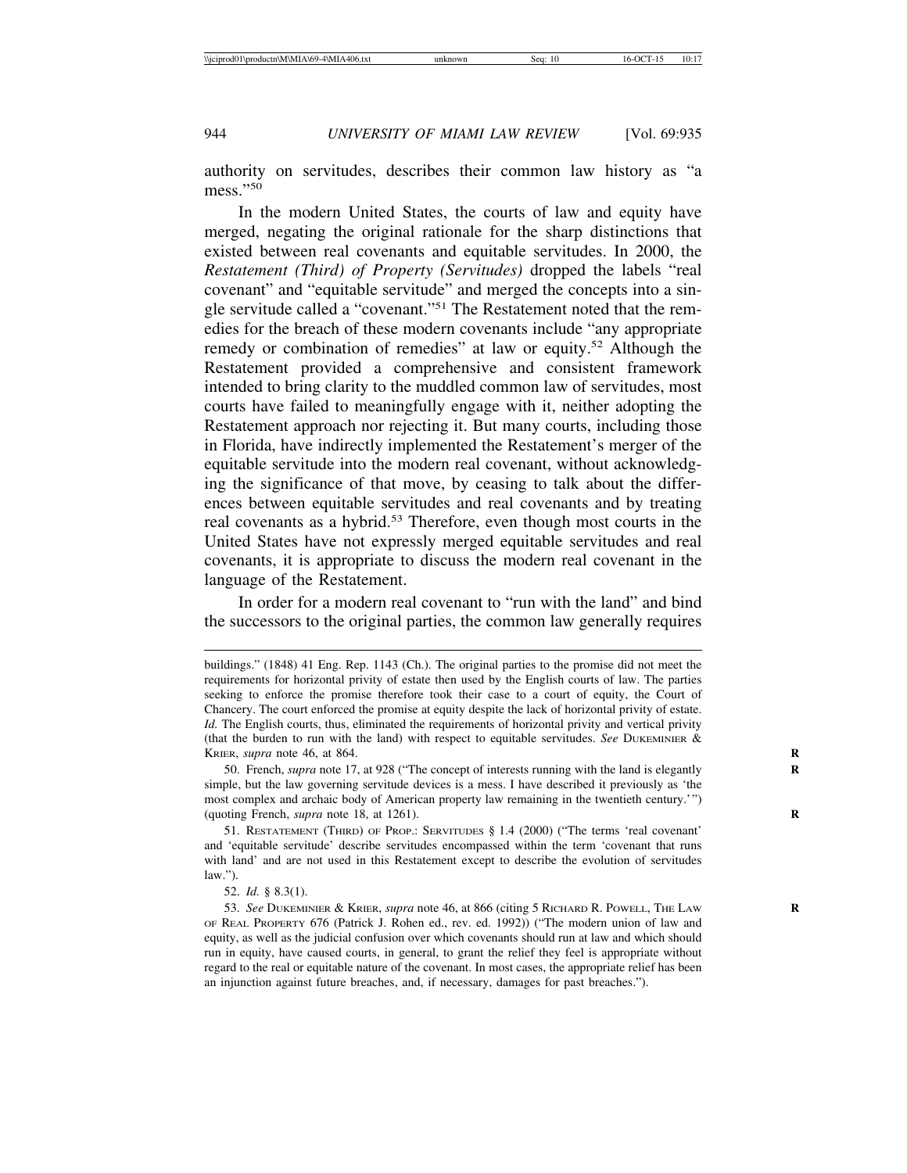authority on servitudes, describes their common law history as "a mess."50

In the modern United States, the courts of law and equity have merged, negating the original rationale for the sharp distinctions that existed between real covenants and equitable servitudes. In 2000, the *Restatement (Third) of Property (Servitudes)* dropped the labels "real covenant" and "equitable servitude" and merged the concepts into a single servitude called a "covenant."51 The Restatement noted that the remedies for the breach of these modern covenants include "any appropriate remedy or combination of remedies" at law or equity.<sup>52</sup> Although the Restatement provided a comprehensive and consistent framework intended to bring clarity to the muddled common law of servitudes, most courts have failed to meaningfully engage with it, neither adopting the Restatement approach nor rejecting it. But many courts, including those in Florida, have indirectly implemented the Restatement's merger of the equitable servitude into the modern real covenant, without acknowledging the significance of that move, by ceasing to talk about the differences between equitable servitudes and real covenants and by treating real covenants as a hybrid.<sup>53</sup> Therefore, even though most courts in the United States have not expressly merged equitable servitudes and real covenants, it is appropriate to discuss the modern real covenant in the language of the Restatement.

In order for a modern real covenant to "run with the land" and bind the successors to the original parties, the common law generally requires

50. French, *supra* note 17, at 928 ("The concept of interests running with the land is elegantly **R** simple, but the law governing servitude devices is a mess. I have described it previously as 'the most complex and archaic body of American property law remaining in the twentieth century.'") (quoting French, *supra* note 18, at 1261). **R**

51. RESTATEMENT (THIRD) OF PROP.: SERVITUDES § 1.4 (2000) ("The terms 'real covenant' and 'equitable servitude' describe servitudes encompassed within the term 'covenant that runs with land' and are not used in this Restatement except to describe the evolution of servitudes law.").

52. *Id.* § 8.3(1).

53. *See* DUKEMINIER & KRIER, *supra* note 46, at 866 (citing 5 RICHARD R. POWELL, THE LAW **R** OF REAL PROPERTY 676 (Patrick J. Rohen ed., rev. ed. 1992)) ("The modern union of law and equity, as well as the judicial confusion over which covenants should run at law and which should run in equity, have caused courts, in general, to grant the relief they feel is appropriate without regard to the real or equitable nature of the covenant. In most cases, the appropriate relief has been an injunction against future breaches, and, if necessary, damages for past breaches.").

buildings." (1848) 41 Eng. Rep. 1143 (Ch.). The original parties to the promise did not meet the requirements for horizontal privity of estate then used by the English courts of law. The parties seeking to enforce the promise therefore took their case to a court of equity, the Court of Chancery. The court enforced the promise at equity despite the lack of horizontal privity of estate. *Id.* The English courts, thus, eliminated the requirements of horizontal privity and vertical privity (that the burden to run with the land) with respect to equitable servitudes. *See* DUKEMINIER & KRIER, *supra* note 46, at 864.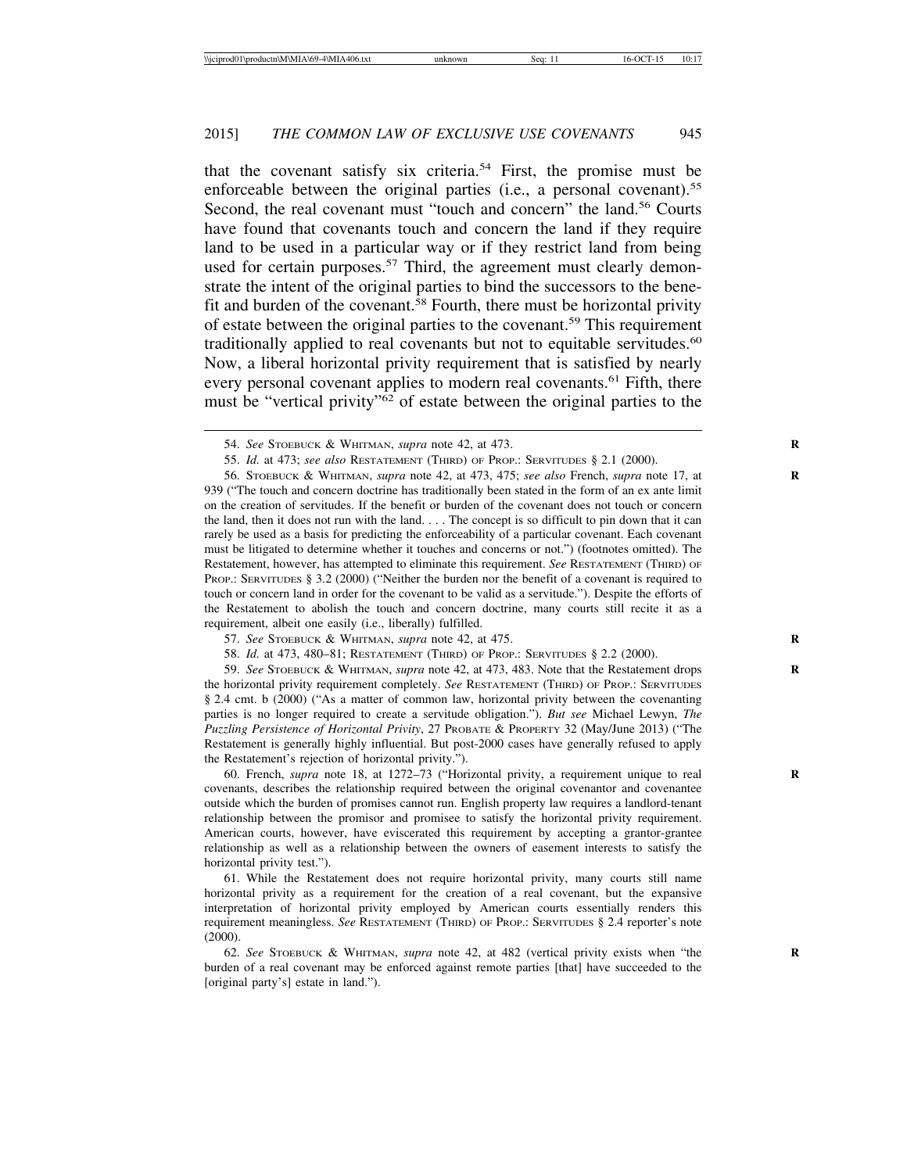that the covenant satisfy six criteria.54 First, the promise must be enforceable between the original parties (i.e., a personal covenant).<sup>55</sup> Second, the real covenant must "touch and concern" the land.<sup>56</sup> Courts have found that covenants touch and concern the land if they require land to be used in a particular way or if they restrict land from being used for certain purposes.<sup>57</sup> Third, the agreement must clearly demonstrate the intent of the original parties to bind the successors to the benefit and burden of the covenant.<sup>58</sup> Fourth, there must be horizontal privity of estate between the original parties to the covenant.59 This requirement traditionally applied to real covenants but not to equitable servitudes.<sup>60</sup> Now, a liberal horizontal privity requirement that is satisfied by nearly every personal covenant applies to modern real covenants.<sup>61</sup> Fifth, there must be "vertical privity"62 of estate between the original parties to the

56. STOEBUCK & WHITMAN, *supra* note 42, at 473, 475; *see also* French, *supra* note 17, at **R** 939 ("The touch and concern doctrine has traditionally been stated in the form of an ex ante limit on the creation of servitudes. If the benefit or burden of the covenant does not touch or concern the land, then it does not run with the land. . . . The concept is so difficult to pin down that it can rarely be used as a basis for predicting the enforceability of a particular covenant. Each covenant must be litigated to determine whether it touches and concerns or not.") (footnotes omitted). The Restatement, however, has attempted to eliminate this requirement. *See* RESTATEMENT (THIRD) OF PROP.: SERVITUDES § 3.2 (2000) ("Neither the burden nor the benefit of a covenant is required to touch or concern land in order for the covenant to be valid as a servitude."). Despite the efforts of the Restatement to abolish the touch and concern doctrine, many courts still recite it as a requirement, albeit one easily (i.e., liberally) fulfilled.

59. *See* STOEBUCK & WHITMAN, *supra* note 42, at 473, 483. Note that the Restatement drops **R** the horizontal privity requirement completely. *See* RESTATEMENT (THIRD) OF PROP.: SERVITUDES § 2.4 cmt. b (2000) ("As a matter of common law, horizontal privity between the covenanting parties is no longer required to create a servitude obligation."). *But see* Michael Lewyn, *The Puzzling Persistence of Horizontal Privity*, 27 PROBATE & PROPERTY 32 (May/June 2013) ("The Restatement is generally highly influential. But post-2000 cases have generally refused to apply the Restatement's rejection of horizontal privity.").

60. French, *supra* note 18, at 1272–73 ("Horizontal privity, a requirement unique to real **R** covenants, describes the relationship required between the original covenantor and covenantee outside which the burden of promises cannot run. English property law requires a landlord-tenant relationship between the promisor and promisee to satisfy the horizontal privity requirement. American courts, however, have eviscerated this requirement by accepting a grantor-grantee relationship as well as a relationship between the owners of easement interests to satisfy the horizontal privity test.").

61. While the Restatement does not require horizontal privity, many courts still name horizontal privity as a requirement for the creation of a real covenant, but the expansive interpretation of horizontal privity employed by American courts essentially renders this requirement meaningless. *See* RESTATEMENT (THIRD) OF PROP.: SERVITUDES § 2.4 reporter's note (2000).

62. *See* STOEBUCK & WHITMAN, *supra* note 42, at 482 (vertical privity exists when "the **R** burden of a real covenant may be enforced against remote parties [that] have succeeded to the [original party's] estate in land.").

<sup>54.</sup> *See* STOEBUCK & WHITMAN, *supra* note 42, at 473. **R**

<sup>55.</sup> *Id.* at 473; *see also* RESTATEMENT (THIRD) OF PROP.: SERVITUDES § 2.1 (2000).

<sup>57.</sup> *See* STOEBUCK & WHITMAN, *supra* note 42, at 475. **R**

<sup>58.</sup> *Id.* at 473, 480–81; RESTATEMENT (THIRD) OF PROP.: SERVITUDES § 2.2 (2000).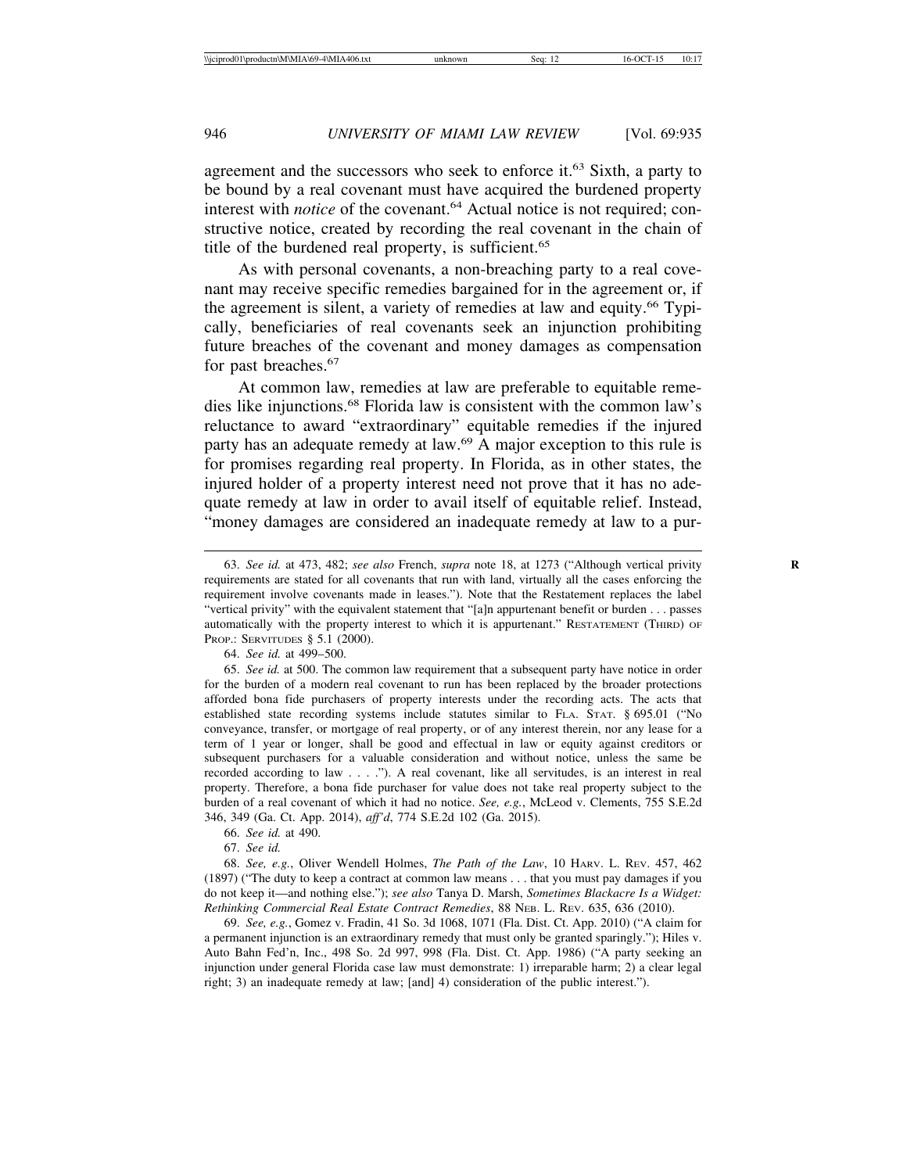agreement and the successors who seek to enforce it.63 Sixth, a party to be bound by a real covenant must have acquired the burdened property interest with *notice* of the covenant.<sup>64</sup> Actual notice is not required; constructive notice, created by recording the real covenant in the chain of title of the burdened real property, is sufficient.<sup>65</sup>

As with personal covenants, a non-breaching party to a real covenant may receive specific remedies bargained for in the agreement or, if the agreement is silent, a variety of remedies at law and equity.<sup>66</sup> Typically, beneficiaries of real covenants seek an injunction prohibiting future breaches of the covenant and money damages as compensation for past breaches.67

At common law, remedies at law are preferable to equitable remedies like injunctions.68 Florida law is consistent with the common law's reluctance to award "extraordinary" equitable remedies if the injured party has an adequate remedy at law.69 A major exception to this rule is for promises regarding real property. In Florida, as in other states, the injured holder of a property interest need not prove that it has no adequate remedy at law in order to avail itself of equitable relief. Instead, "money damages are considered an inadequate remedy at law to a pur-

65. *See id.* at 500. The common law requirement that a subsequent party have notice in order for the burden of a modern real covenant to run has been replaced by the broader protections afforded bona fide purchasers of property interests under the recording acts. The acts that established state recording systems include statutes similar to FLA. STAT. § 695.01 ("No conveyance, transfer, or mortgage of real property, or of any interest therein, nor any lease for a term of 1 year or longer, shall be good and effectual in law or equity against creditors or subsequent purchasers for a valuable consideration and without notice, unless the same be recorded according to law . . . ."). A real covenant, like all servitudes, is an interest in real property. Therefore, a bona fide purchaser for value does not take real property subject to the burden of a real covenant of which it had no notice. *See, e.g.*, McLeod v. Clements, 755 S.E.2d 346, 349 (Ga. Ct. App. 2014), *aff'd*, 774 S.E.2d 102 (Ga. 2015).

66. *See id.* at 490.

67. *See id.*

68. *See, e.g.*, Oliver Wendell Holmes, *The Path of the Law*, 10 HARV. L. REV. 457, 462 (1897) ("The duty to keep a contract at common law means . . . that you must pay damages if you do not keep it—and nothing else."); *see also* Tanya D. Marsh, *Sometimes Blackacre Is a Widget: Rethinking Commercial Real Estate Contract Remedies*, 88 NEB. L. REV. 635, 636 (2010).

69. *See, e.g.*, Gomez v. Fradin, 41 So. 3d 1068, 1071 (Fla. Dist. Ct. App. 2010) ("A claim for a permanent injunction is an extraordinary remedy that must only be granted sparingly."); Hiles v. Auto Bahn Fed'n, Inc., 498 So. 2d 997, 998 (Fla. Dist. Ct. App. 1986) ("A party seeking an injunction under general Florida case law must demonstrate: 1) irreparable harm; 2) a clear legal right; 3) an inadequate remedy at law; [and] 4) consideration of the public interest.").

<sup>63.</sup> *See id.* at 473, 482; *see also* French, *supra* note 18, at 1273 ("Although vertical privity **R** requirements are stated for all covenants that run with land, virtually all the cases enforcing the requirement involve covenants made in leases."). Note that the Restatement replaces the label "vertical privity" with the equivalent statement that "[a]n appurtenant benefit or burden . . . passes automatically with the property interest to which it is appurtenant." RESTATEMENT (THIRD) OF PROP.: SERVITUDES § 5.1 (2000).

<sup>64.</sup> *See id.* at 499–500.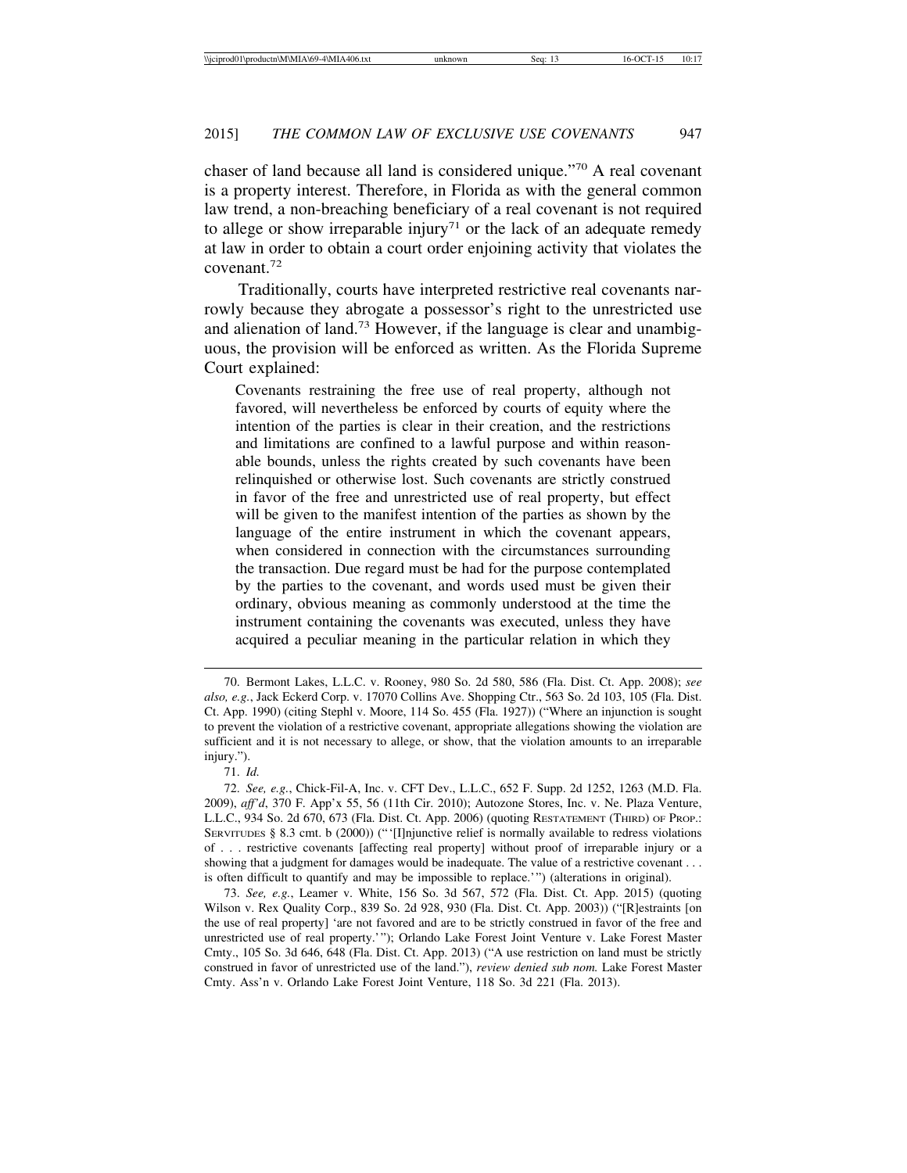chaser of land because all land is considered unique."70 A real covenant is a property interest. Therefore, in Florida as with the general common law trend, a non-breaching beneficiary of a real covenant is not required to allege or show irreparable injury<sup>71</sup> or the lack of an adequate remedy at law in order to obtain a court order enjoining activity that violates the covenant.72

Traditionally, courts have interpreted restrictive real covenants narrowly because they abrogate a possessor's right to the unrestricted use and alienation of land.73 However, if the language is clear and unambiguous, the provision will be enforced as written. As the Florida Supreme Court explained:

Covenants restraining the free use of real property, although not favored, will nevertheless be enforced by courts of equity where the intention of the parties is clear in their creation, and the restrictions and limitations are confined to a lawful purpose and within reasonable bounds, unless the rights created by such covenants have been relinquished or otherwise lost. Such covenants are strictly construed in favor of the free and unrestricted use of real property, but effect will be given to the manifest intention of the parties as shown by the language of the entire instrument in which the covenant appears, when considered in connection with the circumstances surrounding the transaction. Due regard must be had for the purpose contemplated by the parties to the covenant, and words used must be given their ordinary, obvious meaning as commonly understood at the time the instrument containing the covenants was executed, unless they have acquired a peculiar meaning in the particular relation in which they

71. *Id.*

73. *See, e.g.*, Leamer v. White, 156 So. 3d 567, 572 (Fla. Dist. Ct. App. 2015) (quoting Wilson v. Rex Quality Corp., 839 So. 2d 928, 930 (Fla. Dist. Ct. App. 2003)) ("[R]estraints [on the use of real property] 'are not favored and are to be strictly construed in favor of the free and unrestricted use of real property.'"); Orlando Lake Forest Joint Venture v. Lake Forest Master Cmty., 105 So. 3d 646, 648 (Fla. Dist. Ct. App. 2013) ("A use restriction on land must be strictly construed in favor of unrestricted use of the land."), *review denied sub nom.* Lake Forest Master Cmty. Ass'n v. Orlando Lake Forest Joint Venture, 118 So. 3d 221 (Fla. 2013).

<sup>70.</sup> Bermont Lakes, L.L.C. v. Rooney, 980 So. 2d 580, 586 (Fla. Dist. Ct. App. 2008); *see also, e.g.*, Jack Eckerd Corp. v. 17070 Collins Ave. Shopping Ctr., 563 So. 2d 103, 105 (Fla. Dist. Ct. App. 1990) (citing Stephl v. Moore, 114 So. 455 (Fla. 1927)) ("Where an injunction is sought to prevent the violation of a restrictive covenant, appropriate allegations showing the violation are sufficient and it is not necessary to allege, or show, that the violation amounts to an irreparable injury.").

<sup>72.</sup> *See, e.g.*, Chick-Fil-A, Inc. v. CFT Dev., L.L.C., 652 F. Supp. 2d 1252, 1263 (M.D. Fla. 2009), *aff'd*, 370 F. App'x 55, 56 (11th Cir. 2010); Autozone Stores, Inc. v. Ne. Plaza Venture, L.L.C., 934 So. 2d 670, 673 (Fla. Dist. Ct. App. 2006) (quoting RESTATEMENT (THIRD) OF PROP.: SERVITUDES § 8.3 cmt. b (2000)) ("'[I]njunctive relief is normally available to redress violations of . . . restrictive covenants [affecting real property] without proof of irreparable injury or a showing that a judgment for damages would be inadequate. The value of a restrictive covenant . . . is often difficult to quantify and may be impossible to replace.'") (alterations in original).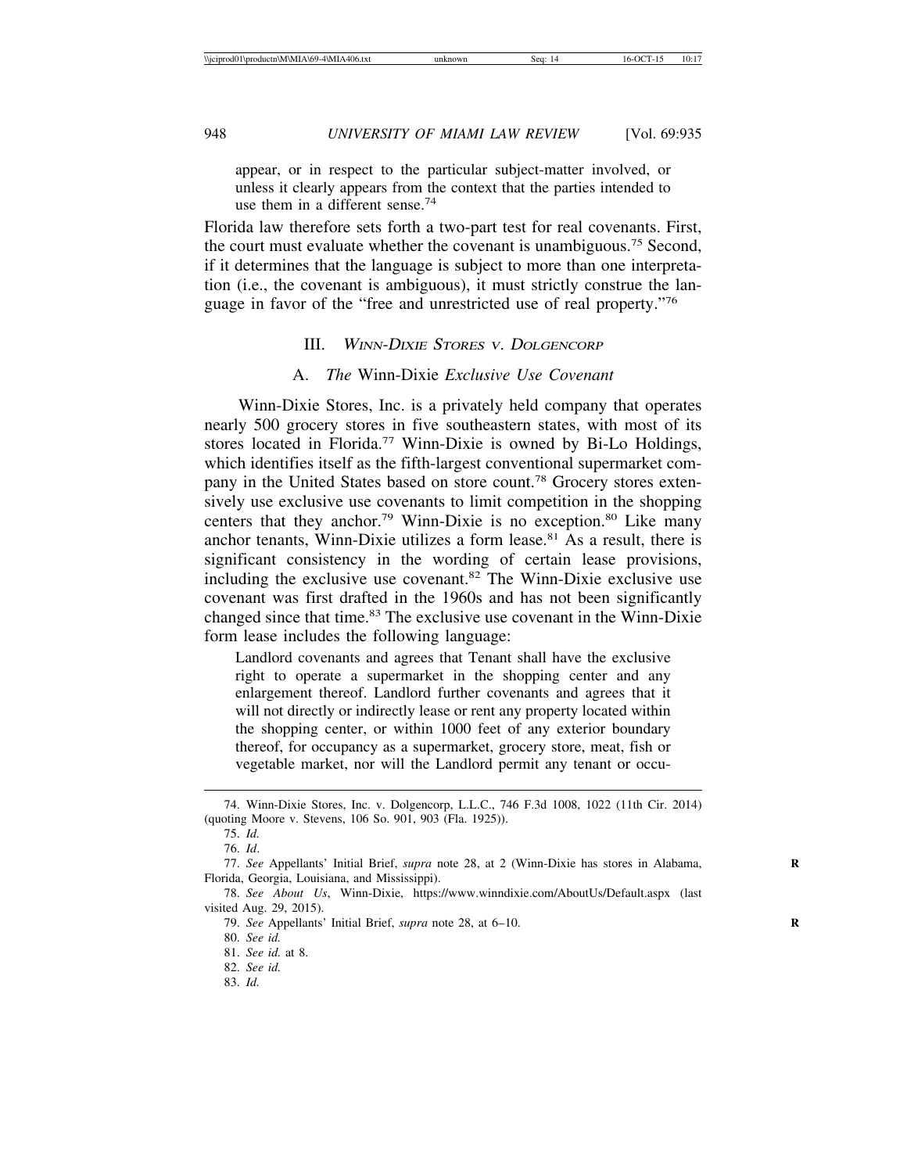appear, or in respect to the particular subject-matter involved, or unless it clearly appears from the context that the parties intended to use them in a different sense.<sup>74</sup>

Florida law therefore sets forth a two-part test for real covenants. First, the court must evaluate whether the covenant is unambiguous.75 Second, if it determines that the language is subject to more than one interpretation (i.e., the covenant is ambiguous), it must strictly construe the language in favor of the "free and unrestricted use of real property."76

## III. <sup>W</sup>INN-DIXIE STORES <sup>V</sup>. DOLGENCORP

#### A. *The* Winn-Dixie *Exclusive Use Covenant*

Winn-Dixie Stores, Inc. is a privately held company that operates nearly 500 grocery stores in five southeastern states, with most of its stores located in Florida.77 Winn-Dixie is owned by Bi-Lo Holdings, which identifies itself as the fifth-largest conventional supermarket company in the United States based on store count.78 Grocery stores extensively use exclusive use covenants to limit competition in the shopping centers that they anchor.<sup>79</sup> Winn-Dixie is no exception.<sup>80</sup> Like many anchor tenants, Winn-Dixie utilizes a form lease. $81$  As a result, there is significant consistency in the wording of certain lease provisions, including the exclusive use covenant.82 The Winn-Dixie exclusive use covenant was first drafted in the 1960s and has not been significantly changed since that time.<sup>83</sup> The exclusive use covenant in the Winn-Dixie form lease includes the following language:

Landlord covenants and agrees that Tenant shall have the exclusive right to operate a supermarket in the shopping center and any enlargement thereof. Landlord further covenants and agrees that it will not directly or indirectly lease or rent any property located within the shopping center, or within 1000 feet of any exterior boundary thereof, for occupancy as a supermarket, grocery store, meat, fish or vegetable market, nor will the Landlord permit any tenant or occu-

<sup>74.</sup> Winn-Dixie Stores, Inc. v. Dolgencorp, L.L.C., 746 F.3d 1008, 1022 (11th Cir. 2014) (quoting Moore v. Stevens, 106 So. 901, 903 (Fla. 1925)).

<sup>75.</sup> *Id.*

<sup>76.</sup> *Id*.

<sup>77.</sup> *See* Appellants' Initial Brief, *supra* note 28, at 2 (Winn-Dixie has stores in Alabama, **R** Florida, Georgia, Louisiana, and Mississippi).

<sup>78.</sup> *See About Us*, Winn-Dixie, https://www.winndixie.com/AboutUs/Default.aspx (last visited Aug. 29, 2015).

<sup>79.</sup> *See* Appellants' Initial Brief, *supra* note 28, at 6–10. **R**

<sup>80.</sup> *See id.*

<sup>81.</sup> *See id.* at 8.

<sup>82.</sup> *See id.*

<sup>83.</sup> *Id.*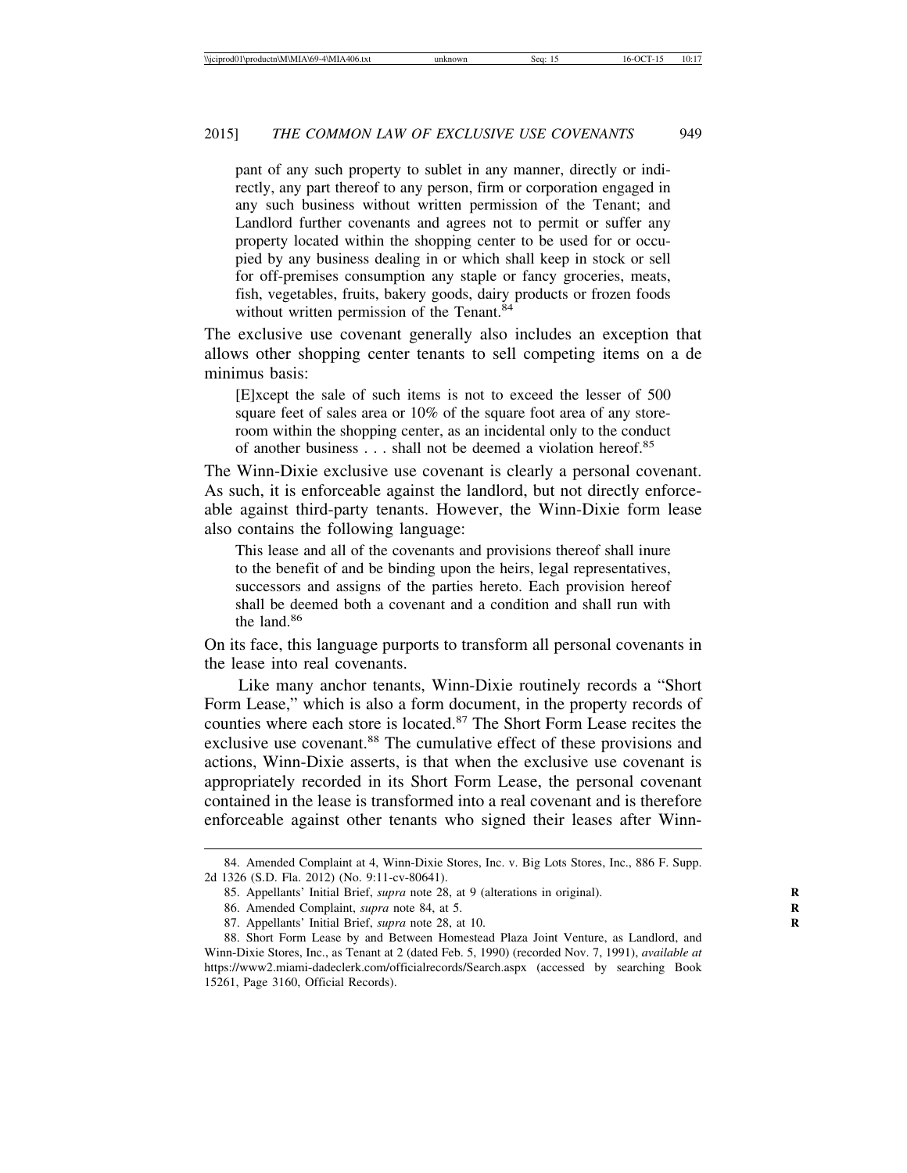pant of any such property to sublet in any manner, directly or indirectly, any part thereof to any person, firm or corporation engaged in any such business without written permission of the Tenant; and Landlord further covenants and agrees not to permit or suffer any property located within the shopping center to be used for or occupied by any business dealing in or which shall keep in stock or sell for off-premises consumption any staple or fancy groceries, meats, fish, vegetables, fruits, bakery goods, dairy products or frozen foods without written permission of the Tenant.<sup>84</sup>

The exclusive use covenant generally also includes an exception that allows other shopping center tenants to sell competing items on a de minimus basis:

[E]xcept the sale of such items is not to exceed the lesser of 500 square feet of sales area or 10% of the square foot area of any storeroom within the shopping center, as an incidental only to the conduct of another business . . . shall not be deemed a violation hereof.<sup>85</sup>

The Winn-Dixie exclusive use covenant is clearly a personal covenant. As such, it is enforceable against the landlord, but not directly enforceable against third-party tenants. However, the Winn-Dixie form lease also contains the following language:

This lease and all of the covenants and provisions thereof shall inure to the benefit of and be binding upon the heirs, legal representatives, successors and assigns of the parties hereto. Each provision hereof shall be deemed both a covenant and a condition and shall run with the land.<sup>86</sup>

On its face, this language purports to transform all personal covenants in the lease into real covenants.

Like many anchor tenants, Winn-Dixie routinely records a "Short Form Lease," which is also a form document, in the property records of counties where each store is located.<sup>87</sup> The Short Form Lease recites the exclusive use covenant.<sup>88</sup> The cumulative effect of these provisions and actions, Winn-Dixie asserts, is that when the exclusive use covenant is appropriately recorded in its Short Form Lease, the personal covenant contained in the lease is transformed into a real covenant and is therefore enforceable against other tenants who signed their leases after Winn-

<sup>84.</sup> Amended Complaint at 4, Winn-Dixie Stores, Inc. v. Big Lots Stores, Inc., 886 F. Supp. 2d 1326 (S.D. Fla. 2012) (No. 9:11-cv-80641).

<sup>85.</sup> Appellants' Initial Brief, *supra* note 28, at 9 (alterations in original). **R**

<sup>86.</sup> Amended Complaint, *supra* note 84, at 5. **R**

<sup>87.</sup> Appellants' Initial Brief, *supra* note 28, at 10. **R**

<sup>88.</sup> Short Form Lease by and Between Homestead Plaza Joint Venture, as Landlord, and Winn-Dixie Stores, Inc., as Tenant at 2 (dated Feb. 5, 1990) (recorded Nov. 7, 1991), *available at* https://www2.miami-dadeclerk.com/officialrecords/Search.aspx (accessed by searching Book 15261, Page 3160, Official Records).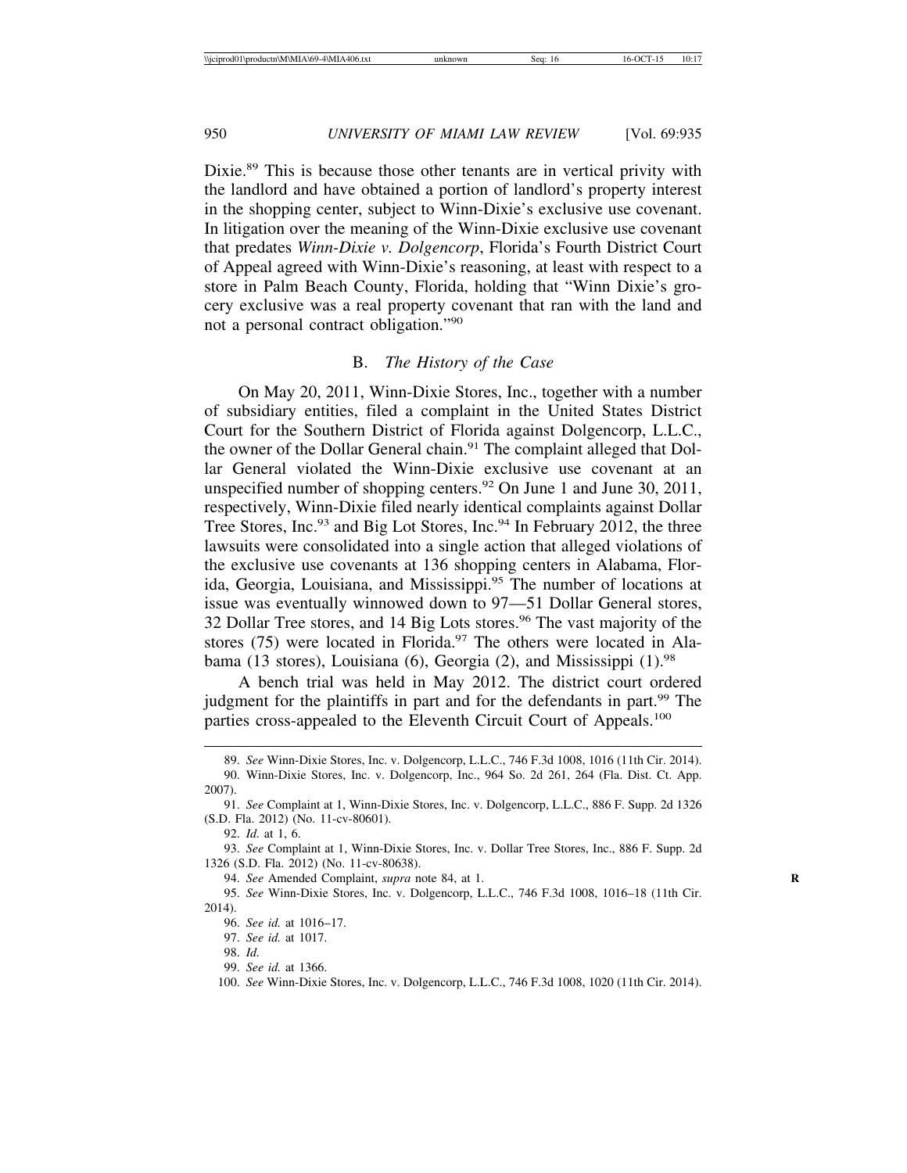Dixie.<sup>89</sup> This is because those other tenants are in vertical privity with the landlord and have obtained a portion of landlord's property interest in the shopping center, subject to Winn-Dixie's exclusive use covenant. In litigation over the meaning of the Winn-Dixie exclusive use covenant that predates *Winn-Dixie v. Dolgencorp*, Florida's Fourth District Court of Appeal agreed with Winn-Dixie's reasoning, at least with respect to a store in Palm Beach County, Florida, holding that "Winn Dixie's grocery exclusive was a real property covenant that ran with the land and not a personal contract obligation."90

#### B. *The History of the Case*

On May 20, 2011, Winn-Dixie Stores, Inc., together with a number of subsidiary entities, filed a complaint in the United States District Court for the Southern District of Florida against Dolgencorp, L.L.C., the owner of the Dollar General chain.<sup>91</sup> The complaint alleged that Dollar General violated the Winn-Dixie exclusive use covenant at an unspecified number of shopping centers.<sup>92</sup> On June 1 and June 30, 2011, respectively, Winn-Dixie filed nearly identical complaints against Dollar Tree Stores, Inc.<sup>93</sup> and Big Lot Stores, Inc.<sup>94</sup> In February 2012, the three lawsuits were consolidated into a single action that alleged violations of the exclusive use covenants at 136 shopping centers in Alabama, Florida, Georgia, Louisiana, and Mississippi.95 The number of locations at issue was eventually winnowed down to 97—51 Dollar General stores, 32 Dollar Tree stores, and 14 Big Lots stores.<sup>96</sup> The vast majority of the stores  $(75)$  were located in Florida.<sup>97</sup> The others were located in Alabama (13 stores), Louisiana (6), Georgia (2), and Mississippi  $(1)$ .<sup>98</sup>

A bench trial was held in May 2012. The district court ordered judgment for the plaintiffs in part and for the defendants in part.<sup>99</sup> The parties cross-appealed to the Eleventh Circuit Court of Appeals.<sup>100</sup>

94. *See* Amended Complaint, *supra* note 84, at 1. **R**

<sup>89.</sup> *See* Winn-Dixie Stores, Inc. v. Dolgencorp, L.L.C., 746 F.3d 1008, 1016 (11th Cir. 2014). 90. Winn-Dixie Stores, Inc. v. Dolgencorp, Inc., 964 So. 2d 261, 264 (Fla. Dist. Ct. App. 2007).

<sup>91.</sup> *See* Complaint at 1, Winn-Dixie Stores, Inc. v. Dolgencorp, L.L.C., 886 F. Supp. 2d 1326 (S.D. Fla. 2012) (No. 11-cv-80601).

<sup>92.</sup> *Id.* at 1, 6.

<sup>93.</sup> *See* Complaint at 1, Winn-Dixie Stores, Inc. v. Dollar Tree Stores, Inc., 886 F. Supp. 2d 1326 (S.D. Fla. 2012) (No. 11-cv-80638).

<sup>95.</sup> *See* Winn-Dixie Stores, Inc. v. Dolgencorp, L.L.C., 746 F.3d 1008, 1016–18 (11th Cir. 2014).

<sup>96.</sup> *See id.* at 1016–17.

<sup>97.</sup> *See id.* at 1017.

<sup>98.</sup> *Id.*

<sup>99.</sup> *See id.* at 1366.

<sup>100.</sup> *See* Winn-Dixie Stores, Inc. v. Dolgencorp, L.L.C., 746 F.3d 1008, 1020 (11th Cir. 2014).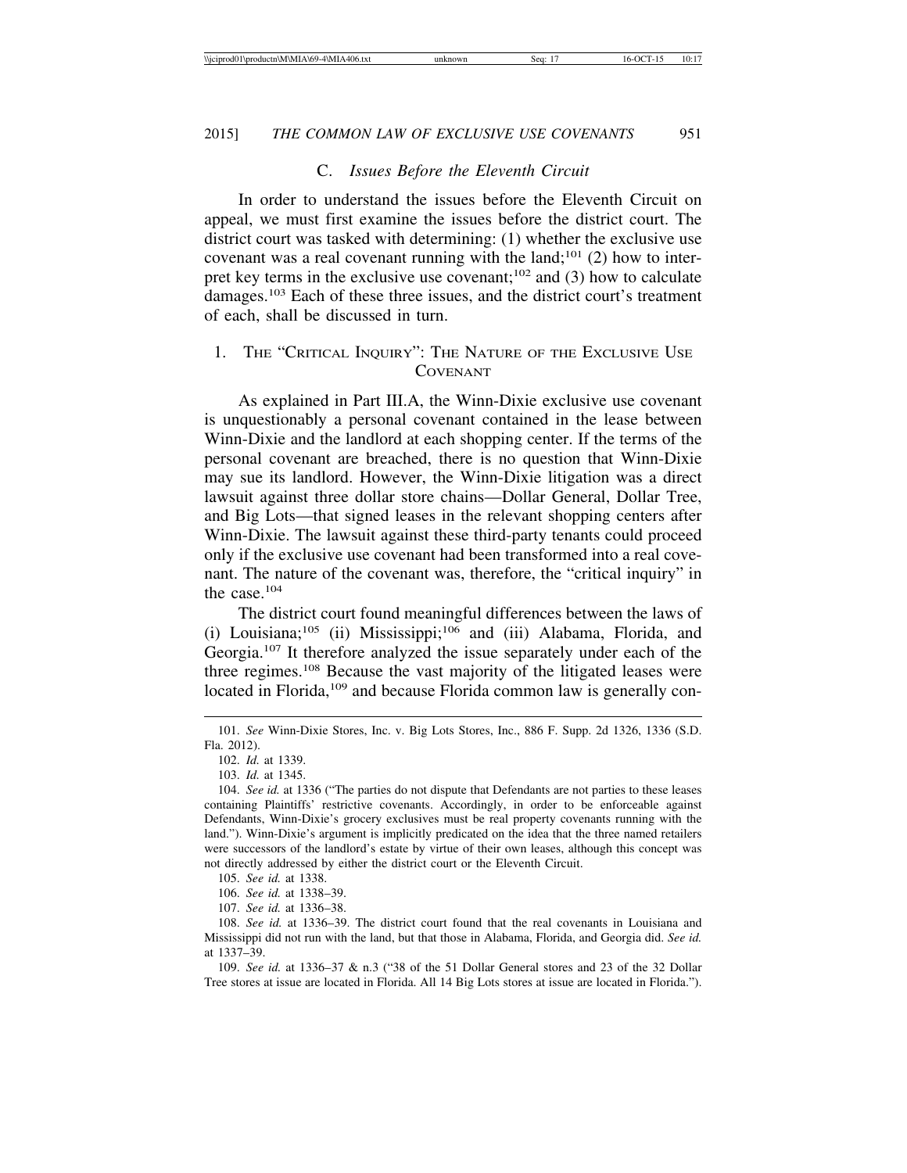#### C. *Issues Before the Eleventh Circuit*

In order to understand the issues before the Eleventh Circuit on appeal, we must first examine the issues before the district court. The district court was tasked with determining: (1) whether the exclusive use covenant was a real covenant running with the land;<sup>101</sup> (2) how to interpret key terms in the exclusive use covenant; $102$  and (3) how to calculate damages.103 Each of these three issues, and the district court's treatment of each, shall be discussed in turn.

## 1. THE "CRITICAL INQUIRY": THE NATURE OF THE EXCLUSIVE USE COVENANT

As explained in Part III.A, the Winn-Dixie exclusive use covenant is unquestionably a personal covenant contained in the lease between Winn-Dixie and the landlord at each shopping center. If the terms of the personal covenant are breached, there is no question that Winn-Dixie may sue its landlord. However, the Winn-Dixie litigation was a direct lawsuit against three dollar store chains—Dollar General, Dollar Tree, and Big Lots—that signed leases in the relevant shopping centers after Winn-Dixie. The lawsuit against these third-party tenants could proceed only if the exclusive use covenant had been transformed into a real covenant. The nature of the covenant was, therefore, the "critical inquiry" in the case.104

The district court found meaningful differences between the laws of (i) Louisiana;<sup>105</sup> (ii) Mississippi;<sup>106</sup> and (iii) Alabama, Florida, and Georgia.107 It therefore analyzed the issue separately under each of the three regimes.<sup>108</sup> Because the vast majority of the litigated leases were located in Florida,<sup>109</sup> and because Florida common law is generally con-

109. *See id.* at 1336–37 & n.3 ("38 of the 51 Dollar General stores and 23 of the 32 Dollar Tree stores at issue are located in Florida. All 14 Big Lots stores at issue are located in Florida.").

<sup>101.</sup> *See* Winn-Dixie Stores, Inc. v. Big Lots Stores, Inc., 886 F. Supp. 2d 1326, 1336 (S.D. Fla. 2012).

<sup>102.</sup> *Id.* at 1339.

<sup>103.</sup> *Id.* at 1345.

<sup>104.</sup> *See id.* at 1336 ("The parties do not dispute that Defendants are not parties to these leases containing Plaintiffs' restrictive covenants. Accordingly, in order to be enforceable against Defendants, Winn-Dixie's grocery exclusives must be real property covenants running with the land."). Winn-Dixie's argument is implicitly predicated on the idea that the three named retailers were successors of the landlord's estate by virtue of their own leases, although this concept was not directly addressed by either the district court or the Eleventh Circuit.

<sup>105.</sup> *See id.* at 1338.

<sup>106.</sup> *See id.* at 1338–39.

<sup>107.</sup> *See id.* at 1336–38.

<sup>108.</sup> *See id.* at 1336–39. The district court found that the real covenants in Louisiana and Mississippi did not run with the land, but that those in Alabama, Florida, and Georgia did. *See id.* at 1337–39.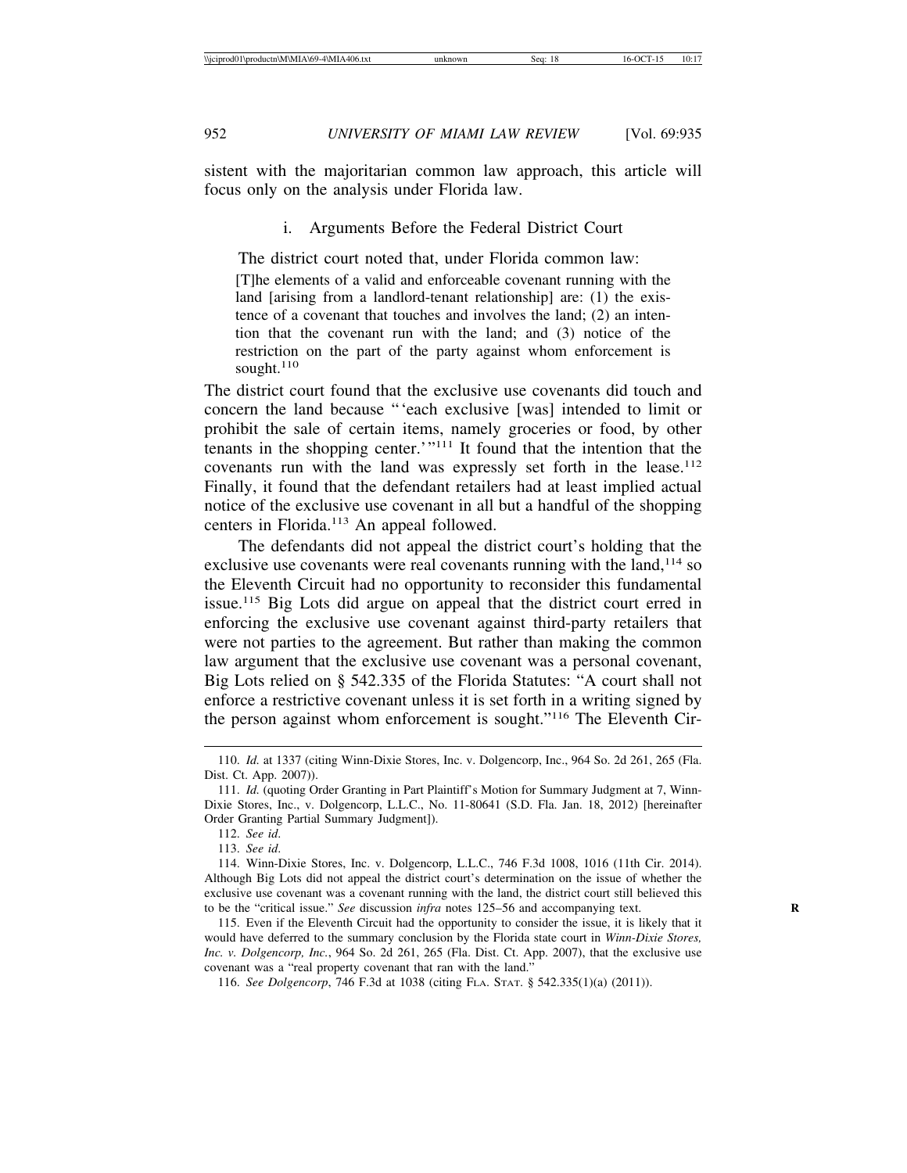sistent with the majoritarian common law approach, this article will focus only on the analysis under Florida law.

i. Arguments Before the Federal District Court

The district court noted that, under Florida common law: [T]he elements of a valid and enforceable covenant running with the land [arising from a landlord-tenant relationship] are: (1) the existence of a covenant that touches and involves the land; (2) an intention that the covenant run with the land; and (3) notice of the restriction on the part of the party against whom enforcement is sought. $110$ 

The district court found that the exclusive use covenants did touch and concern the land because "'each exclusive [was] intended to limit or prohibit the sale of certain items, namely groceries or food, by other tenants in the shopping center.'"111 It found that the intention that the covenants run with the land was expressly set forth in the lease.<sup>112</sup> Finally, it found that the defendant retailers had at least implied actual notice of the exclusive use covenant in all but a handful of the shopping centers in Florida.113 An appeal followed.

The defendants did not appeal the district court's holding that the exclusive use covenants were real covenants running with the land, $114$  so the Eleventh Circuit had no opportunity to reconsider this fundamental issue.115 Big Lots did argue on appeal that the district court erred in enforcing the exclusive use covenant against third-party retailers that were not parties to the agreement. But rather than making the common law argument that the exclusive use covenant was a personal covenant, Big Lots relied on § 542.335 of the Florida Statutes: "A court shall not enforce a restrictive covenant unless it is set forth in a writing signed by the person against whom enforcement is sought."116 The Eleventh Cir-

<sup>110.</sup> *Id.* at 1337 (citing Winn-Dixie Stores, Inc. v. Dolgencorp, Inc., 964 So. 2d 261, 265 (Fla. Dist. Ct. App. 2007)).

<sup>111.</sup> *Id.* (quoting Order Granting in Part Plaintiff's Motion for Summary Judgment at 7, Winn-Dixie Stores, Inc., v. Dolgencorp, L.L.C., No. 11-80641 (S.D. Fla. Jan. 18, 2012) [hereinafter Order Granting Partial Summary Judgment]).

<sup>112.</sup> *See id*.

<sup>113.</sup> *See id*.

<sup>114.</sup> Winn-Dixie Stores, Inc. v. Dolgencorp, L.L.C., 746 F.3d 1008, 1016 (11th Cir. 2014). Although Big Lots did not appeal the district court's determination on the issue of whether the exclusive use covenant was a covenant running with the land, the district court still believed this to be the "critical issue." *See* discussion *infra* notes 125–56 and accompanying text.

<sup>115.</sup> Even if the Eleventh Circuit had the opportunity to consider the issue, it is likely that it would have deferred to the summary conclusion by the Florida state court in *Winn-Dixie Stores, Inc. v. Dolgencorp, Inc.*, 964 So. 2d 261, 265 (Fla. Dist. Ct. App. 2007), that the exclusive use covenant was a "real property covenant that ran with the land."

<sup>116.</sup> *See Dolgencorp*, 746 F.3d at 1038 (citing FLA. STAT. § 542.335(1)(a) (2011)).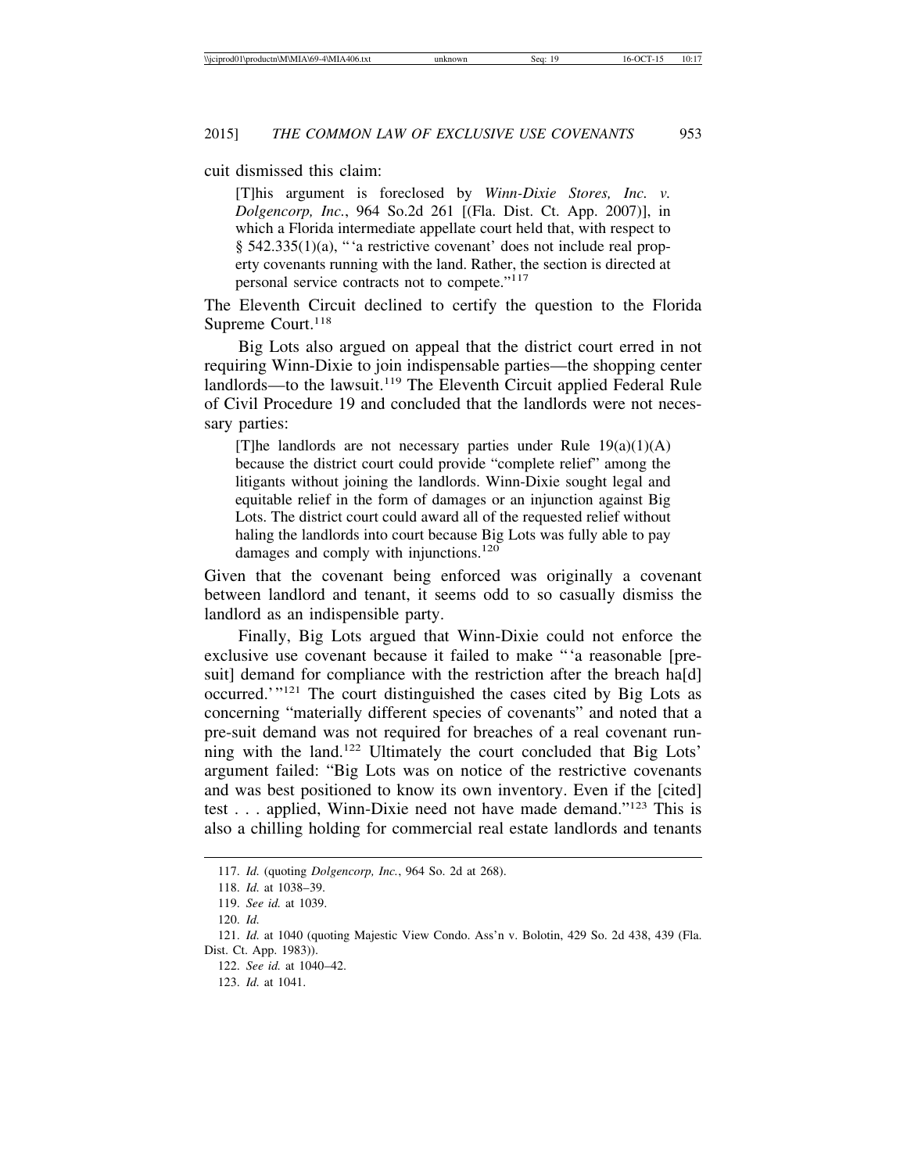cuit dismissed this claim:

[T]his argument is foreclosed by *Winn-Dixie Stores, Inc. v. Dolgencorp, Inc.*, 964 So.2d 261 [(Fla. Dist. Ct. App. 2007)], in which a Florida intermediate appellate court held that, with respect to § 542.335(1)(a), "'a restrictive covenant' does not include real property covenants running with the land. Rather, the section is directed at personal service contracts not to compete."<sup>117</sup>

The Eleventh Circuit declined to certify the question to the Florida Supreme Court.<sup>118</sup>

Big Lots also argued on appeal that the district court erred in not requiring Winn-Dixie to join indispensable parties—the shopping center landlords—to the lawsuit.<sup>119</sup> The Eleventh Circuit applied Federal Rule of Civil Procedure 19 and concluded that the landlords were not necessary parties:

[T]he landlords are not necessary parties under Rule  $19(a)(1)(A)$ because the district court could provide "complete relief" among the litigants without joining the landlords. Winn-Dixie sought legal and equitable relief in the form of damages or an injunction against Big Lots. The district court could award all of the requested relief without haling the landlords into court because Big Lots was fully able to pay damages and comply with injunctions.<sup>120</sup>

Given that the covenant being enforced was originally a covenant between landlord and tenant, it seems odd to so casually dismiss the landlord as an indispensible party.

Finally, Big Lots argued that Winn-Dixie could not enforce the exclusive use covenant because it failed to make "'a reasonable [presuit] demand for compliance with the restriction after the breach ha[d] occurred.'"121 The court distinguished the cases cited by Big Lots as concerning "materially different species of covenants" and noted that a pre-suit demand was not required for breaches of a real covenant running with the land.122 Ultimately the court concluded that Big Lots' argument failed: "Big Lots was on notice of the restrictive covenants and was best positioned to know its own inventory. Even if the [cited] test . . . applied, Winn-Dixie need not have made demand."123 This is also a chilling holding for commercial real estate landlords and tenants

<sup>117.</sup> *Id.* (quoting *Dolgencorp, Inc.*, 964 So. 2d at 268).

<sup>118.</sup> *Id.* at 1038–39.

<sup>119.</sup> *See id.* at 1039.

<sup>120.</sup> *Id.*

<sup>121.</sup> *Id.* at 1040 (quoting Majestic View Condo. Ass'n v. Bolotin, 429 So. 2d 438, 439 (Fla. Dist. Ct. App. 1983)).

<sup>122.</sup> *See id.* at 1040–42.

<sup>123.</sup> *Id.* at 1041.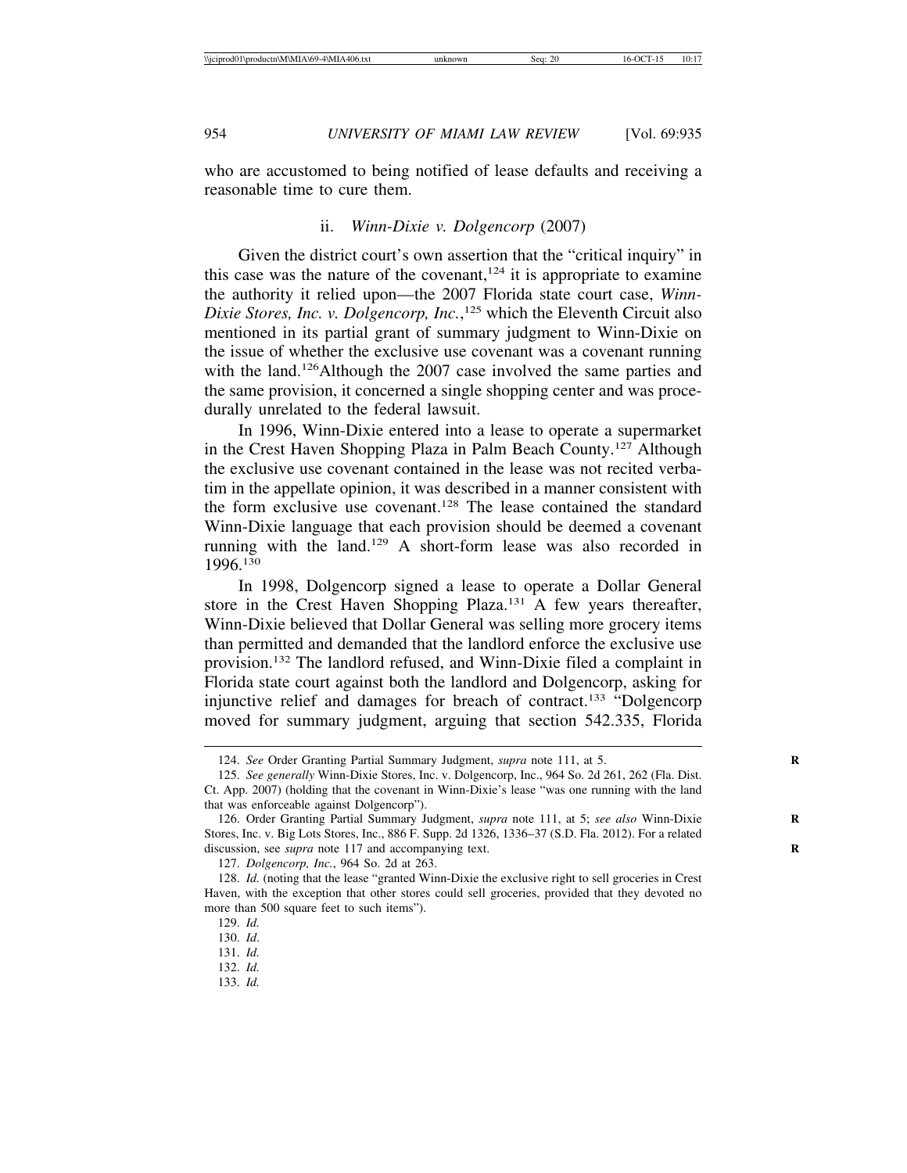who are accustomed to being notified of lease defaults and receiving a reasonable time to cure them.

#### ii. *Winn-Dixie v. Dolgencorp* (2007)

Given the district court's own assertion that the "critical inquiry" in this case was the nature of the covenant,  $124$  it is appropriate to examine the authority it relied upon—the 2007 Florida state court case, *Winn-Dixie Stores, Inc. v. Dolgencorp, Inc.*, 125 which the Eleventh Circuit also mentioned in its partial grant of summary judgment to Winn-Dixie on the issue of whether the exclusive use covenant was a covenant running with the land.<sup>126</sup>Although the 2007 case involved the same parties and the same provision, it concerned a single shopping center and was procedurally unrelated to the federal lawsuit.

In 1996, Winn-Dixie entered into a lease to operate a supermarket in the Crest Haven Shopping Plaza in Palm Beach County.127 Although the exclusive use covenant contained in the lease was not recited verbatim in the appellate opinion, it was described in a manner consistent with the form exclusive use covenant.128 The lease contained the standard Winn-Dixie language that each provision should be deemed a covenant running with the land.129 A short-form lease was also recorded in 1996.130

In 1998, Dolgencorp signed a lease to operate a Dollar General store in the Crest Haven Shopping Plaza.131 A few years thereafter, Winn-Dixie believed that Dollar General was selling more grocery items than permitted and demanded that the landlord enforce the exclusive use provision.132 The landlord refused, and Winn-Dixie filed a complaint in Florida state court against both the landlord and Dolgencorp, asking for injunctive relief and damages for breach of contract.<sup>133</sup> "Dolgencorp moved for summary judgment, arguing that section 542.335, Florida

131. *Id.*

133. *Id.*

<sup>124.</sup> *See* Order Granting Partial Summary Judgment, *supra* note 111, at 5.

<sup>125.</sup> *See generally* Winn-Dixie Stores, Inc. v. Dolgencorp, Inc., 964 So. 2d 261, 262 (Fla. Dist. Ct. App. 2007) (holding that the covenant in Winn-Dixie's lease "was one running with the land that was enforceable against Dolgencorp").

<sup>126.</sup> Order Granting Partial Summary Judgment, *supra* note 111, at 5; see also Winn-Dixie Stores, Inc. v. Big Lots Stores, Inc., 886 F. Supp. 2d 1326, 1336–37 (S.D. Fla. 2012). For a related discussion, see *supra* note 117 and accompanying text. **R**

<sup>127.</sup> *Dolgencorp, Inc.*, 964 So. 2d at 263.

<sup>128.</sup> *Id.* (noting that the lease "granted Winn-Dixie the exclusive right to sell groceries in Crest Haven, with the exception that other stores could sell groceries, provided that they devoted no more than 500 square feet to such items").

<sup>129.</sup> *Id.*

<sup>130.</sup> *Id*.

<sup>132.</sup> *Id.*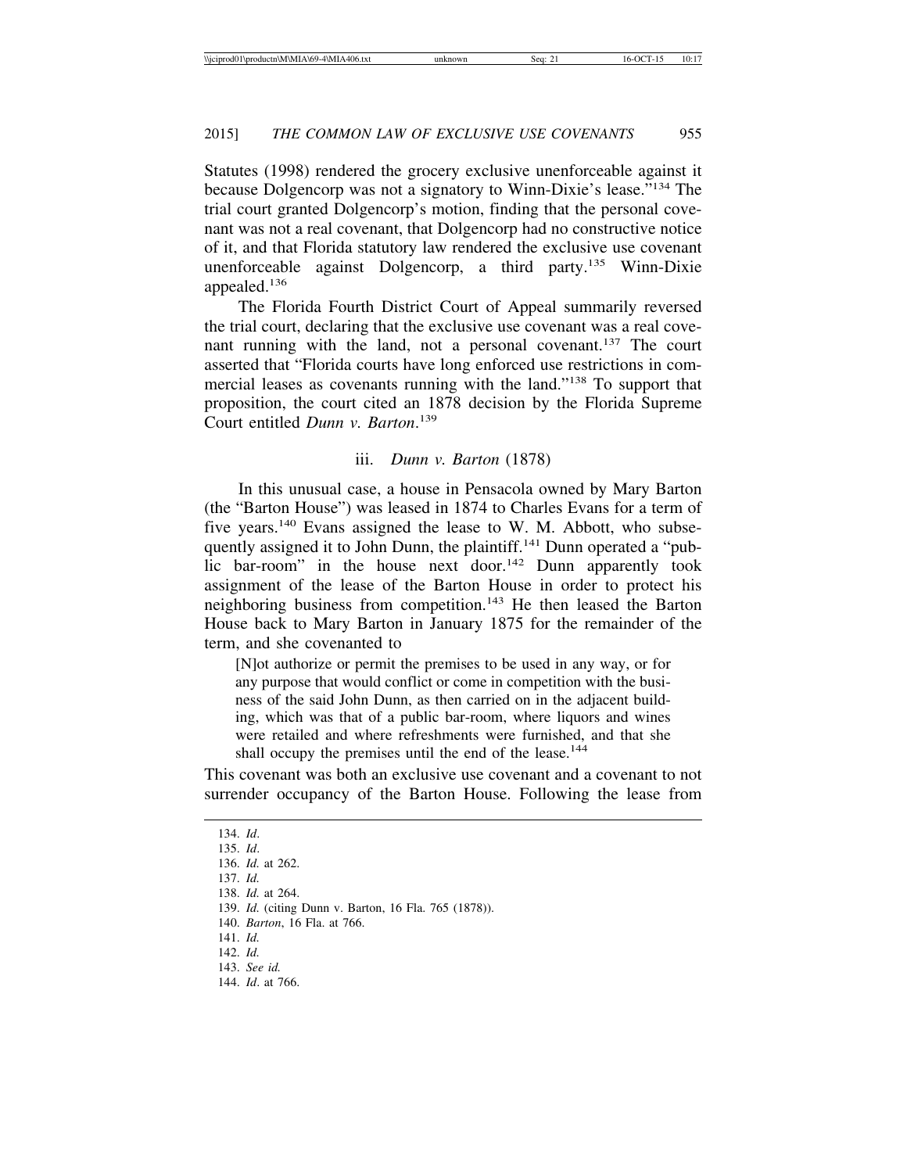Statutes (1998) rendered the grocery exclusive unenforceable against it because Dolgencorp was not a signatory to Winn-Dixie's lease."134 The trial court granted Dolgencorp's motion, finding that the personal covenant was not a real covenant, that Dolgencorp had no constructive notice of it, and that Florida statutory law rendered the exclusive use covenant unenforceable against Dolgencorp, a third party.135 Winn-Dixie appealed.<sup>136</sup>

The Florida Fourth District Court of Appeal summarily reversed the trial court, declaring that the exclusive use covenant was a real covenant running with the land, not a personal covenant.<sup>137</sup> The court asserted that "Florida courts have long enforced use restrictions in commercial leases as covenants running with the land."138 To support that proposition, the court cited an 1878 decision by the Florida Supreme Court entitled *Dunn v. Barton*. 139

#### iii. *Dunn v. Barton* (1878)

In this unusual case, a house in Pensacola owned by Mary Barton (the "Barton House") was leased in 1874 to Charles Evans for a term of five years.<sup>140</sup> Evans assigned the lease to W. M. Abbott, who subsequently assigned it to John Dunn, the plaintiff.<sup>141</sup> Dunn operated a "public bar-room" in the house next door.<sup>142</sup> Dunn apparently took assignment of the lease of the Barton House in order to protect his neighboring business from competition.<sup>143</sup> He then leased the Barton House back to Mary Barton in January 1875 for the remainder of the term, and she covenanted to

[N]ot authorize or permit the premises to be used in any way, or for any purpose that would conflict or come in competition with the business of the said John Dunn, as then carried on in the adjacent building, which was that of a public bar-room, where liquors and wines were retailed and where refreshments were furnished, and that she shall occupy the premises until the end of the lease.<sup>144</sup>

This covenant was both an exclusive use covenant and a covenant to not surrender occupancy of the Barton House. Following the lease from

134. *Id*. 135. *Id*. 136. *Id.* at 262. 137. *Id.* 138. *Id.* at 264. 139. *Id.* (citing Dunn v. Barton, 16 Fla. 765 (1878)). 140. *Barton*, 16 Fla. at 766. 141. *Id.* 142. *Id.* 143. *See id.* 144. *Id*. at 766.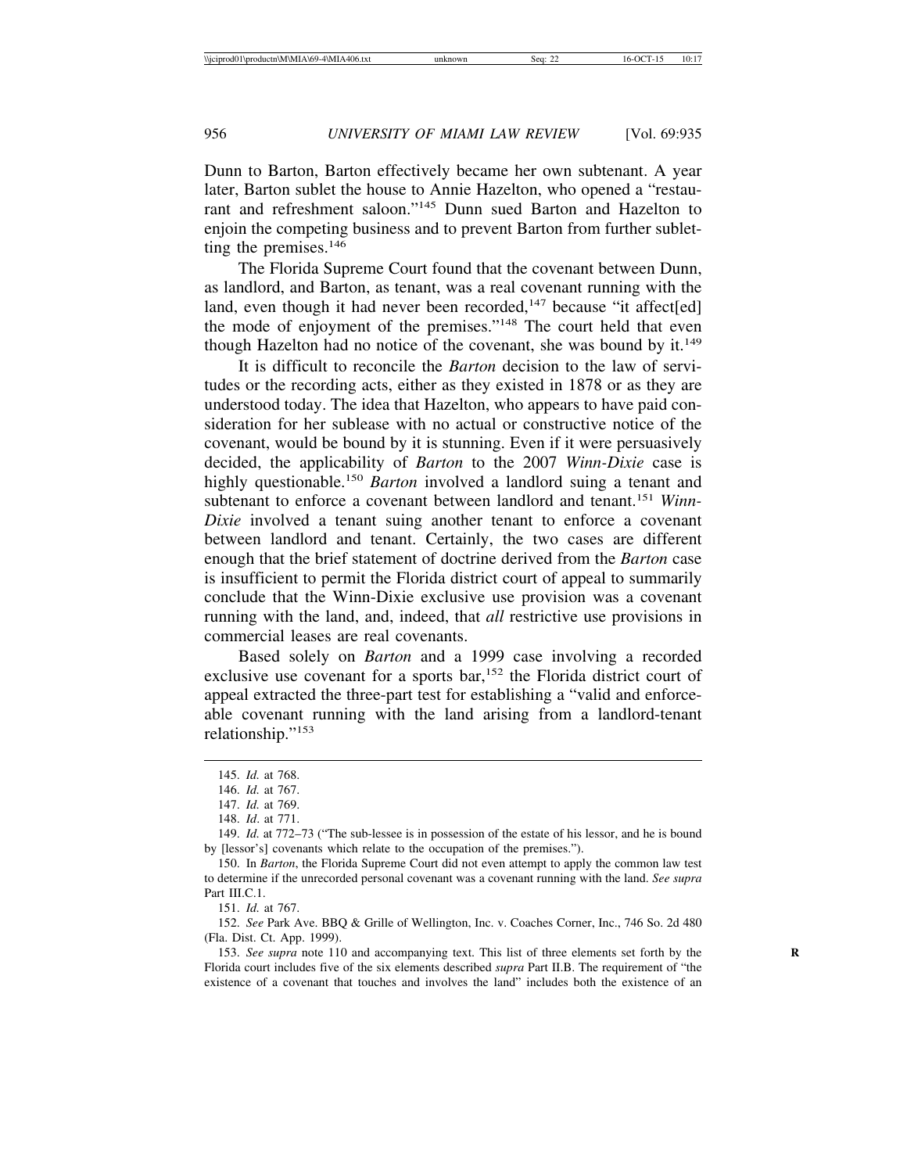Dunn to Barton, Barton effectively became her own subtenant. A year later, Barton sublet the house to Annie Hazelton, who opened a "restaurant and refreshment saloon."145 Dunn sued Barton and Hazelton to enjoin the competing business and to prevent Barton from further subletting the premises.146

The Florida Supreme Court found that the covenant between Dunn, as landlord, and Barton, as tenant, was a real covenant running with the land, even though it had never been recorded,<sup>147</sup> because "it affect[ed] the mode of enjoyment of the premises."148 The court held that even though Hazelton had no notice of the covenant, she was bound by it.<sup>149</sup>

It is difficult to reconcile the *Barton* decision to the law of servitudes or the recording acts, either as they existed in 1878 or as they are understood today. The idea that Hazelton, who appears to have paid consideration for her sublease with no actual or constructive notice of the covenant, would be bound by it is stunning. Even if it were persuasively decided, the applicability of *Barton* to the 2007 *Winn-Dixie* case is highly questionable.150 *Barton* involved a landlord suing a tenant and subtenant to enforce a covenant between landlord and tenant.151 *Winn-Dixie* involved a tenant suing another tenant to enforce a covenant between landlord and tenant. Certainly, the two cases are different enough that the brief statement of doctrine derived from the *Barton* case is insufficient to permit the Florida district court of appeal to summarily conclude that the Winn-Dixie exclusive use provision was a covenant running with the land, and, indeed, that *all* restrictive use provisions in commercial leases are real covenants.

Based solely on *Barton* and a 1999 case involving a recorded exclusive use covenant for a sports bar,<sup>152</sup> the Florida district court of appeal extracted the three-part test for establishing a "valid and enforceable covenant running with the land arising from a landlord-tenant relationship."<sup>153</sup>

151. *Id.* at 767.

152. *See* Park Ave. BBQ & Grille of Wellington, Inc. v. Coaches Corner, Inc., 746 So. 2d 480 (Fla. Dist. Ct. App. 1999).

153. *See supra* note 110 and accompanying text. This list of three elements set forth by the **R** Florida court includes five of the six elements described *supra* Part II.B. The requirement of "the existence of a covenant that touches and involves the land" includes both the existence of an

<sup>145.</sup> *Id.* at 768.

<sup>146.</sup> *Id.* at 767.

<sup>147.</sup> *Id.* at 769.

<sup>148.</sup> *Id*. at 771.

<sup>149.</sup> *Id.* at 772–73 ("The sub-lessee is in possession of the estate of his lessor, and he is bound by [lessor's] covenants which relate to the occupation of the premises.").

<sup>150.</sup> In *Barton*, the Florida Supreme Court did not even attempt to apply the common law test to determine if the unrecorded personal covenant was a covenant running with the land. *See supra* Part III.C.1.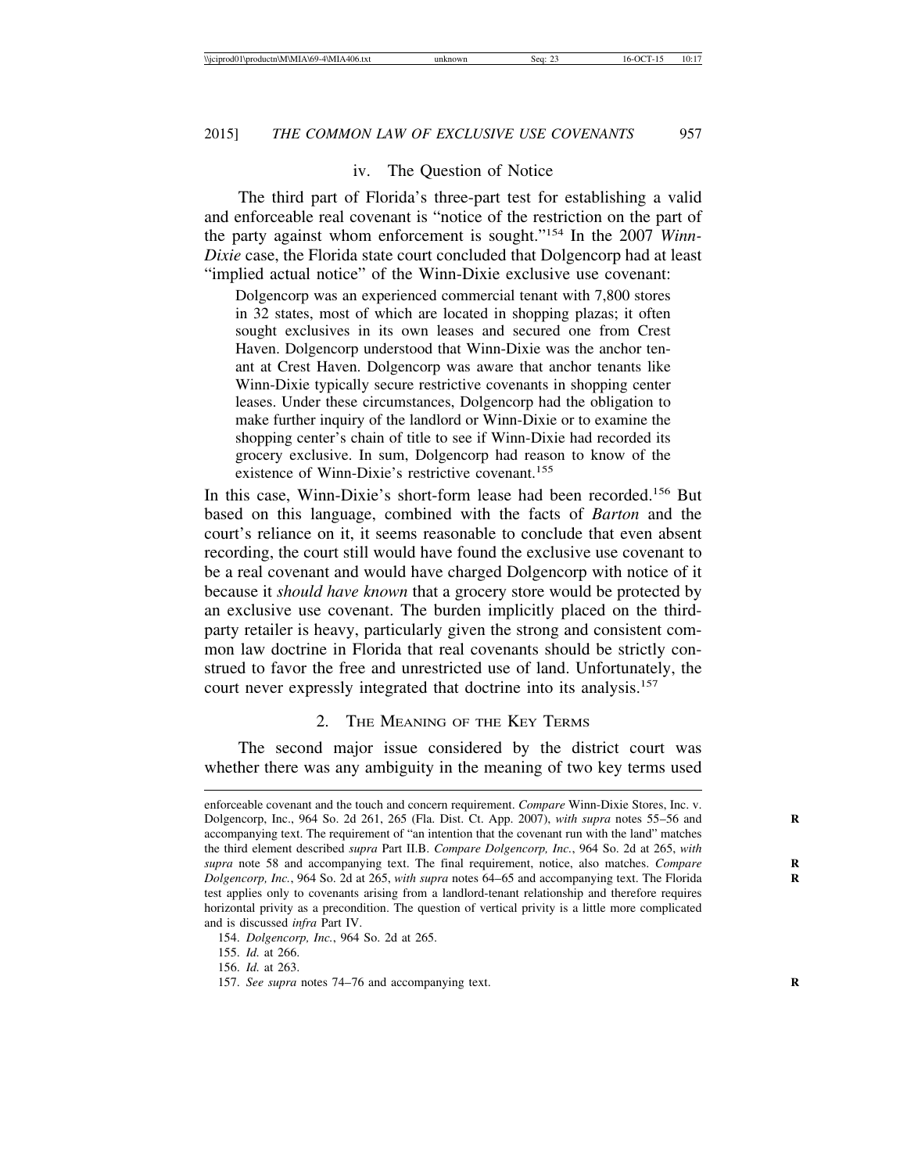## iv. The Question of Notice

The third part of Florida's three-part test for establishing a valid and enforceable real covenant is "notice of the restriction on the part of the party against whom enforcement is sought."154 In the 2007 *Winn-Dixie* case, the Florida state court concluded that Dolgencorp had at least "implied actual notice" of the Winn-Dixie exclusive use covenant:

Dolgencorp was an experienced commercial tenant with 7,800 stores in 32 states, most of which are located in shopping plazas; it often sought exclusives in its own leases and secured one from Crest Haven. Dolgencorp understood that Winn-Dixie was the anchor tenant at Crest Haven. Dolgencorp was aware that anchor tenants like Winn-Dixie typically secure restrictive covenants in shopping center leases. Under these circumstances, Dolgencorp had the obligation to make further inquiry of the landlord or Winn-Dixie or to examine the shopping center's chain of title to see if Winn-Dixie had recorded its grocery exclusive. In sum, Dolgencorp had reason to know of the existence of Winn-Dixie's restrictive covenant.<sup>155</sup>

In this case, Winn-Dixie's short-form lease had been recorded.<sup>156</sup> But based on this language, combined with the facts of *Barton* and the court's reliance on it, it seems reasonable to conclude that even absent recording, the court still would have found the exclusive use covenant to be a real covenant and would have charged Dolgencorp with notice of it because it *should have known* that a grocery store would be protected by an exclusive use covenant. The burden implicitly placed on the thirdparty retailer is heavy, particularly given the strong and consistent common law doctrine in Florida that real covenants should be strictly construed to favor the free and unrestricted use of land. Unfortunately, the court never expressly integrated that doctrine into its analysis.<sup>157</sup>

## 2. THE MEANING OF THE KEY TERMS

The second major issue considered by the district court was whether there was any ambiguity in the meaning of two key terms used

155. *Id.* at 266.

156. *Id.* at 263.

enforceable covenant and the touch and concern requirement. *Compare* Winn-Dixie Stores, Inc. v. Dolgencorp, Inc., 964 So. 2d 261, 265 (Fla. Dist. Ct. App. 2007), *with supra* notes 55–56 and **R** accompanying text. The requirement of "an intention that the covenant run with the land" matches the third element described *supra* Part II.B. *Compare Dolgencorp, Inc.*, 964 So. 2d at 265, *with* supra note 58 and accompanying text. The final requirement, notice, also matches. *Compare Dolgencorp, Inc.*, 964 So. 2d at 265, *with supra* notes 64–65 and accompanying text. The Florida **R** test applies only to covenants arising from a landlord-tenant relationship and therefore requires horizontal privity as a precondition. The question of vertical privity is a little more complicated and is discussed *infra* Part IV.

<sup>154.</sup> *Dolgencorp, Inc.*, 964 So. 2d at 265.

<sup>157.</sup> *See supra* notes 74–76 and accompanying text.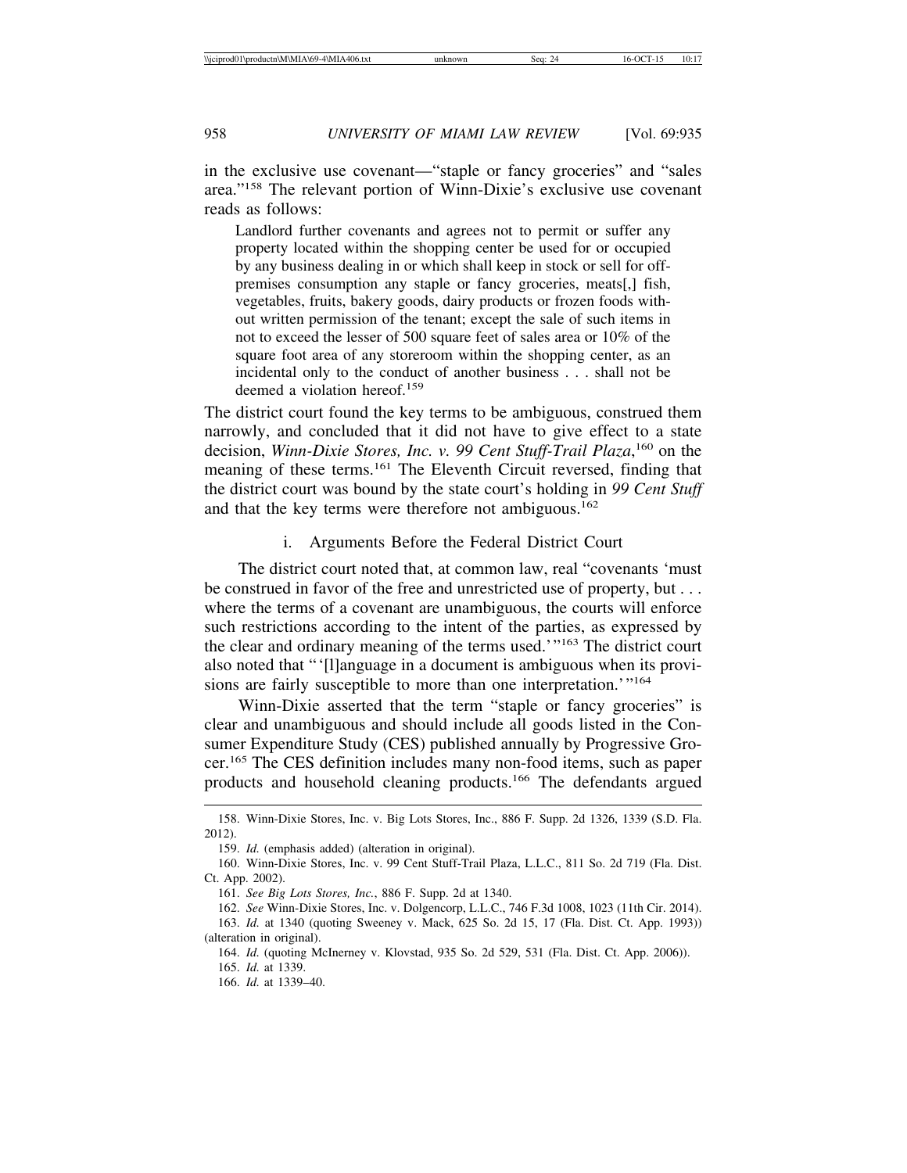in the exclusive use covenant—"staple or fancy groceries" and "sales area."158 The relevant portion of Winn-Dixie's exclusive use covenant reads as follows:

Landlord further covenants and agrees not to permit or suffer any property located within the shopping center be used for or occupied by any business dealing in or which shall keep in stock or sell for offpremises consumption any staple or fancy groceries, meats[,] fish, vegetables, fruits, bakery goods, dairy products or frozen foods without written permission of the tenant; except the sale of such items in not to exceed the lesser of 500 square feet of sales area or 10% of the square foot area of any storeroom within the shopping center, as an incidental only to the conduct of another business . . . shall not be deemed a violation hereof.<sup>159</sup>

The district court found the key terms to be ambiguous, construed them narrowly, and concluded that it did not have to give effect to a state decision, *Winn-Dixie Stores, Inc. v. 99 Cent Stuff-Trail Plaza*,<sup>160</sup> on the meaning of these terms.161 The Eleventh Circuit reversed, finding that the district court was bound by the state court's holding in *99 Cent Stuff* and that the key terms were therefore not ambiguous.<sup>162</sup>

i. Arguments Before the Federal District Court

The district court noted that, at common law, real "covenants 'must be construed in favor of the free and unrestricted use of property, but . . . where the terms of a covenant are unambiguous, the courts will enforce such restrictions according to the intent of the parties, as expressed by the clear and ordinary meaning of the terms used.'"163 The district court also noted that "'[l]anguage in a document is ambiguous when its provisions are fairly susceptible to more than one interpretation.'"<sup>164</sup>

Winn-Dixie asserted that the term "staple or fancy groceries" is clear and unambiguous and should include all goods listed in the Consumer Expenditure Study (CES) published annually by Progressive Grocer.165 The CES definition includes many non-food items, such as paper products and household cleaning products.166 The defendants argued

<sup>158.</sup> Winn-Dixie Stores, Inc. v. Big Lots Stores, Inc., 886 F. Supp. 2d 1326, 1339 (S.D. Fla. 2012).

<sup>159.</sup> *Id.* (emphasis added) (alteration in original).

<sup>160.</sup> Winn-Dixie Stores, Inc. v. 99 Cent Stuff-Trail Plaza, L.L.C., 811 So. 2d 719 (Fla. Dist. Ct. App. 2002).

<sup>161.</sup> *See Big Lots Stores, Inc.*, 886 F. Supp. 2d at 1340.

<sup>162.</sup> *See* Winn-Dixie Stores, Inc. v. Dolgencorp, L.L.C., 746 F.3d 1008, 1023 (11th Cir. 2014). 163. *Id.* at 1340 (quoting Sweeney v. Mack, 625 So. 2d 15, 17 (Fla. Dist. Ct. App. 1993)) (alteration in original).

<sup>164.</sup> *Id.* (quoting McInerney v. Klovstad, 935 So. 2d 529, 531 (Fla. Dist. Ct. App. 2006)).

<sup>165.</sup> *Id.* at 1339.

<sup>166.</sup> *Id.* at 1339–40.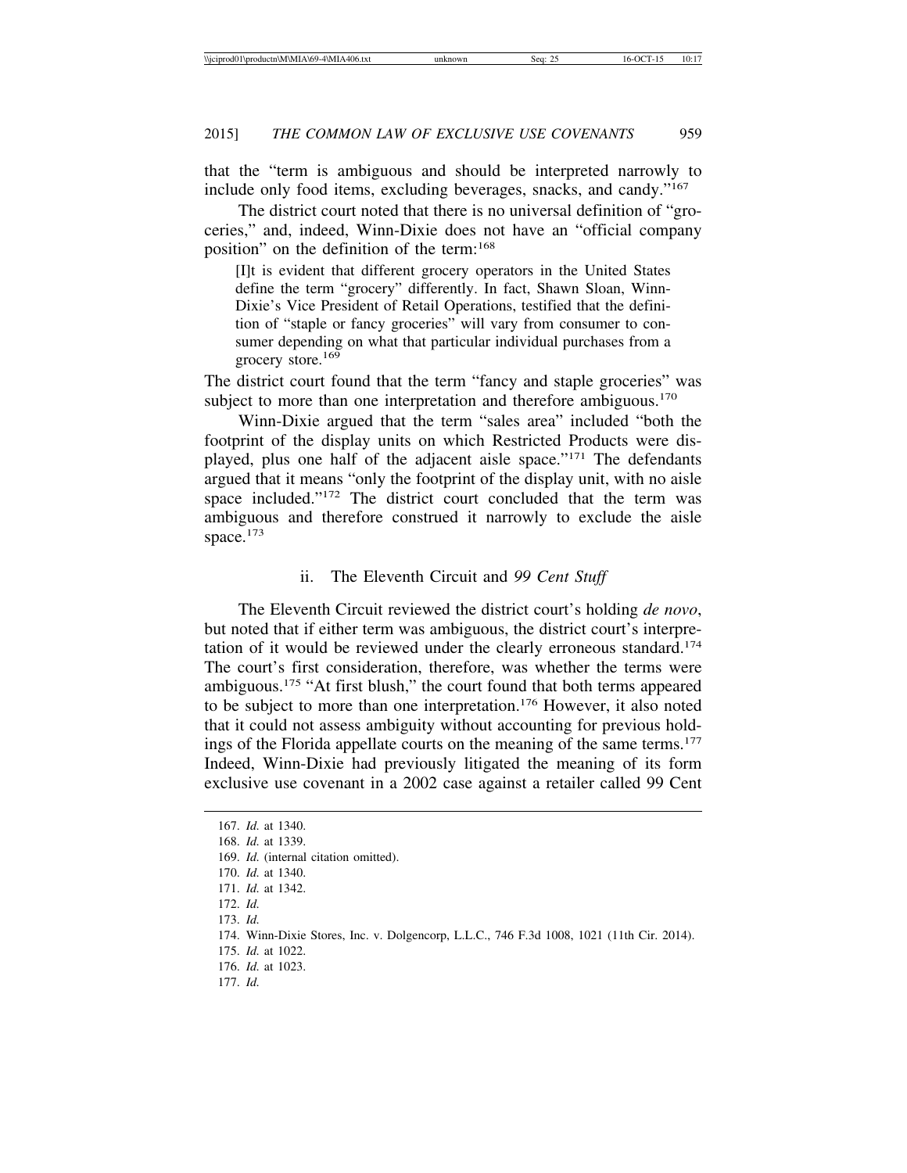that the "term is ambiguous and should be interpreted narrowly to include only food items, excluding beverages, snacks, and candy."167

The district court noted that there is no universal definition of "groceries," and, indeed, Winn-Dixie does not have an "official company position" on the definition of the term:168

[I]t is evident that different grocery operators in the United States define the term "grocery" differently. In fact, Shawn Sloan, Winn-Dixie's Vice President of Retail Operations, testified that the definition of "staple or fancy groceries" will vary from consumer to consumer depending on what that particular individual purchases from a grocery store.<sup>169</sup>

The district court found that the term "fancy and staple groceries" was subject to more than one interpretation and therefore ambiguous.<sup>170</sup>

Winn-Dixie argued that the term "sales area" included "both the footprint of the display units on which Restricted Products were displayed, plus one half of the adjacent aisle space."171 The defendants argued that it means "only the footprint of the display unit, with no aisle space included."172 The district court concluded that the term was ambiguous and therefore construed it narrowly to exclude the aisle space.<sup>173</sup>

#### ii. The Eleventh Circuit and *99 Cent Stuff*

The Eleventh Circuit reviewed the district court's holding *de novo*, but noted that if either term was ambiguous, the district court's interpretation of it would be reviewed under the clearly erroneous standard.174 The court's first consideration, therefore, was whether the terms were ambiguous.175 "At first blush," the court found that both terms appeared to be subject to more than one interpretation.<sup>176</sup> However, it also noted that it could not assess ambiguity without accounting for previous holdings of the Florida appellate courts on the meaning of the same terms.<sup>177</sup> Indeed, Winn-Dixie had previously litigated the meaning of its form exclusive use covenant in a 2002 case against a retailer called 99 Cent

<sup>167.</sup> *Id.* at 1340. 168. *Id.* at 1339. 169. *Id.* (internal citation omitted). 170. *Id.* at 1340. 171. *Id.* at 1342. 172. *Id.* 173. *Id.* 174. Winn-Dixie Stores, Inc. v. Dolgencorp, L.L.C., 746 F.3d 1008, 1021 (11th Cir. 2014). 175. *Id.* at 1022. 176. *Id.* at 1023.

<sup>177.</sup> *Id.*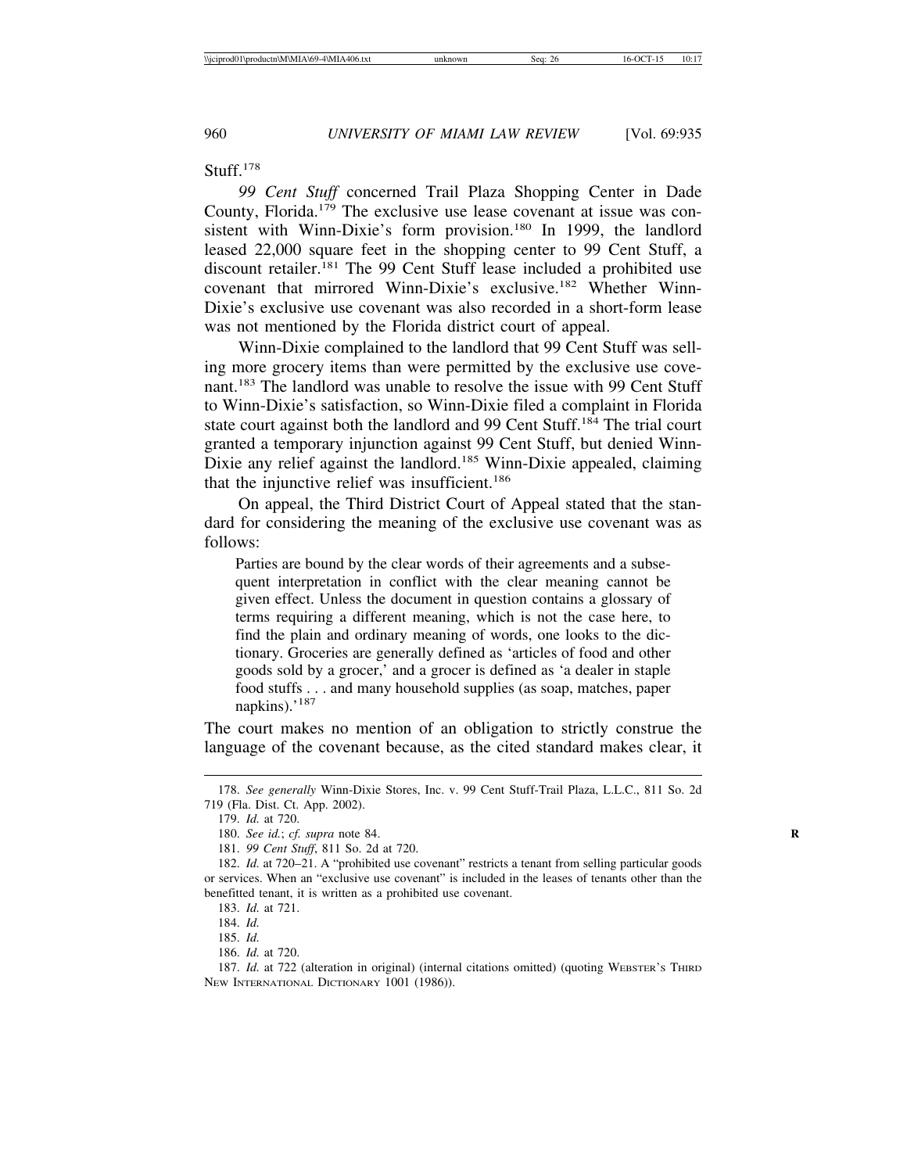Stuff.178

*99 Cent Stuff* concerned Trail Plaza Shopping Center in Dade County, Florida.179 The exclusive use lease covenant at issue was consistent with Winn-Dixie's form provision.<sup>180</sup> In 1999, the landlord leased 22,000 square feet in the shopping center to 99 Cent Stuff, a discount retailer.181 The 99 Cent Stuff lease included a prohibited use covenant that mirrored Winn-Dixie's exclusive.182 Whether Winn-Dixie's exclusive use covenant was also recorded in a short-form lease was not mentioned by the Florida district court of appeal.

Winn-Dixie complained to the landlord that 99 Cent Stuff was selling more grocery items than were permitted by the exclusive use covenant.183 The landlord was unable to resolve the issue with 99 Cent Stuff to Winn-Dixie's satisfaction, so Winn-Dixie filed a complaint in Florida state court against both the landlord and 99 Cent Stuff.<sup>184</sup> The trial court granted a temporary injunction against 99 Cent Stuff, but denied Winn-Dixie any relief against the landlord.<sup>185</sup> Winn-Dixie appealed, claiming that the injunctive relief was insufficient.<sup>186</sup>

On appeal, the Third District Court of Appeal stated that the standard for considering the meaning of the exclusive use covenant was as follows:

Parties are bound by the clear words of their agreements and a subsequent interpretation in conflict with the clear meaning cannot be given effect. Unless the document in question contains a glossary of terms requiring a different meaning, which is not the case here, to find the plain and ordinary meaning of words, one looks to the dictionary. Groceries are generally defined as 'articles of food and other goods sold by a grocer,' and a grocer is defined as 'a dealer in staple food stuffs . . . and many household supplies (as soap, matches, paper napkins).'<sup>187</sup>

The court makes no mention of an obligation to strictly construe the language of the covenant because, as the cited standard makes clear, it

<sup>178.</sup> *See generally* Winn-Dixie Stores, Inc. v. 99 Cent Stuff-Trail Plaza, L.L.C., 811 So. 2d 719 (Fla. Dist. Ct. App. 2002).

<sup>179.</sup> *Id.* at 720.

<sup>180.</sup> *See id.*; *cf. supra* note 84. **R**

<sup>181.</sup> *99 Cent Stuff*, 811 So. 2d at 720.

<sup>182.</sup> *Id.* at 720–21. A "prohibited use covenant" restricts a tenant from selling particular goods or services. When an "exclusive use covenant" is included in the leases of tenants other than the benefitted tenant, it is written as a prohibited use covenant.

<sup>183.</sup> *Id.* at 721.

<sup>184.</sup> *Id.*

<sup>185.</sup> *Id.*

<sup>186.</sup> *Id.* at 720.

<sup>187.</sup> *Id.* at 722 (alteration in original) (internal citations omitted) (quoting WEBSTER'S THIRD NEW INTERNATIONAL DICTIONARY 1001 (1986)).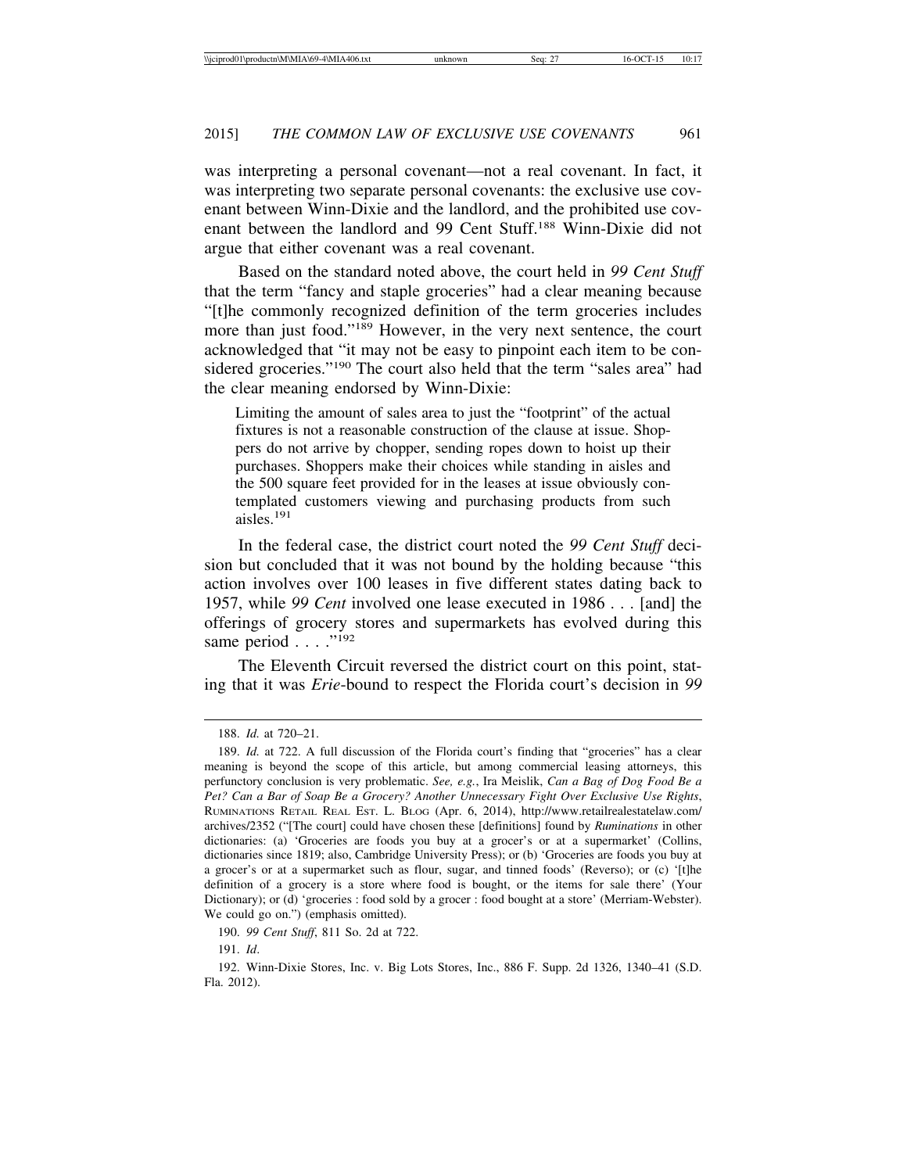was interpreting a personal covenant—not a real covenant. In fact, it was interpreting two separate personal covenants: the exclusive use covenant between Winn-Dixie and the landlord, and the prohibited use covenant between the landlord and 99 Cent Stuff.188 Winn-Dixie did not argue that either covenant was a real covenant.

Based on the standard noted above, the court held in *99 Cent Stuff* that the term "fancy and staple groceries" had a clear meaning because "[t]he commonly recognized definition of the term groceries includes more than just food."189 However, in the very next sentence, the court acknowledged that "it may not be easy to pinpoint each item to be considered groceries."190 The court also held that the term "sales area" had the clear meaning endorsed by Winn-Dixie:

Limiting the amount of sales area to just the "footprint" of the actual fixtures is not a reasonable construction of the clause at issue. Shoppers do not arrive by chopper, sending ropes down to hoist up their purchases. Shoppers make their choices while standing in aisles and the 500 square feet provided for in the leases at issue obviously contemplated customers viewing and purchasing products from such aisles.<sup>191</sup>

In the federal case, the district court noted the *99 Cent Stuff* decision but concluded that it was not bound by the holding because "this action involves over 100 leases in five different states dating back to 1957, while *99 Cent* involved one lease executed in 1986 . . . [and] the offerings of grocery stores and supermarkets has evolved during this same period . . . . "192

The Eleventh Circuit reversed the district court on this point, stating that it was *Erie*-bound to respect the Florida court's decision in *99*

<sup>188.</sup> *Id.* at 720–21.

<sup>189.</sup> *Id.* at 722. A full discussion of the Florida court's finding that "groceries" has a clear meaning is beyond the scope of this article, but among commercial leasing attorneys, this perfunctory conclusion is very problematic. *See, e.g.*, Ira Meislik, *Can a Bag of Dog Food Be a Pet? Can a Bar of Soap Be a Grocery? Another Unnecessary Fight Over Exclusive Use Rights*, RUMINATIONS RETAIL REAL EST. L. BLOG (Apr. 6, 2014), http://www.retailrealestatelaw.com/ archives/2352 ("[The court] could have chosen these [definitions] found by *Ruminations* in other dictionaries: (a) 'Groceries are foods you buy at a grocer's or at a supermarket' (Collins, dictionaries since 1819; also, Cambridge University Press); or (b) 'Groceries are foods you buy at a grocer's or at a supermarket such as flour, sugar, and tinned foods' (Reverso); or (c) '[t]he definition of a grocery is a store where food is bought, or the items for sale there' (Your Dictionary); or (d) 'groceries : food sold by a grocer : food bought at a store' (Merriam-Webster). We could go on.") (emphasis omitted).

<sup>190.</sup> *99 Cent Stuff*, 811 So. 2d at 722.

<sup>191.</sup> *Id*.

<sup>192.</sup> Winn-Dixie Stores, Inc. v. Big Lots Stores, Inc., 886 F. Supp. 2d 1326, 1340–41 (S.D. Fla. 2012).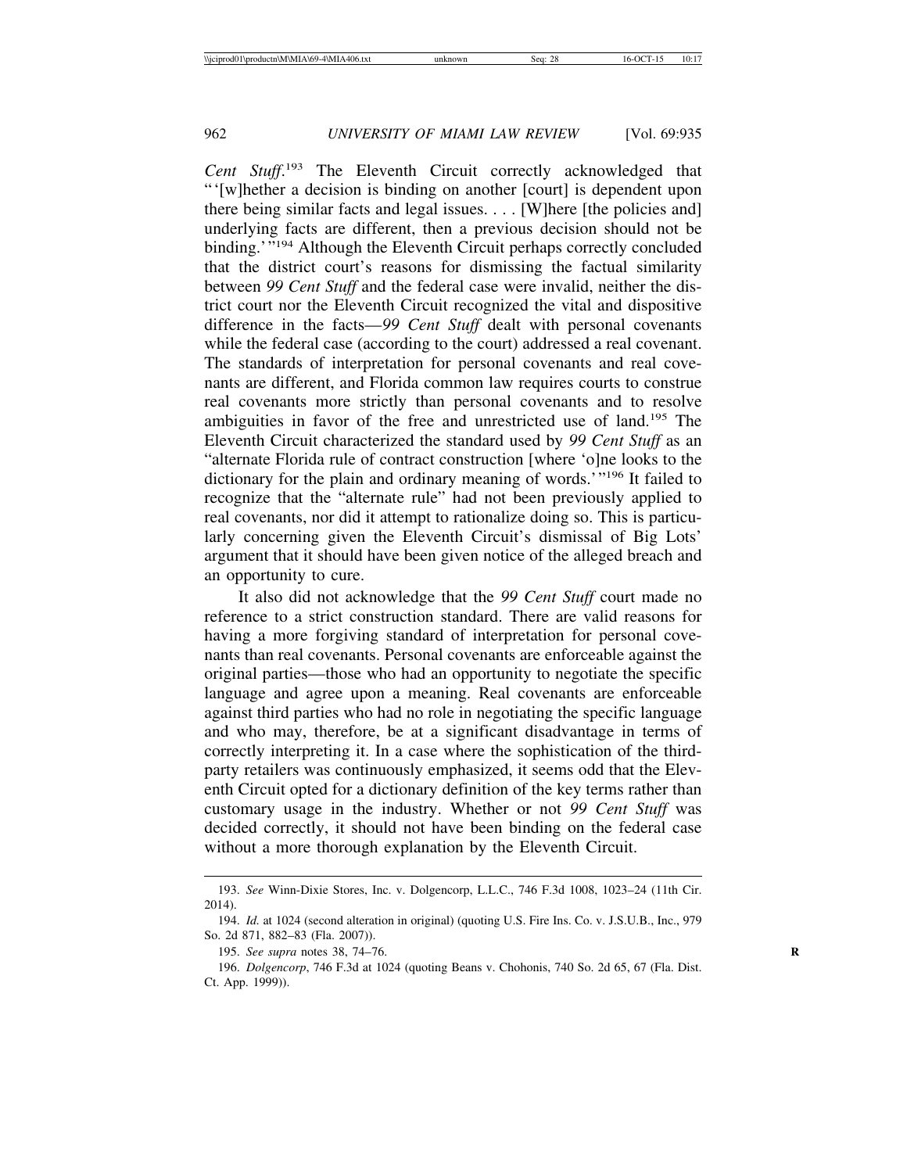*Cent Stuff*. 193 The Eleventh Circuit correctly acknowledged that "'[w]hether a decision is binding on another [court] is dependent upon there being similar facts and legal issues. . . . [W]here [the policies and] underlying facts are different, then a previous decision should not be binding.'"<sup>194</sup> Although the Eleventh Circuit perhaps correctly concluded that the district court's reasons for dismissing the factual similarity between *99 Cent Stuff* and the federal case were invalid, neither the district court nor the Eleventh Circuit recognized the vital and dispositive difference in the facts—*99 Cent Stuff* dealt with personal covenants while the federal case (according to the court) addressed a real covenant. The standards of interpretation for personal covenants and real covenants are different, and Florida common law requires courts to construe real covenants more strictly than personal covenants and to resolve ambiguities in favor of the free and unrestricted use of land.195 The Eleventh Circuit characterized the standard used by *99 Cent Stuff* as an "alternate Florida rule of contract construction [where 'o]ne looks to the dictionary for the plain and ordinary meaning of words.'"196 It failed to recognize that the "alternate rule" had not been previously applied to real covenants, nor did it attempt to rationalize doing so. This is particularly concerning given the Eleventh Circuit's dismissal of Big Lots' argument that it should have been given notice of the alleged breach and an opportunity to cure.

It also did not acknowledge that the *99 Cent Stuff* court made no reference to a strict construction standard. There are valid reasons for having a more forgiving standard of interpretation for personal covenants than real covenants. Personal covenants are enforceable against the original parties—those who had an opportunity to negotiate the specific language and agree upon a meaning. Real covenants are enforceable against third parties who had no role in negotiating the specific language and who may, therefore, be at a significant disadvantage in terms of correctly interpreting it. In a case where the sophistication of the thirdparty retailers was continuously emphasized, it seems odd that the Eleventh Circuit opted for a dictionary definition of the key terms rather than customary usage in the industry. Whether or not *99 Cent Stuff* was decided correctly, it should not have been binding on the federal case without a more thorough explanation by the Eleventh Circuit.

<sup>193.</sup> *See* Winn-Dixie Stores, Inc. v. Dolgencorp, L.L.C., 746 F.3d 1008, 1023–24 (11th Cir. 2014).

<sup>194.</sup> *Id.* at 1024 (second alteration in original) (quoting U.S. Fire Ins. Co. v. J.S.U.B., Inc., 979 So. 2d 871, 882–83 (Fla. 2007)).

<sup>195.</sup> *See supra* notes 38, 74–76. **R**

<sup>196.</sup> *Dolgencorp*, 746 F.3d at 1024 (quoting Beans v. Chohonis, 740 So. 2d 65, 67 (Fla. Dist. Ct. App. 1999)).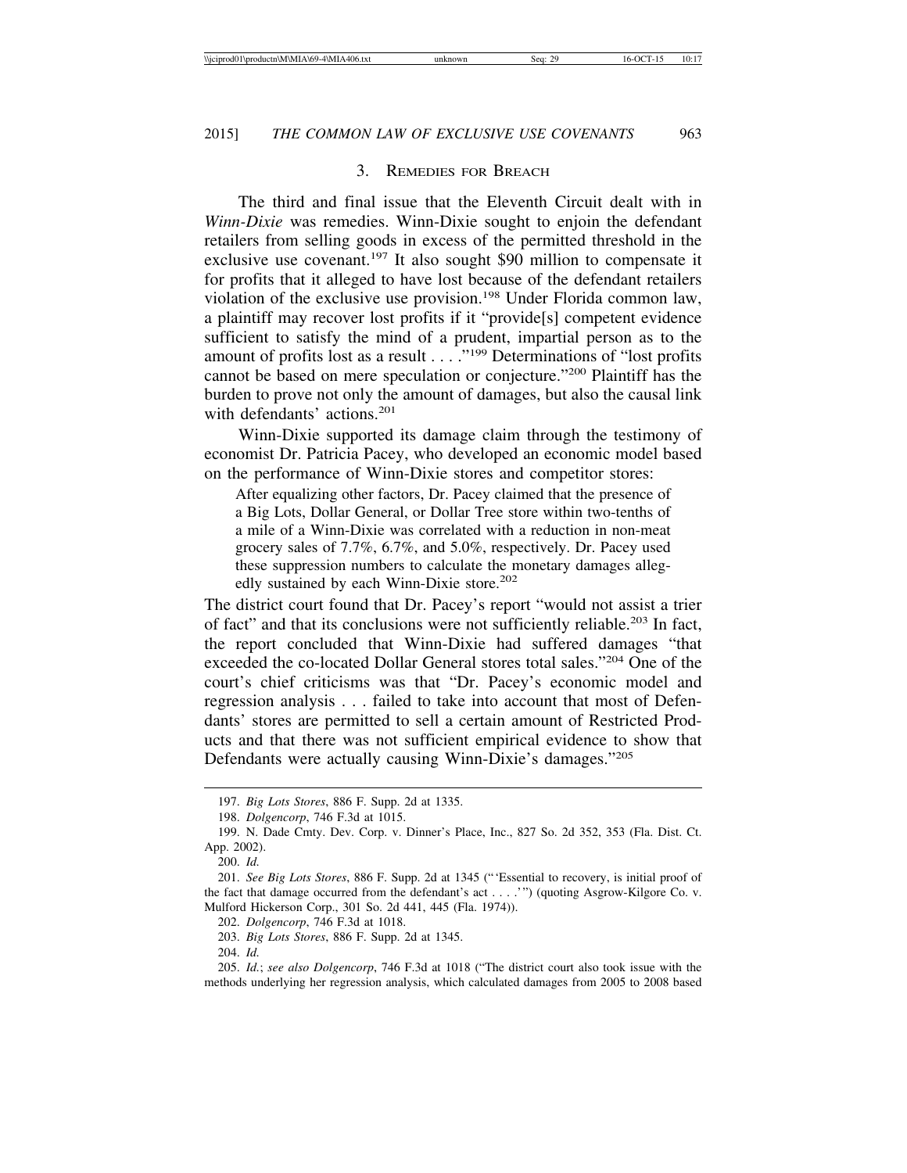#### 3. REMEDIES FOR BREACH

The third and final issue that the Eleventh Circuit dealt with in *Winn-Dixie* was remedies. Winn-Dixie sought to enjoin the defendant retailers from selling goods in excess of the permitted threshold in the exclusive use covenant.<sup>197</sup> It also sought \$90 million to compensate it for profits that it alleged to have lost because of the defendant retailers violation of the exclusive use provision.198 Under Florida common law, a plaintiff may recover lost profits if it "provide[s] competent evidence sufficient to satisfy the mind of a prudent, impartial person as to the amount of profits lost as a result . . . . "<sup>199</sup> Determinations of "lost profits" cannot be based on mere speculation or conjecture."200 Plaintiff has the burden to prove not only the amount of damages, but also the causal link with defendants' actions.<sup>201</sup>

Winn-Dixie supported its damage claim through the testimony of economist Dr. Patricia Pacey, who developed an economic model based on the performance of Winn-Dixie stores and competitor stores:

After equalizing other factors, Dr. Pacey claimed that the presence of a Big Lots, Dollar General, or Dollar Tree store within two-tenths of a mile of a Winn-Dixie was correlated with a reduction in non-meat grocery sales of 7.7%, 6.7%, and 5.0%, respectively. Dr. Pacey used these suppression numbers to calculate the monetary damages allegedly sustained by each Winn-Dixie store.<sup>202</sup>

The district court found that Dr. Pacey's report "would not assist a trier of fact" and that its conclusions were not sufficiently reliable.203 In fact, the report concluded that Winn-Dixie had suffered damages "that exceeded the co-located Dollar General stores total sales."204 One of the court's chief criticisms was that "Dr. Pacey's economic model and regression analysis . . . failed to take into account that most of Defendants' stores are permitted to sell a certain amount of Restricted Products and that there was not sufficient empirical evidence to show that Defendants were actually causing Winn-Dixie's damages."205

202. *Dolgencorp*, 746 F.3d at 1018.

203. *Big Lots Stores*, 886 F. Supp. 2d at 1345.

<sup>197.</sup> *Big Lots Stores*, 886 F. Supp. 2d at 1335.

<sup>198.</sup> *Dolgencorp*, 746 F.3d at 1015.

<sup>199.</sup> N. Dade Cmty. Dev. Corp. v. Dinner's Place, Inc., 827 So. 2d 352, 353 (Fla. Dist. Ct. App. 2002).

<sup>200.</sup> *Id.*

<sup>201.</sup> *See Big Lots Stores*, 886 F. Supp. 2d at 1345 ("'Essential to recovery, is initial proof of the fact that damage occurred from the defendant's act . . . .'") (quoting Asgrow-Kilgore Co. v. Mulford Hickerson Corp., 301 So. 2d 441, 445 (Fla. 1974)).

<sup>204.</sup> *Id.*

<sup>205.</sup> *Id.*; *see also Dolgencorp*, 746 F.3d at 1018 ("The district court also took issue with the methods underlying her regression analysis, which calculated damages from 2005 to 2008 based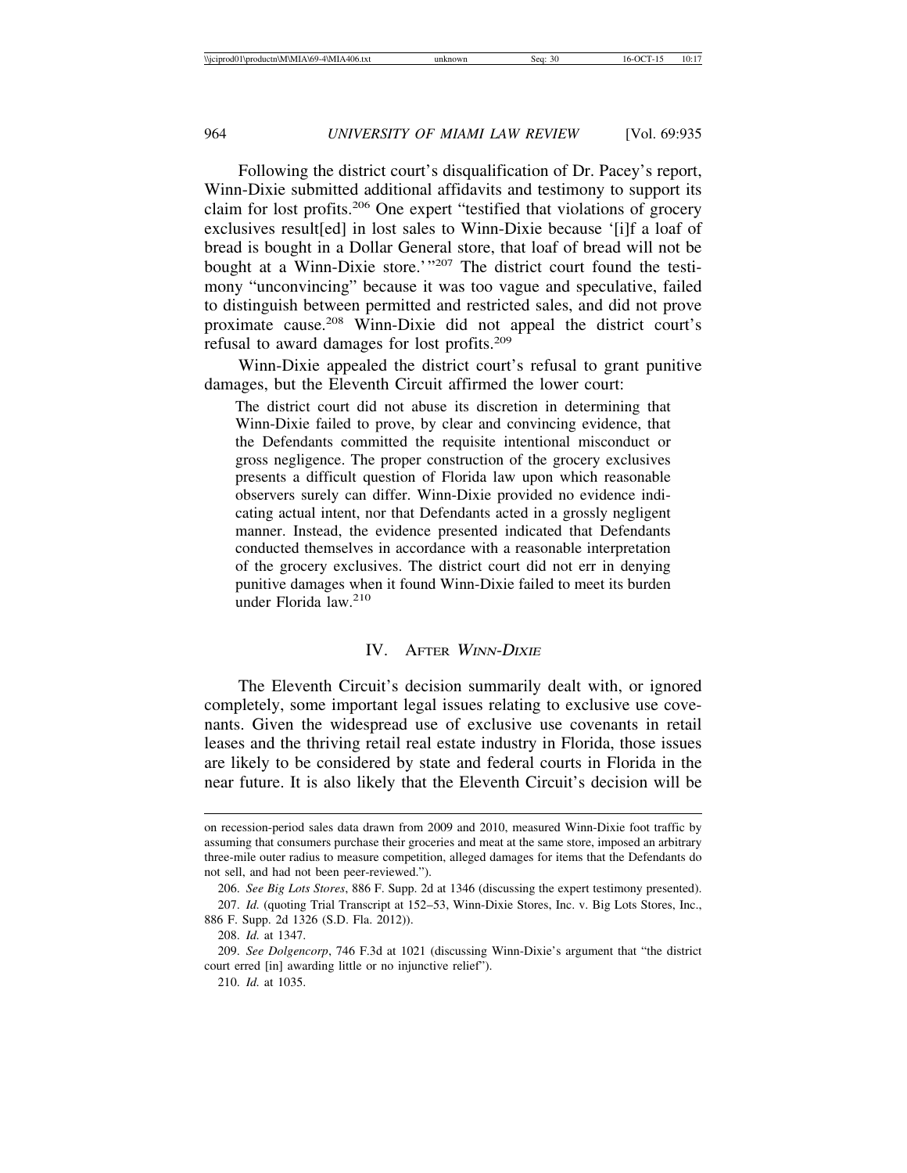Following the district court's disqualification of Dr. Pacey's report, Winn-Dixie submitted additional affidavits and testimony to support its claim for lost profits.206 One expert "testified that violations of grocery exclusives result[ed] in lost sales to Winn-Dixie because '[i]f a loaf of bread is bought in a Dollar General store, that loaf of bread will not be bought at a Winn-Dixie store.'"<sup>207</sup> The district court found the testimony "unconvincing" because it was too vague and speculative, failed to distinguish between permitted and restricted sales, and did not prove proximate cause.208 Winn-Dixie did not appeal the district court's refusal to award damages for lost profits.209

Winn-Dixie appealed the district court's refusal to grant punitive damages, but the Eleventh Circuit affirmed the lower court:

The district court did not abuse its discretion in determining that Winn-Dixie failed to prove, by clear and convincing evidence, that the Defendants committed the requisite intentional misconduct or gross negligence. The proper construction of the grocery exclusives presents a difficult question of Florida law upon which reasonable observers surely can differ. Winn-Dixie provided no evidence indicating actual intent, nor that Defendants acted in a grossly negligent manner. Instead, the evidence presented indicated that Defendants conducted themselves in accordance with a reasonable interpretation of the grocery exclusives. The district court did not err in denying punitive damages when it found Winn-Dixie failed to meet its burden under Florida law.<sup>210</sup>

#### IV. AFTER <sup>W</sup>INN-DIXIE

The Eleventh Circuit's decision summarily dealt with, or ignored completely, some important legal issues relating to exclusive use covenants. Given the widespread use of exclusive use covenants in retail leases and the thriving retail real estate industry in Florida, those issues are likely to be considered by state and federal courts in Florida in the near future. It is also likely that the Eleventh Circuit's decision will be

on recession-period sales data drawn from 2009 and 2010, measured Winn-Dixie foot traffic by assuming that consumers purchase their groceries and meat at the same store, imposed an arbitrary three-mile outer radius to measure competition, alleged damages for items that the Defendants do not sell, and had not been peer-reviewed.").

<sup>206.</sup> *See Big Lots Stores*, 886 F. Supp. 2d at 1346 (discussing the expert testimony presented).

<sup>207.</sup> *Id.* (quoting Trial Transcript at 152–53, Winn-Dixie Stores, Inc. v. Big Lots Stores, Inc., 886 F. Supp. 2d 1326 (S.D. Fla. 2012)).

<sup>208.</sup> *Id.* at 1347.

<sup>209.</sup> *See Dolgencorp*, 746 F.3d at 1021 (discussing Winn-Dixie's argument that "the district court erred [in] awarding little or no injunctive relief").

<sup>210.</sup> *Id.* at 1035.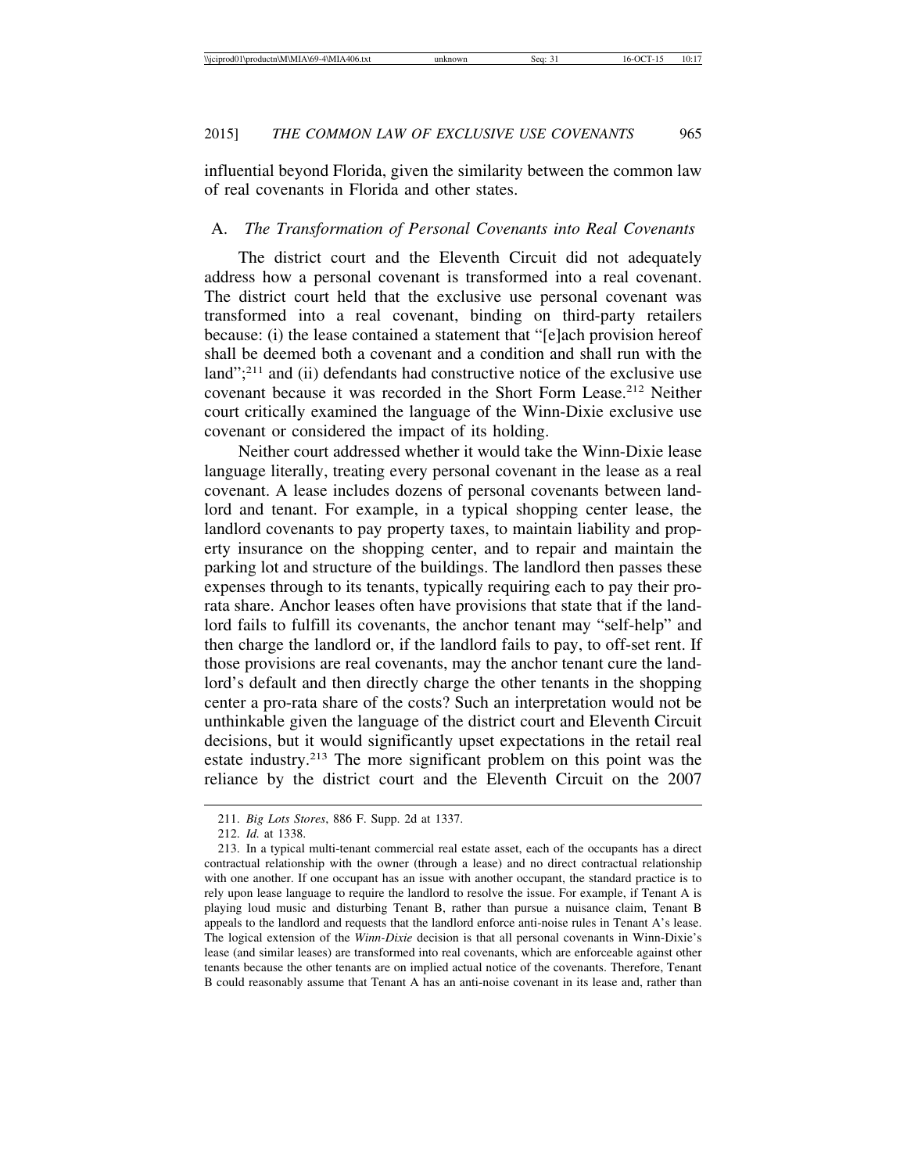influential beyond Florida, given the similarity between the common law of real covenants in Florida and other states.

## A. *The Transformation of Personal Covenants into Real Covenants*

The district court and the Eleventh Circuit did not adequately address how a personal covenant is transformed into a real covenant. The district court held that the exclusive use personal covenant was transformed into a real covenant, binding on third-party retailers because: (i) the lease contained a statement that "[e]ach provision hereof shall be deemed both a covenant and a condition and shall run with the land";<sup>211</sup> and (ii) defendants had constructive notice of the exclusive use covenant because it was recorded in the Short Form Lease.<sup>212</sup> Neither court critically examined the language of the Winn-Dixie exclusive use covenant or considered the impact of its holding.

Neither court addressed whether it would take the Winn-Dixie lease language literally, treating every personal covenant in the lease as a real covenant. A lease includes dozens of personal covenants between landlord and tenant. For example, in a typical shopping center lease, the landlord covenants to pay property taxes, to maintain liability and property insurance on the shopping center, and to repair and maintain the parking lot and structure of the buildings. The landlord then passes these expenses through to its tenants, typically requiring each to pay their prorata share. Anchor leases often have provisions that state that if the landlord fails to fulfill its covenants, the anchor tenant may "self-help" and then charge the landlord or, if the landlord fails to pay, to off-set rent. If those provisions are real covenants, may the anchor tenant cure the landlord's default and then directly charge the other tenants in the shopping center a pro-rata share of the costs? Such an interpretation would not be unthinkable given the language of the district court and Eleventh Circuit decisions, but it would significantly upset expectations in the retail real estate industry.213 The more significant problem on this point was the reliance by the district court and the Eleventh Circuit on the 2007

<sup>211.</sup> *Big Lots Stores*, 886 F. Supp. 2d at 1337.

<sup>212.</sup> *Id.* at 1338.

<sup>213.</sup> In a typical multi-tenant commercial real estate asset, each of the occupants has a direct contractual relationship with the owner (through a lease) and no direct contractual relationship with one another. If one occupant has an issue with another occupant, the standard practice is to rely upon lease language to require the landlord to resolve the issue. For example, if Tenant A is playing loud music and disturbing Tenant B, rather than pursue a nuisance claim, Tenant B appeals to the landlord and requests that the landlord enforce anti-noise rules in Tenant A's lease. The logical extension of the *Winn-Dixie* decision is that all personal covenants in Winn-Dixie's lease (and similar leases) are transformed into real covenants, which are enforceable against other tenants because the other tenants are on implied actual notice of the covenants. Therefore, Tenant B could reasonably assume that Tenant A has an anti-noise covenant in its lease and, rather than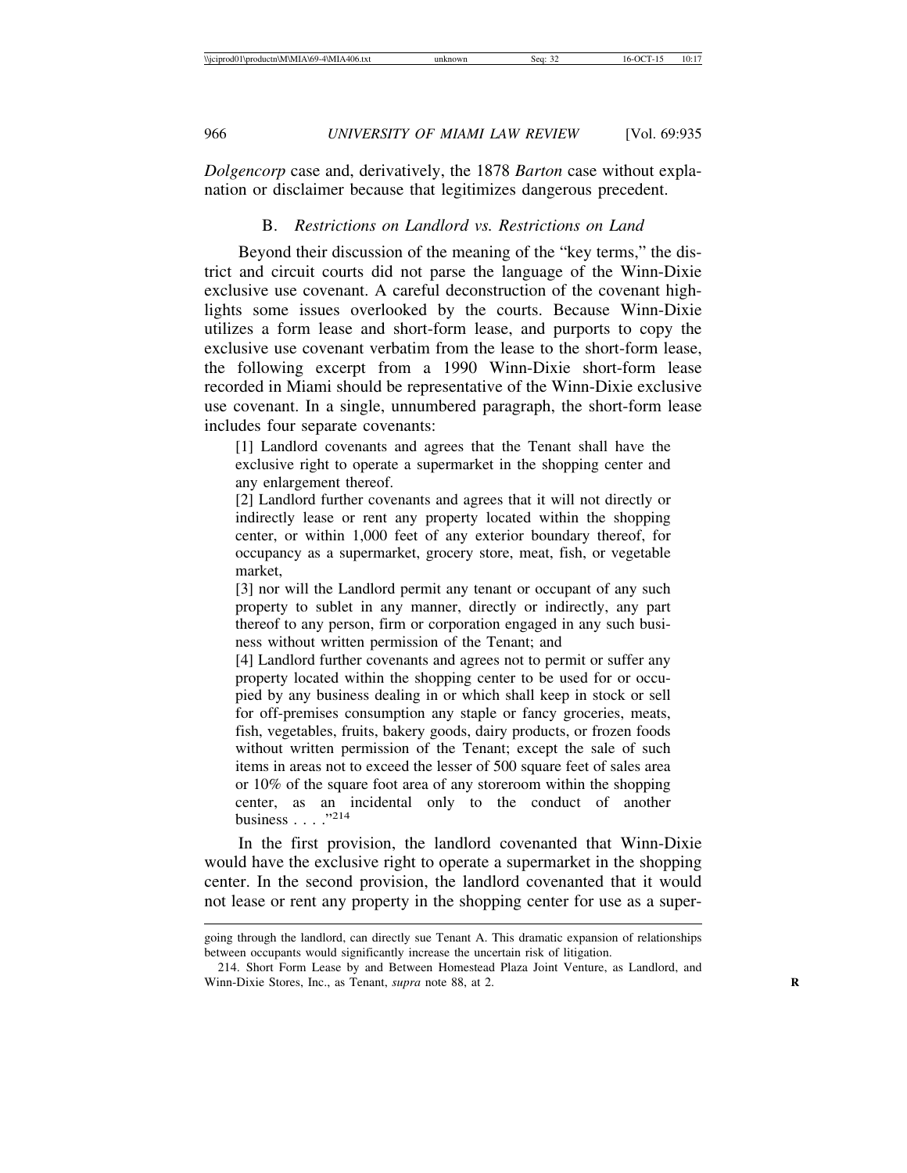*Dolgencorp* case and, derivatively, the 1878 *Barton* case without explanation or disclaimer because that legitimizes dangerous precedent.

## B. *Restrictions on Landlord vs. Restrictions on Land*

Beyond their discussion of the meaning of the "key terms," the district and circuit courts did not parse the language of the Winn-Dixie exclusive use covenant. A careful deconstruction of the covenant highlights some issues overlooked by the courts. Because Winn-Dixie utilizes a form lease and short-form lease, and purports to copy the exclusive use covenant verbatim from the lease to the short-form lease, the following excerpt from a 1990 Winn-Dixie short-form lease recorded in Miami should be representative of the Winn-Dixie exclusive use covenant. In a single, unnumbered paragraph, the short-form lease includes four separate covenants:

[1] Landlord covenants and agrees that the Tenant shall have the exclusive right to operate a supermarket in the shopping center and any enlargement thereof.

[2] Landlord further covenants and agrees that it will not directly or indirectly lease or rent any property located within the shopping center, or within 1,000 feet of any exterior boundary thereof, for occupancy as a supermarket, grocery store, meat, fish, or vegetable market,

[3] nor will the Landlord permit any tenant or occupant of any such property to sublet in any manner, directly or indirectly, any part thereof to any person, firm or corporation engaged in any such business without written permission of the Tenant; and

[4] Landlord further covenants and agrees not to permit or suffer any property located within the shopping center to be used for or occupied by any business dealing in or which shall keep in stock or sell for off-premises consumption any staple or fancy groceries, meats, fish, vegetables, fruits, bakery goods, dairy products, or frozen foods without written permission of the Tenant; except the sale of such items in areas not to exceed the lesser of 500 square feet of sales area or 10% of the square foot area of any storeroom within the shopping center, as an incidental only to the conduct of another business  $\ldots$  ."214

In the first provision, the landlord covenanted that Winn-Dixie would have the exclusive right to operate a supermarket in the shopping center. In the second provision, the landlord covenanted that it would not lease or rent any property in the shopping center for use as a super-

going through the landlord, can directly sue Tenant A. This dramatic expansion of relationships between occupants would significantly increase the uncertain risk of litigation.

<sup>214.</sup> Short Form Lease by and Between Homestead Plaza Joint Venture, as Landlord, and Winn-Dixie Stores, Inc., as Tenant, *supra* note 88, at 2. **R**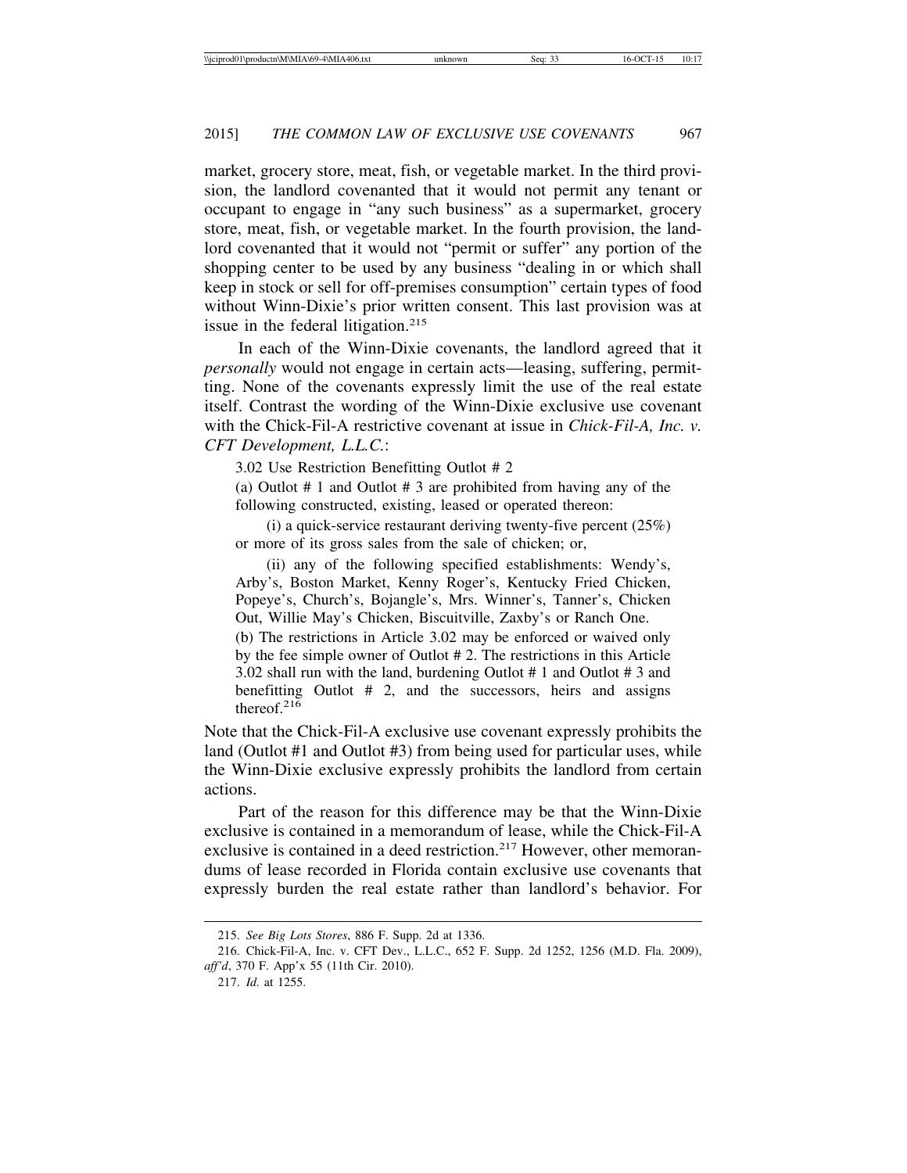market, grocery store, meat, fish, or vegetable market. In the third provision, the landlord covenanted that it would not permit any tenant or occupant to engage in "any such business" as a supermarket, grocery store, meat, fish, or vegetable market. In the fourth provision, the landlord covenanted that it would not "permit or suffer" any portion of the shopping center to be used by any business "dealing in or which shall keep in stock or sell for off-premises consumption" certain types of food without Winn-Dixie's prior written consent. This last provision was at issue in the federal litigation.<sup>215</sup>

In each of the Winn-Dixie covenants, the landlord agreed that it *personally* would not engage in certain acts—leasing, suffering, permitting. None of the covenants expressly limit the use of the real estate itself. Contrast the wording of the Winn-Dixie exclusive use covenant with the Chick-Fil-A restrictive covenant at issue in *Chick-Fil-A, Inc. v. CFT Development, L.L.C.*:

3.02 Use Restriction Benefitting Outlot # 2

(a) Outlot # 1 and Outlot # 3 are prohibited from having any of the following constructed, existing, leased or operated thereon:

(i) a quick-service restaurant deriving twenty-five percent (25%) or more of its gross sales from the sale of chicken; or,

(ii) any of the following specified establishments: Wendy's, Arby's, Boston Market, Kenny Roger's, Kentucky Fried Chicken, Popeye's, Church's, Bojangle's, Mrs. Winner's, Tanner's, Chicken Out, Willie May's Chicken, Biscuitville, Zaxby's or Ranch One. (b) The restrictions in Article 3.02 may be enforced or waived only by the fee simple owner of Outlot # 2. The restrictions in this Article 3.02 shall run with the land, burdening Outlot # 1 and Outlot # 3 and benefitting Outlot # 2, and the successors, heirs and assigns thereof.<sup>216</sup>

Note that the Chick-Fil-A exclusive use covenant expressly prohibits the land (Outlot #1 and Outlot #3) from being used for particular uses, while the Winn-Dixie exclusive expressly prohibits the landlord from certain actions.

Part of the reason for this difference may be that the Winn-Dixie exclusive is contained in a memorandum of lease, while the Chick-Fil-A exclusive is contained in a deed restriction.<sup>217</sup> However, other memorandums of lease recorded in Florida contain exclusive use covenants that expressly burden the real estate rather than landlord's behavior. For

<sup>215.</sup> *See Big Lots Stores*, 886 F. Supp. 2d at 1336.

<sup>216.</sup> Chick-Fil-A, Inc. v. CFT Dev., L.L.C., 652 F. Supp. 2d 1252, 1256 (M.D. Fla. 2009), *aff'd*, 370 F. App'x 55 (11th Cir. 2010).

<sup>217.</sup> *Id.* at 1255.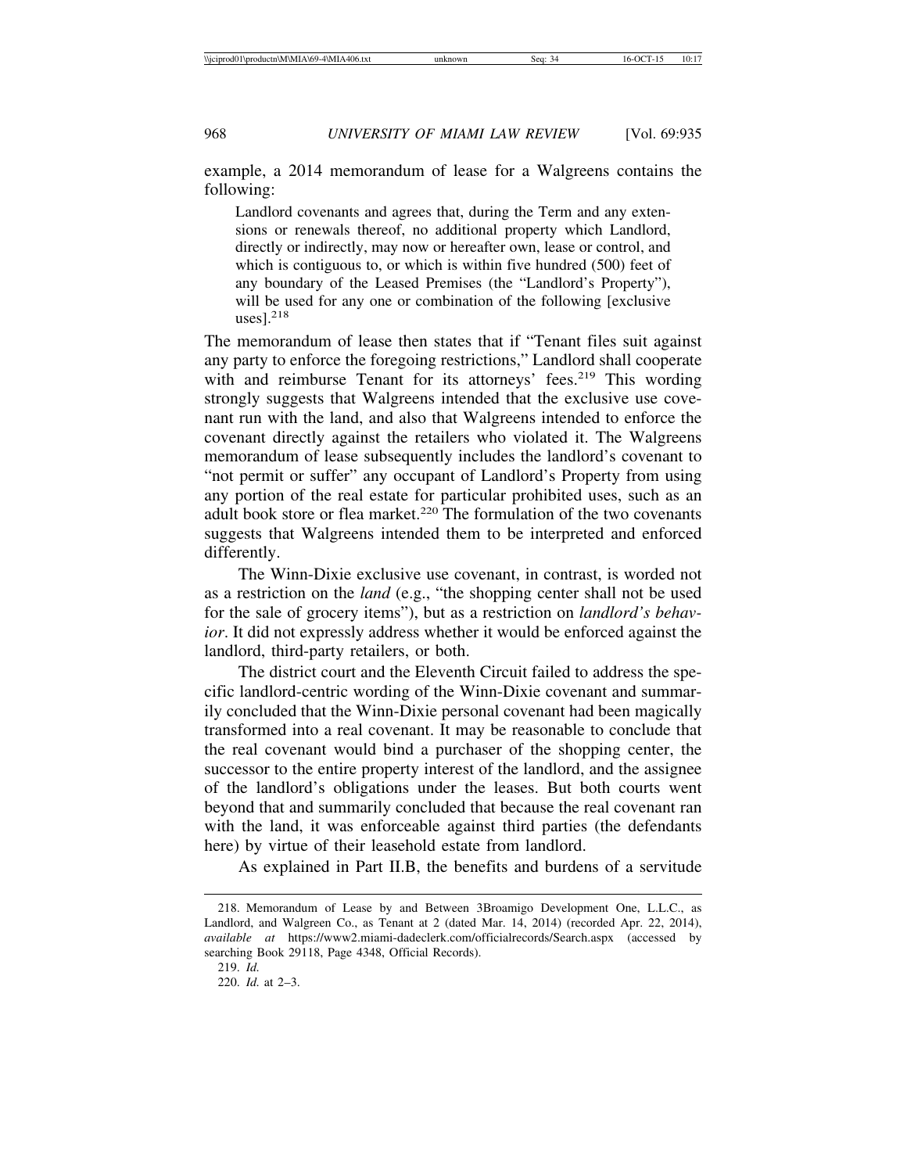example, a 2014 memorandum of lease for a Walgreens contains the following:

Landlord covenants and agrees that, during the Term and any extensions or renewals thereof, no additional property which Landlord, directly or indirectly, may now or hereafter own, lease or control, and which is contiguous to, or which is within five hundred (500) feet of any boundary of the Leased Premises (the "Landlord's Property"), will be used for any one or combination of the following [exclusive]  $usesl.<sup>218</sup>$ 

The memorandum of lease then states that if "Tenant files suit against any party to enforce the foregoing restrictions," Landlord shall cooperate with and reimburse Tenant for its attorneys' fees.<sup>219</sup> This wording strongly suggests that Walgreens intended that the exclusive use covenant run with the land, and also that Walgreens intended to enforce the covenant directly against the retailers who violated it. The Walgreens memorandum of lease subsequently includes the landlord's covenant to "not permit or suffer" any occupant of Landlord's Property from using any portion of the real estate for particular prohibited uses, such as an adult book store or flea market.<sup>220</sup> The formulation of the two covenants suggests that Walgreens intended them to be interpreted and enforced differently.

The Winn-Dixie exclusive use covenant, in contrast, is worded not as a restriction on the *land* (e.g., "the shopping center shall not be used for the sale of grocery items"), but as a restriction on *landlord's behavior*. It did not expressly address whether it would be enforced against the landlord, third-party retailers, or both.

The district court and the Eleventh Circuit failed to address the specific landlord-centric wording of the Winn-Dixie covenant and summarily concluded that the Winn-Dixie personal covenant had been magically transformed into a real covenant. It may be reasonable to conclude that the real covenant would bind a purchaser of the shopping center, the successor to the entire property interest of the landlord, and the assignee of the landlord's obligations under the leases. But both courts went beyond that and summarily concluded that because the real covenant ran with the land, it was enforceable against third parties (the defendants here) by virtue of their leasehold estate from landlord.

As explained in Part II.B, the benefits and burdens of a servitude

<sup>218.</sup> Memorandum of Lease by and Between 3Broamigo Development One, L.L.C., as Landlord, and Walgreen Co., as Tenant at 2 (dated Mar. 14, 2014) (recorded Apr. 22, 2014), *available at* https://www2.miami-dadeclerk.com/officialrecords/Search.aspx (accessed by searching Book 29118, Page 4348, Official Records).

<sup>219.</sup> *Id.*

<sup>220.</sup> *Id.* at 2–3.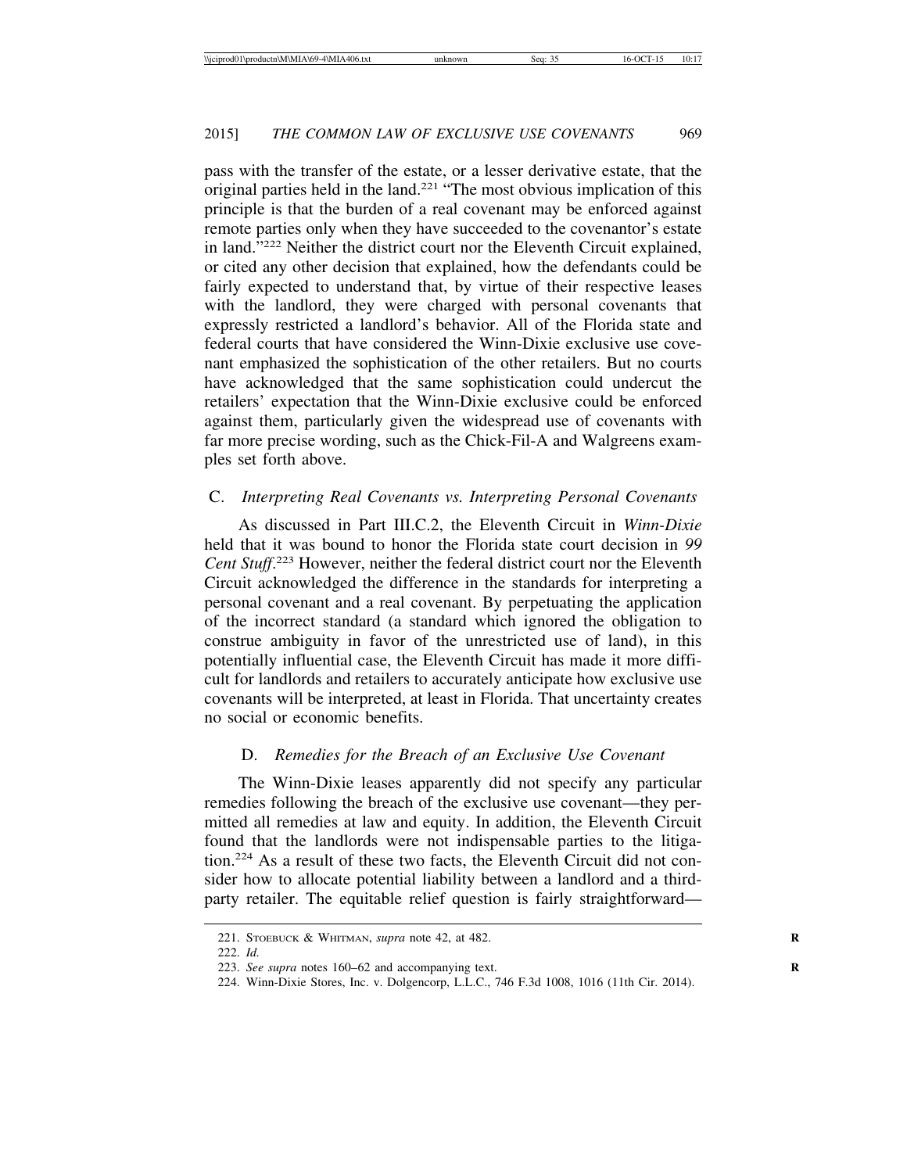pass with the transfer of the estate, or a lesser derivative estate, that the original parties held in the land.<sup>221</sup> "The most obvious implication of this principle is that the burden of a real covenant may be enforced against remote parties only when they have succeeded to the covenantor's estate in land."222 Neither the district court nor the Eleventh Circuit explained, or cited any other decision that explained, how the defendants could be fairly expected to understand that, by virtue of their respective leases with the landlord, they were charged with personal covenants that expressly restricted a landlord's behavior. All of the Florida state and federal courts that have considered the Winn-Dixie exclusive use covenant emphasized the sophistication of the other retailers. But no courts have acknowledged that the same sophistication could undercut the retailers' expectation that the Winn-Dixie exclusive could be enforced against them, particularly given the widespread use of covenants with far more precise wording, such as the Chick-Fil-A and Walgreens examples set forth above.

#### C. *Interpreting Real Covenants vs. Interpreting Personal Covenants*

As discussed in Part III.C.2, the Eleventh Circuit in *Winn-Dixie* held that it was bound to honor the Florida state court decision in *99 Cent Stuff*. <sup>223</sup> However, neither the federal district court nor the Eleventh Circuit acknowledged the difference in the standards for interpreting a personal covenant and a real covenant. By perpetuating the application of the incorrect standard (a standard which ignored the obligation to construe ambiguity in favor of the unrestricted use of land), in this potentially influential case, the Eleventh Circuit has made it more difficult for landlords and retailers to accurately anticipate how exclusive use covenants will be interpreted, at least in Florida. That uncertainty creates no social or economic benefits.

#### D. *Remedies for the Breach of an Exclusive Use Covenant*

The Winn-Dixie leases apparently did not specify any particular remedies following the breach of the exclusive use covenant—they permitted all remedies at law and equity. In addition, the Eleventh Circuit found that the landlords were not indispensable parties to the litigation.224 As a result of these two facts, the Eleventh Circuit did not consider how to allocate potential liability between a landlord and a thirdparty retailer. The equitable relief question is fairly straightforward—

<sup>221.</sup> STOEBUCK & WHITMAN, *supra* note 42, at 482. **R**

<sup>222.</sup> *Id.*

<sup>223.</sup> *See supra* notes 160–62 and accompanying text.

<sup>224.</sup> Winn-Dixie Stores, Inc. v. Dolgencorp, L.L.C., 746 F.3d 1008, 1016 (11th Cir. 2014).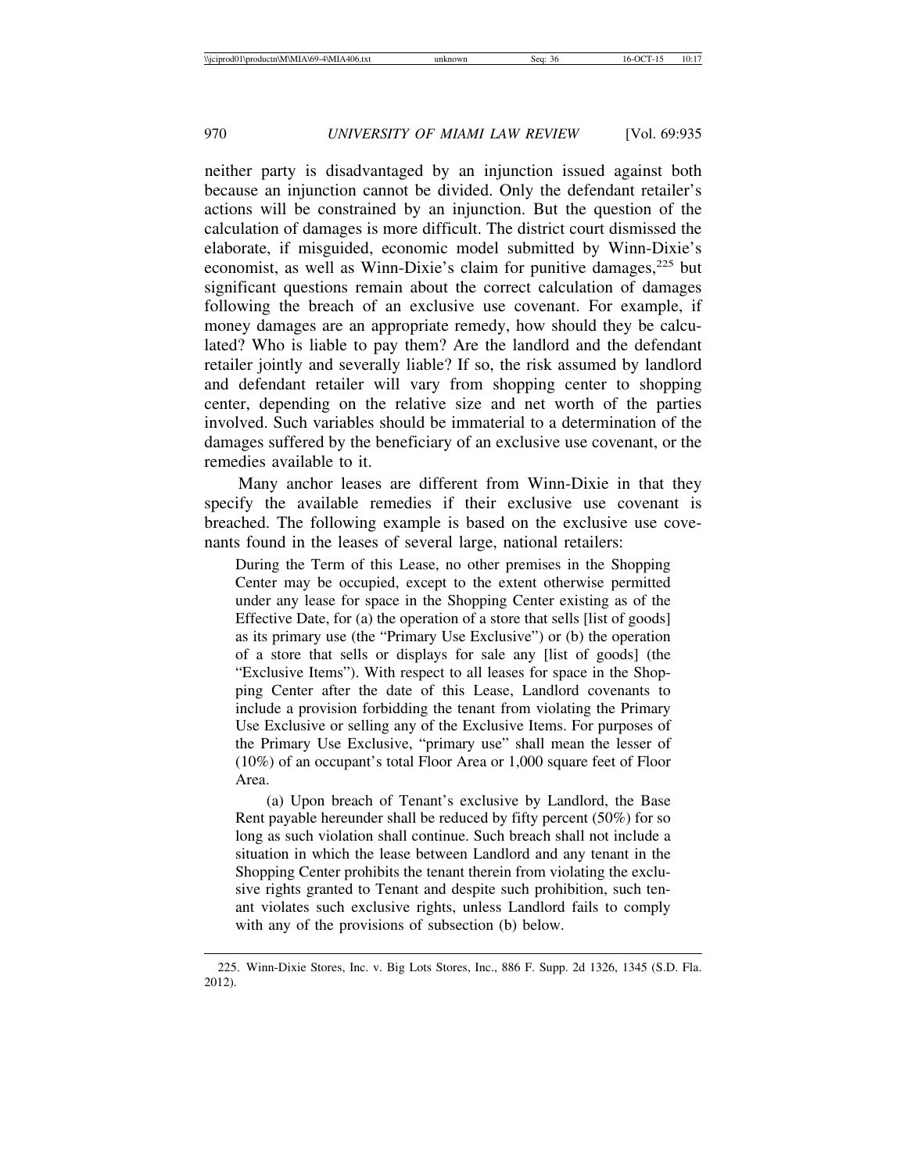neither party is disadvantaged by an injunction issued against both because an injunction cannot be divided. Only the defendant retailer's actions will be constrained by an injunction. But the question of the calculation of damages is more difficult. The district court dismissed the elaborate, if misguided, economic model submitted by Winn-Dixie's economist, as well as Winn-Dixie's claim for punitive damages,<sup>225</sup> but significant questions remain about the correct calculation of damages following the breach of an exclusive use covenant. For example, if money damages are an appropriate remedy, how should they be calculated? Who is liable to pay them? Are the landlord and the defendant retailer jointly and severally liable? If so, the risk assumed by landlord and defendant retailer will vary from shopping center to shopping center, depending on the relative size and net worth of the parties involved. Such variables should be immaterial to a determination of the damages suffered by the beneficiary of an exclusive use covenant, or the remedies available to it.

Many anchor leases are different from Winn-Dixie in that they specify the available remedies if their exclusive use covenant is breached. The following example is based on the exclusive use covenants found in the leases of several large, national retailers:

During the Term of this Lease, no other premises in the Shopping Center may be occupied, except to the extent otherwise permitted under any lease for space in the Shopping Center existing as of the Effective Date, for (a) the operation of a store that sells [list of goods] as its primary use (the "Primary Use Exclusive") or (b) the operation of a store that sells or displays for sale any [list of goods] (the "Exclusive Items"). With respect to all leases for space in the Shopping Center after the date of this Lease, Landlord covenants to include a provision forbidding the tenant from violating the Primary Use Exclusive or selling any of the Exclusive Items. For purposes of the Primary Use Exclusive, "primary use" shall mean the lesser of (10%) of an occupant's total Floor Area or 1,000 square feet of Floor Area.

(a) Upon breach of Tenant's exclusive by Landlord, the Base Rent payable hereunder shall be reduced by fifty percent (50%) for so long as such violation shall continue. Such breach shall not include a situation in which the lease between Landlord and any tenant in the Shopping Center prohibits the tenant therein from violating the exclusive rights granted to Tenant and despite such prohibition, such tenant violates such exclusive rights, unless Landlord fails to comply with any of the provisions of subsection (b) below.

<sup>225.</sup> Winn-Dixie Stores, Inc. v. Big Lots Stores, Inc., 886 F. Supp. 2d 1326, 1345 (S.D. Fla. 2012).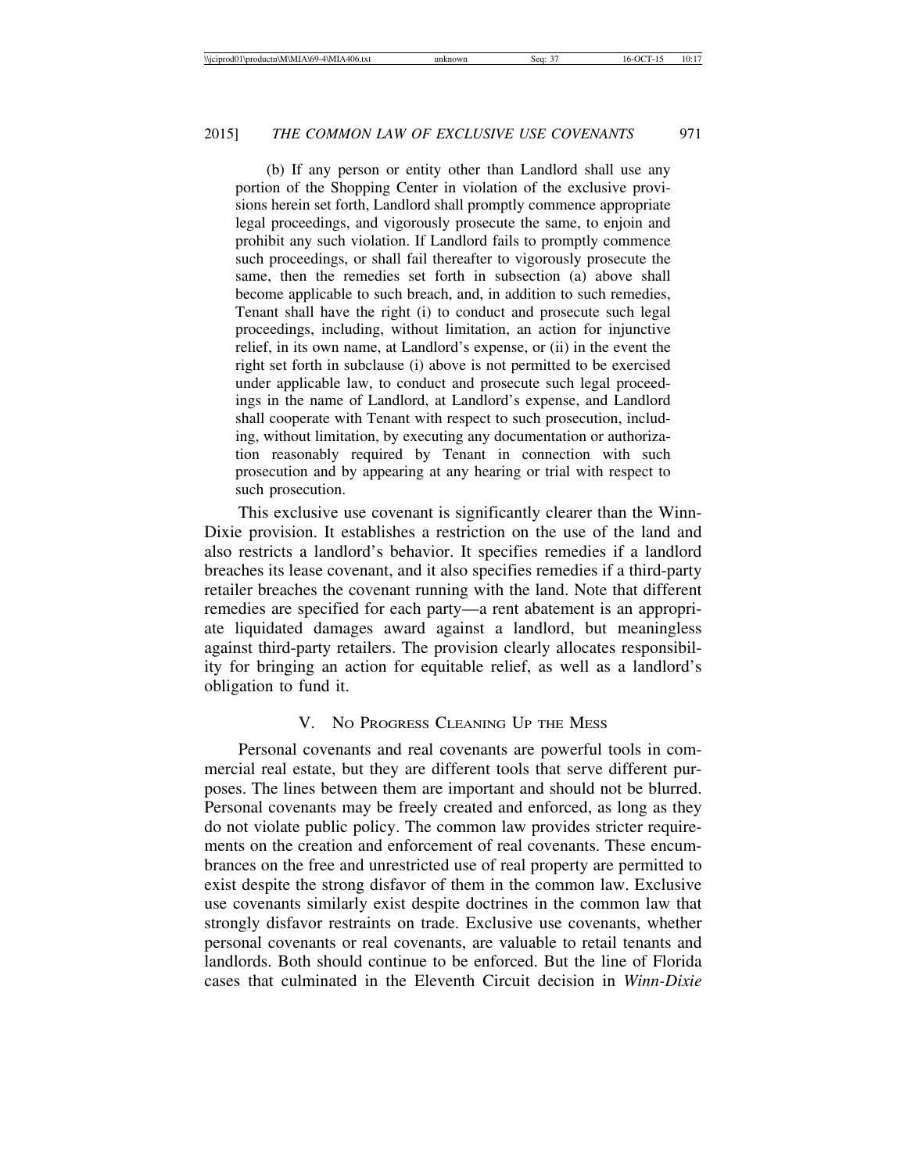(b) If any person or entity other than Landlord shall use any portion of the Shopping Center in violation of the exclusive provisions herein set forth, Landlord shall promptly commence appropriate legal proceedings, and vigorously prosecute the same, to enjoin and prohibit any such violation. If Landlord fails to promptly commence such proceedings, or shall fail thereafter to vigorously prosecute the same, then the remedies set forth in subsection (a) above shall become applicable to such breach, and, in addition to such remedies, Tenant shall have the right (i) to conduct and prosecute such legal proceedings, including, without limitation, an action for injunctive relief, in its own name, at Landlord's expense, or (ii) in the event the right set forth in subclause (i) above is not permitted to be exercised under applicable law, to conduct and prosecute such legal proceedings in the name of Landlord, at Landlord's expense, and Landlord shall cooperate with Tenant with respect to such prosecution, including, without limitation, by executing any documentation or authorization reasonably required by Tenant in connection with such prosecution and by appearing at any hearing or trial with respect to such prosecution.

This exclusive use covenant is significantly clearer than the Winn-Dixie provision. It establishes a restriction on the use of the land and also restricts a landlord's behavior. It specifies remedies if a landlord breaches its lease covenant, and it also specifies remedies if a third-party retailer breaches the covenant running with the land. Note that different remedies are specified for each party—a rent abatement is an appropriate liquidated damages award against a landlord, but meaningless against third-party retailers. The provision clearly allocates responsibility for bringing an action for equitable relief, as well as a landlord's obligation to fund it.

#### V. NO PROGRESS CLEANING UP THE MESS

Personal covenants and real covenants are powerful tools in commercial real estate, but they are different tools that serve different purposes. The lines between them are important and should not be blurred. Personal covenants may be freely created and enforced, as long as they do not violate public policy. The common law provides stricter requirements on the creation and enforcement of real covenants. These encumbrances on the free and unrestricted use of real property are permitted to exist despite the strong disfavor of them in the common law. Exclusive use covenants similarly exist despite doctrines in the common law that strongly disfavor restraints on trade. Exclusive use covenants, whether personal covenants or real covenants, are valuable to retail tenants and landlords. Both should continue to be enforced. But the line of Florida cases that culminated in the Eleventh Circuit decision in *Winn-Dixie*